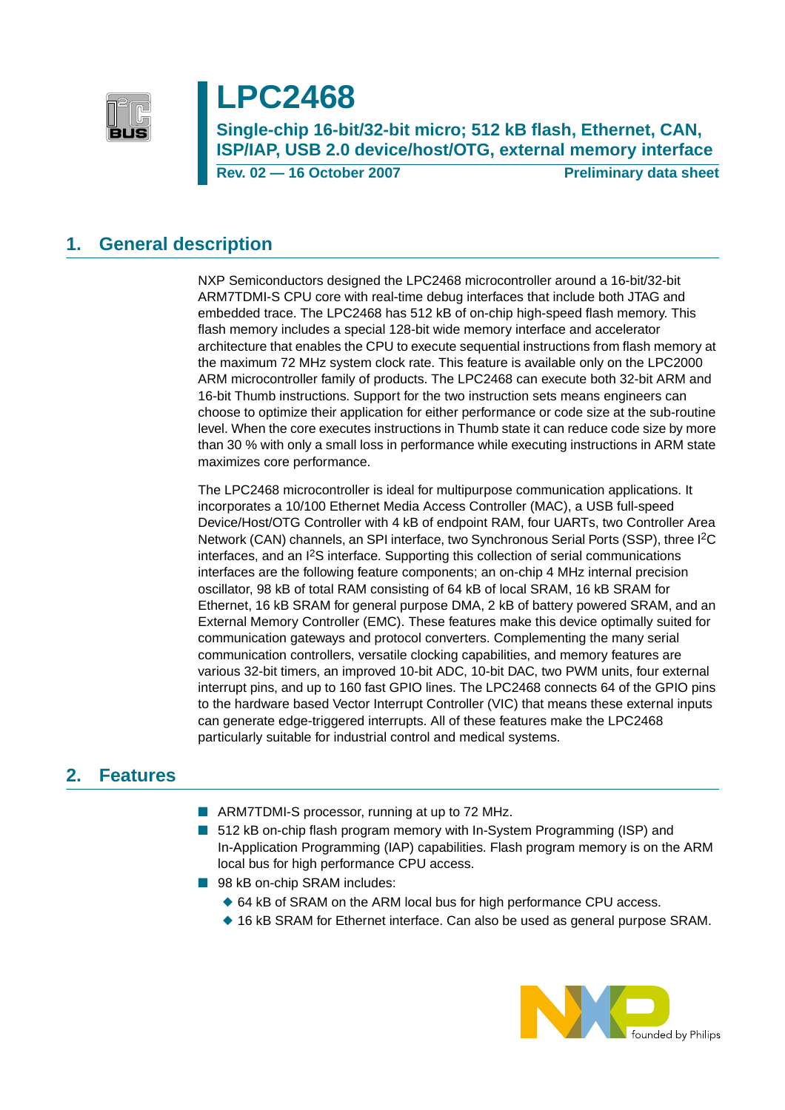

# **LPC2468**

**Single-chip 16-bit/32-bit micro; 512 kB flash, Ethernet, CAN, ISP/IAP, USB 2.0 device/host/OTG, external memory interface**

**Rev. 02 – 16 October 2007** Preliminary data sheet

## <span id="page-0-0"></span>**1. General description**

NXP Semiconductors designed the LPC2468 microcontroller around a 16-bit/32-bit ARM7TDMI-S CPU core with real-time debug interfaces that include both JTAG and embedded trace. The LPC2468 has 512 kB of on-chip high-speed flash memory. This flash memory includes a special 128-bit wide memory interface and accelerator architecture that enables the CPU to execute sequential instructions from flash memory at the maximum 72 MHz system clock rate. This feature is available only on the LPC2000 ARM microcontroller family of products. The LPC2468 can execute both 32-bit ARM and 16-bit Thumb instructions. Support for the two instruction sets means engineers can choose to optimize their application for either performance or code size at the sub-routine level. When the core executes instructions in Thumb state it can reduce code size by more than 30 % with only a small loss in performance while executing instructions in ARM state maximizes core performance.

The LPC2468 microcontroller is ideal for multipurpose communication applications. It incorporates a 10/100 Ethernet Media Access Controller (MAC), a USB full-speed Device/Host/OTG Controller with 4 kB of endpoint RAM, four UARTs, two Controller Area Network (CAN) channels, an SPI interface, two Synchronous Serial Ports (SSP), three I2C interfaces, and an I2S interface. Supporting this collection of serial communications interfaces are the following feature components; an on-chip 4 MHz internal precision oscillator, 98 kB of total RAM consisting of 64 kB of local SRAM, 16 kB SRAM for Ethernet, 16 kB SRAM for general purpose DMA, 2 kB of battery powered SRAM, and an External Memory Controller (EMC). These features make this device optimally suited for communication gateways and protocol converters. Complementing the many serial communication controllers, versatile clocking capabilities, and memory features are various 32-bit timers, an improved 10-bit ADC, 10-bit DAC, two PWM units, four external interrupt pins, and up to 160 fast GPIO lines. The LPC2468 connects 64 of the GPIO pins to the hardware based Vector Interrupt Controller (VIC) that means these external inputs can generate edge-triggered interrupts. All of these features make the LPC2468 particularly suitable for industrial control and medical systems.

## <span id="page-0-1"></span>**2. Features**

- ARM7TDMI-S processor, running at up to 72 MHz.
- 512 kB on-chip flash program memory with In-System Programming (ISP) and In-Application Programming (IAP) capabilities. Flash program memory is on the ARM local bus for high performance CPU access.
- 98 kB on-chip SRAM includes:
	- ◆ 64 kB of SRAM on the ARM local bus for high performance CPU access.
	- ◆ 16 kB SRAM for Ethernet interface. Can also be used as general purpose SRAM.

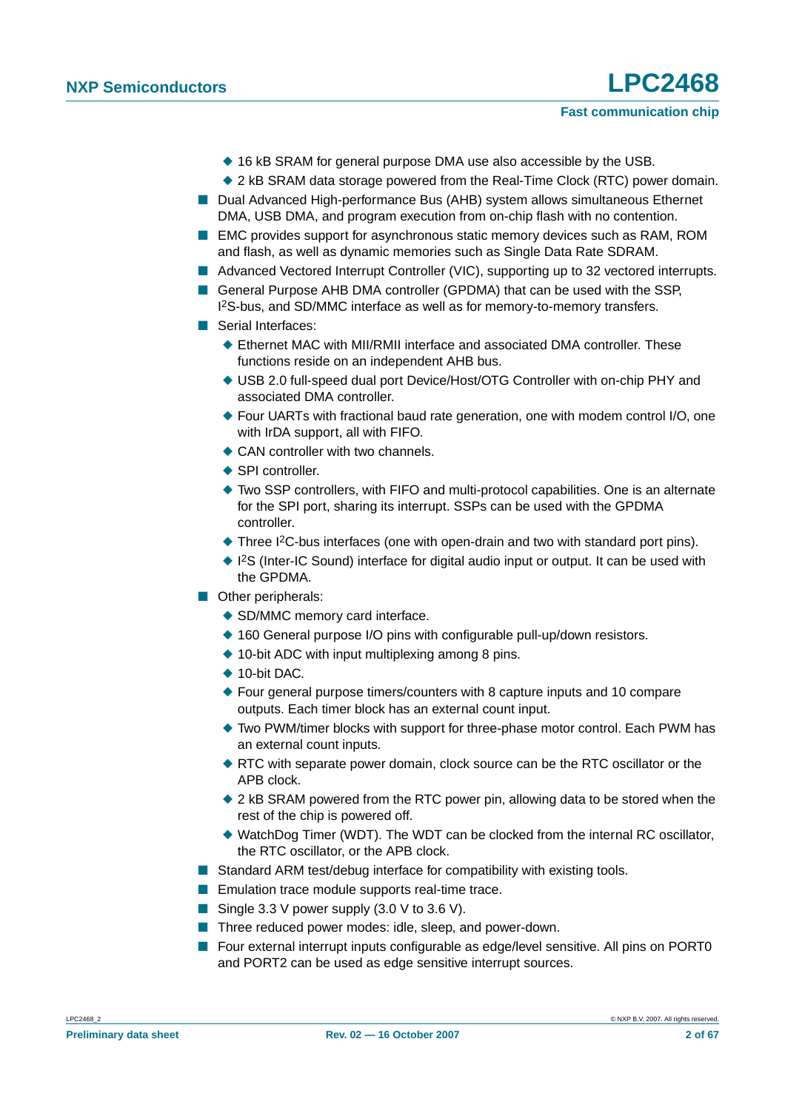- ◆ 16 kB SRAM for general purpose DMA use also accessible by the USB.
- ◆ 2 kB SRAM data storage powered from the Real-Time Clock (RTC) power domain.
- Dual Advanced High-performance Bus (AHB) system allows simultaneous Ethernet DMA, USB DMA, and program execution from on-chip flash with no contention.
- EMC provides support for asynchronous static memory devices such as RAM, ROM and flash, as well as dynamic memories such as Single Data Rate SDRAM.
- Advanced Vectored Interrupt Controller (VIC), supporting up to 32 vectored interrupts.
- General Purpose AHB DMA controller (GPDMA) that can be used with the SSP, I 2S-bus, and SD/MMC interface as well as for memory-to-memory transfers.
- Serial Interfaces:
	- ◆ Ethernet MAC with MII/RMII interface and associated DMA controller. These functions reside on an independent AHB bus.
	- ◆ USB 2.0 full-speed dual port Device/Host/OTG Controller with on-chip PHY and associated DMA controller.
	- ◆ Four UARTs with fractional baud rate generation, one with modem control I/O, one with IrDA support, all with FIFO.
	- ◆ CAN controller with two channels.
	- ◆ SPI controller.
	- ◆ Two SSP controllers, with FIFO and multi-protocol capabilities. One is an alternate for the SPI port, sharing its interrupt. SSPs can be used with the GPDMA controller.
	- ◆ Three I<sup>2</sup>C-bus interfaces (one with open-drain and two with standard port pins).
	- ◆ I<sup>2</sup>S (Inter-IC Sound) interface for digital audio input or output. It can be used with the GPDMA.
- Other peripherals:
	- ◆ SD/MMC memory card interface.
	- ◆ 160 General purpose I/O pins with configurable pull-up/down resistors.
	- ◆ 10-bit ADC with input multiplexing among 8 pins.
	- ◆ 10-bit DAC.
	- ◆ Four general purpose timers/counters with 8 capture inputs and 10 compare outputs. Each timer block has an external count input.
	- ◆ Two PWM/timer blocks with support for three-phase motor control. Each PWM has an external count inputs.
	- ◆ RTC with separate power domain, clock source can be the RTC oscillator or the APB clock.
	- ◆ 2 kB SRAM powered from the RTC power pin, allowing data to be stored when the rest of the chip is powered off.
	- ◆ WatchDog Timer (WDT). The WDT can be clocked from the internal RC oscillator, the RTC oscillator, or the APB clock.
- Standard ARM test/debug interface for compatibility with existing tools.
- Emulation trace module supports real-time trace.
- Single 3.3 V power supply (3.0 V to 3.6 V).
- Three reduced power modes: idle, sleep, and power-down.
- Four external interrupt inputs configurable as edge/level sensitive. All pins on PORT0 and PORT2 can be used as edge sensitive interrupt sources.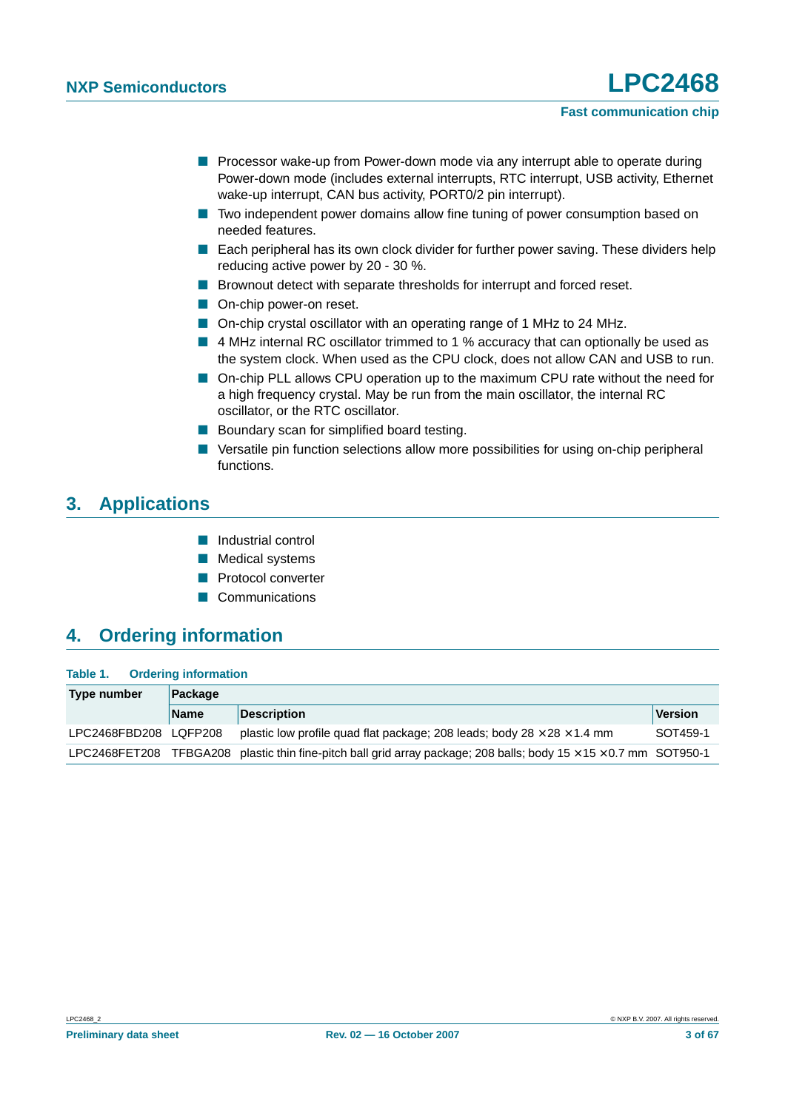- Processor wake-up from Power-down mode via any interrupt able to operate during Power-down mode (includes external interrupts, RTC interrupt, USB activity, Ethernet wake-up interrupt, CAN bus activity, PORT0/2 pin interrupt).
- Two independent power domains allow fine tuning of power consumption based on needed features.
- Each peripheral has its own clock divider for further power saving. These dividers help reducing active power by 20 - 30 %.
- Brownout detect with separate thresholds for interrupt and forced reset.
- On-chip power-on reset.
- On-chip crystal oscillator with an operating range of 1 MHz to 24 MHz.
- 4 MHz internal RC oscillator trimmed to 1 % accuracy that can optionally be used as the system clock. When used as the CPU clock, does not allow CAN and USB to run.
- On-chip PLL allows CPU operation up to the maximum CPU rate without the need for a high frequency crystal. May be run from the main oscillator, the internal RC oscillator, or the RTC oscillator.
- Boundary scan for simplified board testing.
- Versatile pin function selections allow more possibilities for using on-chip peripheral functions.

## <span id="page-2-0"></span>**3. Applications**

- Industrial control
- Medical systems
- Protocol converter
- Communications

## <span id="page-2-1"></span>**4. Ordering information**

#### **Table 1. Ordering information**

| Type number           | Package     |                                                                                                                 |          |  |  |  |  |  |  |  |
|-----------------------|-------------|-----------------------------------------------------------------------------------------------------------------|----------|--|--|--|--|--|--|--|
|                       | <b>Name</b> | <b>Description</b>                                                                                              | Version  |  |  |  |  |  |  |  |
| LPC2468FBD208 LQFP208 |             | plastic low profile quad flat package; 208 leads; body $28 \times 28 \times 1.4$ mm                             | SOT459-1 |  |  |  |  |  |  |  |
| LPC2468FET208         |             | TFBGA208 plastic thin fine-pitch ball grid array package; 208 balls; body $15 \times 15 \times 0.7$ mm SOT950-1 |          |  |  |  |  |  |  |  |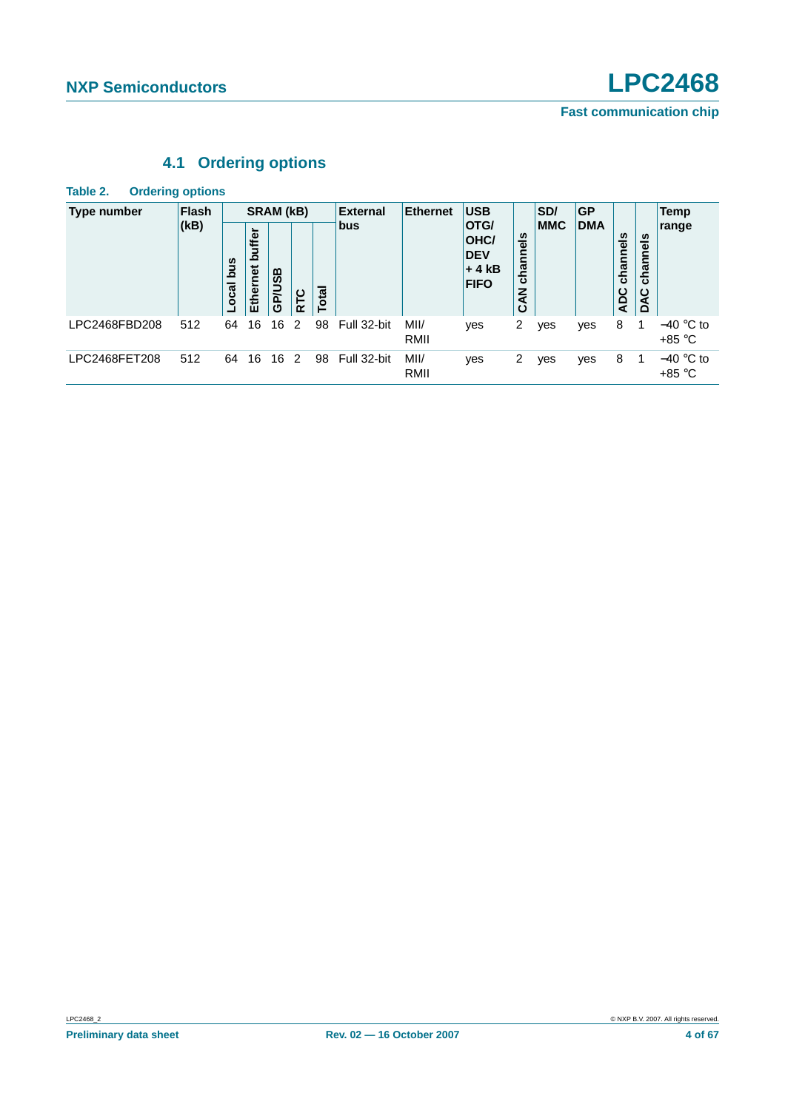## **4.1 Ordering options**

<span id="page-3-0"></span>**Table 2. Ordering options**

| Type number   | <b>Flash</b> | SRAM (kB)                                                                                |    |                                                                                         |                |            | <b>External</b> | Ethernet        | <b>USB</b>      |                | SD/ | <b>GP</b> |   |  | Temp                    |
|---------------|--------------|------------------------------------------------------------------------------------------|----|-----------------------------------------------------------------------------------------|----------------|------------|-----------------|-----------------|-----------------|----------------|-----|-----------|---|--|-------------------------|
|               | (kB)         | <b>bus</b><br>uffer<br>ءَ<br>snq<br>Ethernet<br>GP/USB<br>ocal<br><b>Total</b><br>ပ<br>군 |    | <b>OTG/</b><br>channels<br>OHC/<br><b>DEV</b><br>$+4kB$<br><b>FIFO</b><br><b>Z</b><br>ن |                | <b>MMC</b> | <b>DMA</b>      | channels<br>ADC | channels<br>DAC | range          |     |           |   |  |                         |
| LPC2468FBD208 | 512          | 64                                                                                       | 16 | 16                                                                                      | 2              | 98         | Full 32-bit     | MII/<br>RMII    | yes             | 2              | yes | yes       | 8 |  | $-40$ °C to<br>$+85 °C$ |
| LPC2468FET208 | 512          | 64                                                                                       | 16 | 16                                                                                      | $\overline{2}$ | 98         | Full 32-bit     | MII/<br>RMII    | yes             | $\overline{2}$ | ves | yes       | 8 |  | $-40$ °C to<br>+85 °C   |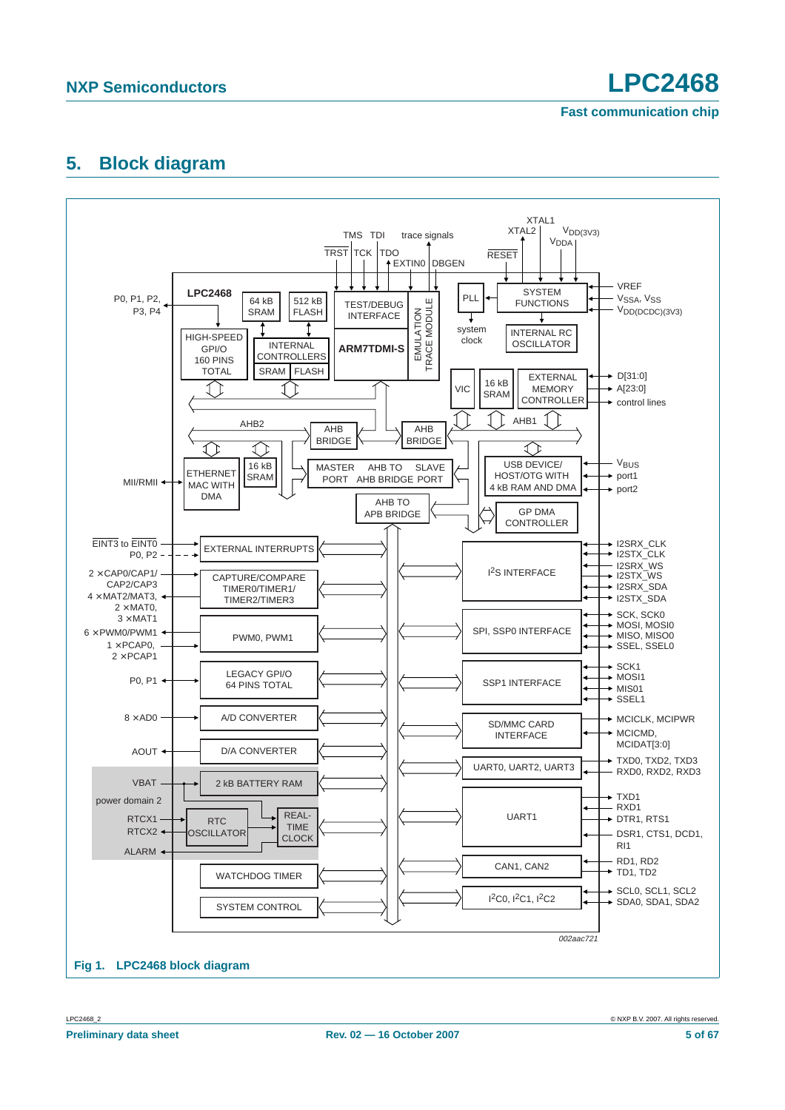## <span id="page-4-0"></span>**5. Block diagram**

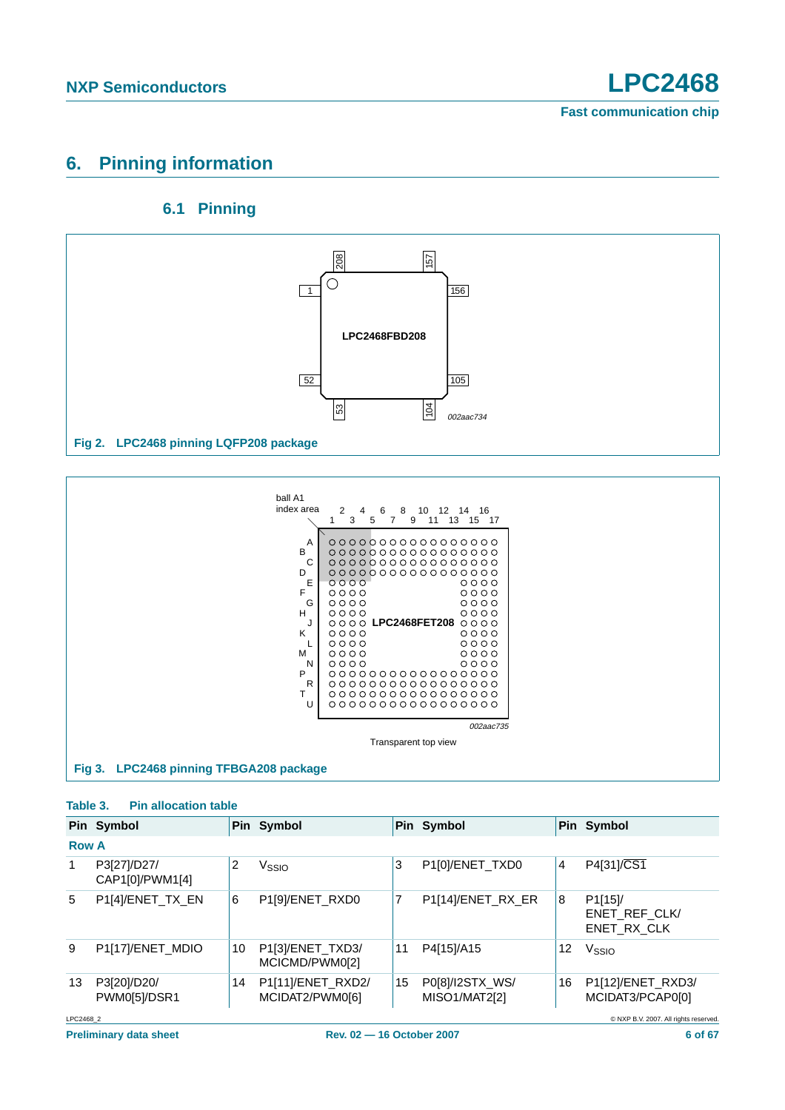## <span id="page-5-0"></span>**6. Pinning information**

### **6.1 Pinning**

<span id="page-5-1"></span>



#### **Table 3. Pin allocation table**

|              | Pin Symbol                     |    | Pin Symbol                           |    | Pin Symbol                       |    | Pin Symbol                                           |
|--------------|--------------------------------|----|--------------------------------------|----|----------------------------------|----|------------------------------------------------------|
| <b>Row A</b> |                                |    |                                      |    |                                  |    |                                                      |
| 1            | P3[27]/D27/<br>CAP1[0]/PWM1[4] | 2  | Vssio                                | 3  | P1[0]/ENET_TXD0                  | 4  | P4[31]/CS1                                           |
| 5            | P1[4]/ENET_TX_EN               | 6  | P1[9]/ENET_RXD0                      | 7  | P1[14]/ENET_RX_ER                | 8  | P <sub>1</sub> [15]/<br>ENET REF CLK/<br>ENET RX CLK |
| 9            | P1[17]/ENET_MDIO               | 10 | P1[3]/ENET_TXD3/<br>MCICMD/PWM0[2]   | 11 | P4[15]/A15                       | 12 | V <sub>SSIO</sub>                                    |
| 13           | P3[20]/D20/<br>PWM0[5]/DSR1    | 14 | P1[11]/ENET_RXD2/<br>MCIDAT2/PWM0[6] | 15 | P0[8]/I2STX_WS/<br>MISO1/MAT2[2] | 16 | P1[12]/ENET_RXD3/<br>MCIDAT3/PCAP0[0]                |
| LPC2468 2    |                                |    |                                      |    |                                  |    | © NXP B.V. 2007. All rights reserved.                |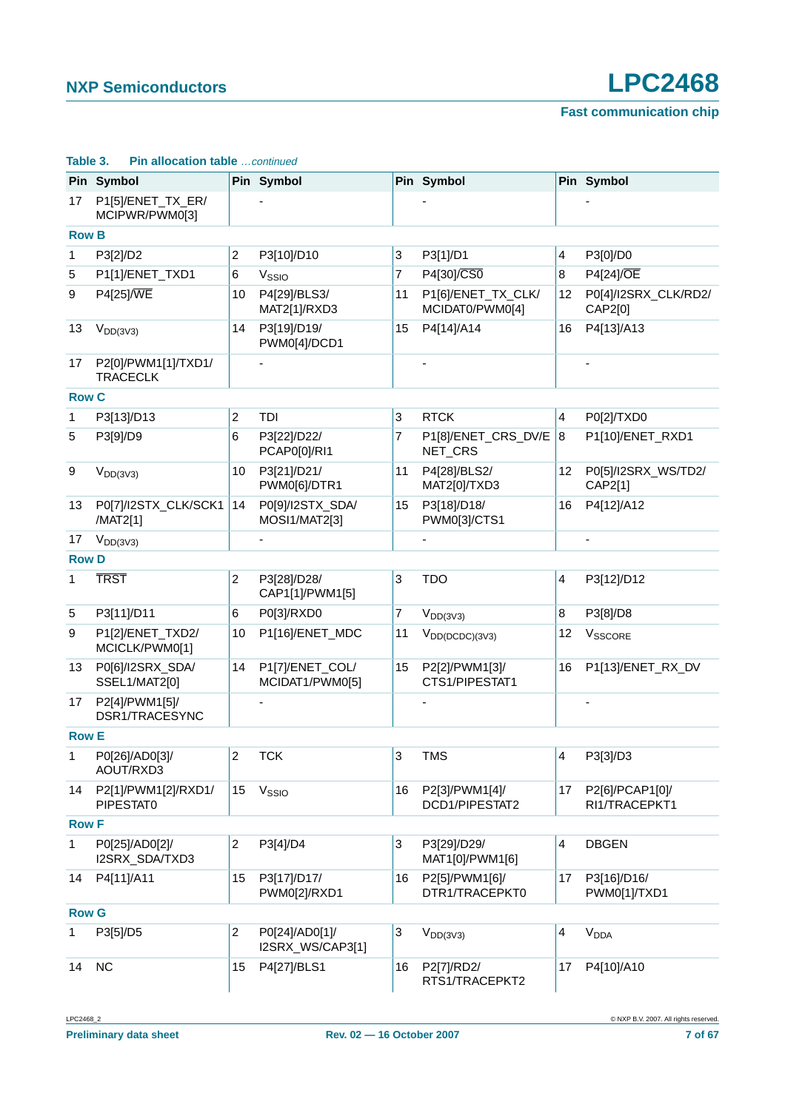|              | Pin Symbol                             |                | Pin Symbol                         |    | Pin Symbol                            |                         | Pin Symbol                       |
|--------------|----------------------------------------|----------------|------------------------------------|----|---------------------------------------|-------------------------|----------------------------------|
| 17           | P1[5]/ENET_TX_ER/<br>MCIPWR/PWM0[3]    |                |                                    |    |                                       |                         |                                  |
| <b>Row B</b> |                                        |                |                                    |    |                                       |                         |                                  |
| 1            | P3[2]/D2                               | 2              | P3[10]/D10                         | 3  | P3[1]/D1                              | 4                       | P3[0]/D0                         |
| 5            | P1[1]/ENET_TXD1                        | 6              | V <sub>SSIO</sub>                  | 7  | P4[30]/CS0                            | 8                       | P4[24]/OE                        |
| 9            | P4[25]/WE                              | 10             | P4[29]/BLS3/<br>MAT2[1]/RXD3       | 11 | P1[6]/ENET_TX_CLK/<br>MCIDAT0/PWM0[4] | 12                      | P0[4]/I2SRX_CLK/RD2/<br>CAP2[0]  |
| 13           | $V_{DD(3V3)}$                          | 14             | P3[19]/D19/<br>PWM0[4]/DCD1        | 15 | P4[14]/A14                            | 16                      | P4[13]/A13                       |
| 17           | P2[0]/PWM1[1]/TXD1/<br><b>TRACECLK</b> |                |                                    |    |                                       |                         |                                  |
| <b>Row C</b> |                                        |                |                                    |    |                                       |                         |                                  |
| 1            | P3[13]/D13                             | 2              | TDI                                | 3  | <b>RTCK</b>                           | 4                       | P0[2]/TXD0                       |
| 5            | P3[9]/D9                               | 6              | P3[22]/D22/<br>PCAP0[0]/RI1        | 7  | P1[8]/ENET_CRS_DV/E<br>NET_CRS        | 8                       | P1[10]/ENET_RXD1                 |
| 9            | $V_{DD(3V3)}$                          | 10             | P3[21]/D21/<br>PWM0[6]/DTR1        | 11 | P4[28]/BLS2/<br>MAT2[0]/TXD3          | 12 <sub>2</sub>         | P0[5]/I2SRX_WS/TD2/<br>CAP2[1]   |
| 13           | P0[7]/I2STX_CLK/SCK1<br>/MAT2[1]       | 14             | P0[9]/I2STX_SDA/<br>MOSI1/MAT2[3]  | 15 | P3[18]/D18/<br>PWM0[3]/CTS1           | 16                      | P4[12]/A12                       |
| 17           | $V_{DD(3V3)}$                          |                |                                    |    |                                       |                         |                                  |
| <b>Row D</b> |                                        |                |                                    |    |                                       |                         |                                  |
| $\mathbf{1}$ | <b>TRST</b>                            | 2              | P3[28]/D28/<br>CAP1[1]/PWM1[5]     | 3  | <b>TDO</b>                            | 4                       | P3[12]/D12                       |
| 5            | P3[11]/D11                             | 6              | P0[3]/RXD0                         | 7  | $V_{DD(3V3)}$                         | $\overline{\mathbf{8}}$ | P3[8]/D8                         |
| 9            | P1[2]/ENET_TXD2/<br>MCICLK/PWM0[1]     | 10             | P1[16]/ENET_MDC                    | 11 | $V_{DD(DCDC)(3V3)}$                   | 12                      | VSSCORE                          |
| 13           | P0[6]/I2SRX_SDA/<br>SSEL1/MAT2[0]      | 14             | P1[7]/ENET_COL/<br>MCIDAT1/PWM0[5] | 15 | P2[2]/PWM1[3]/<br>CTS1/PIPESTAT1      | 16                      | P1[13]/ENET_RX_DV                |
| 17           | P2[4]/PWM1[5]/<br>DSR1/TRACESYNC       |                |                                    |    |                                       |                         |                                  |
| <b>Row E</b> |                                        |                |                                    |    |                                       |                         |                                  |
| 1            | P0[26]/AD0[3]/<br>AOUT/RXD3            | $\overline{c}$ | <b>TCK</b>                         | 3  | <b>TMS</b>                            | 4                       | P3[3]/D3                         |
| 14           | P2[1]/PWM1[2]/RXD1/<br>PIPESTAT0       | 15             | V <sub>SSIO</sub>                  | 16 | P2[3]/PWM1[4]/<br>DCD1/PIPESTAT2      | 17                      | P2[6]/PCAP1[0]/<br>RI1/TRACEPKT1 |
| <b>Row F</b> |                                        |                |                                    |    |                                       |                         |                                  |
| $\mathbf{1}$ | P0[25]/AD0[2]/<br>I2SRX_SDA/TXD3       | 2              | P3[4]/D4                           | 3  | P3[29]/D29/<br>MAT1[0]/PWM1[6]        | 4                       | <b>DBGEN</b>                     |
| 14           | P4[11]/A11                             | 15             | P3[17]/D17/<br>PWM0[2]/RXD1        | 16 | P2[5]/PWM1[6]/<br>DTR1/TRACEPKT0      | 17                      | P3[16]/D16/<br>PWM0[1]/TXD1      |
| <b>Row G</b> |                                        |                |                                    |    |                                       |                         |                                  |
| 1            | P3[5]/D5                               | $\overline{c}$ | P0[24]/AD0[1]/<br>I2SRX_WS/CAP3[1] | 3  | $V_{DD(3V3)}$                         | 4                       | <b>V<sub>DDA</sub></b>           |
| 14           | <b>NC</b>                              | 15             | P4[27]/BLS1                        | 16 | P2[7]/RD2/<br>RTS1/TRACEPKT2          | 17                      | P4[10]/A10                       |

### **Table 3. Pin allocation table** …continued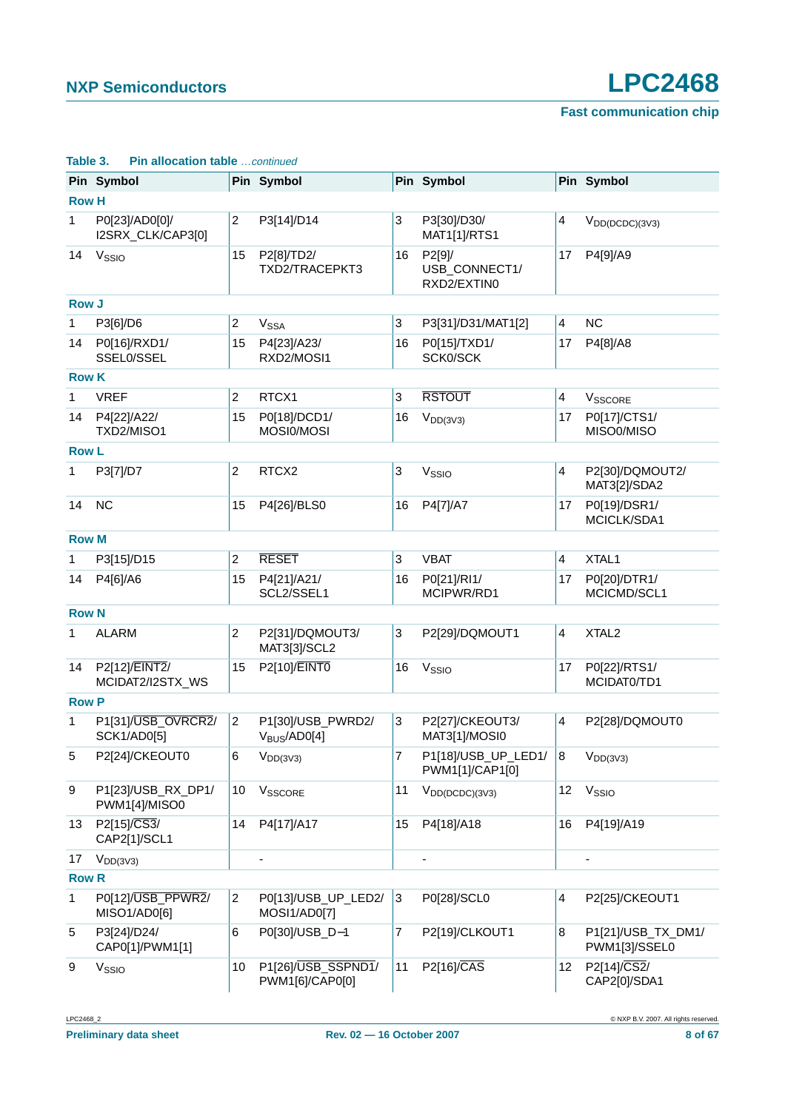|              | Pin Symbol                          |                | Pin Symbol                             |                | Pin Symbol                             |                 | Pin Symbol                          |  |  |  |  |
|--------------|-------------------------------------|----------------|----------------------------------------|----------------|----------------------------------------|-----------------|-------------------------------------|--|--|--|--|
| <b>Row H</b> |                                     |                |                                        |                |                                        |                 |                                     |  |  |  |  |
| 1            | P0[23]/AD0[0]/<br>I2SRX_CLK/CAP3[0] | $\overline{c}$ | P3[14]/D14                             | 3              | P3[30]/D30/<br>MAT1[1]/RTS1            | 4               | $V_{DD(DCDC)(3V3)}$                 |  |  |  |  |
| 14           | V <sub>SSIO</sub>                   | 15             | P2[8]/TD2/<br>TXD2/TRACEPKT3           | 16             | P2[9]/<br>USB_CONNECT1/<br>RXD2/EXTIN0 | 17              | P4[9]/A9                            |  |  |  |  |
| <b>Row J</b> |                                     |                |                                        |                |                                        |                 |                                     |  |  |  |  |
| 1            | P3[6]/D6                            | 2              | V <sub>SSA</sub>                       | 3              | P3[31]/D31/MAT1[2]                     | 4               | <b>NC</b>                           |  |  |  |  |
| 14           | P0[16]/RXD1/<br>SSEL0/SSEL          | 15             | P4[23]/A23/<br>RXD2/MOSI1              | 16             | P0[15]/TXD1/<br>SCK0/SCK               | 17              | P4[8]/A8                            |  |  |  |  |
| <b>Row K</b> |                                     |                |                                        |                |                                        |                 |                                     |  |  |  |  |
| 1            | <b>VREF</b>                         | 2              | RTCX1                                  | 3              | <b>RSTOUT</b>                          | 4               | V <sub>SSCORE</sub>                 |  |  |  |  |
| 14           | P4[22]/A22/<br>TXD2/MISO1           | 15             | P0[18]/DCD1/<br>MOSI0/MOSI             | 16             | $V_{DD(3V3)}$                          | 17              | P0[17]/CTS1/<br>MISO0/MISO          |  |  |  |  |
| <b>Row L</b> |                                     |                |                                        |                |                                        |                 |                                     |  |  |  |  |
| 1            | P3[7]/D7                            | 2              | RTCX2                                  | 3              | V <sub>SSIO</sub>                      | 4               | P2[30]/DQMOUT2/<br>MAT3[2]/SDA2     |  |  |  |  |
| 14           | <b>NC</b>                           | 15             | P4[26]/BLS0<br>16                      |                | P4[7]/A7                               | 17              | P0[19]/DSR1/<br>MCICLK/SDA1         |  |  |  |  |
|              | <b>Row M</b>                        |                |                                        |                |                                        |                 |                                     |  |  |  |  |
| 1            | P3[15]/D15                          | 2              | <b>RESET</b>                           | 3              | <b>VBAT</b>                            | 4               | XTAL1                               |  |  |  |  |
| 14           | P4[6]/A6                            | 15             | P4[21]/A21/<br>SCL2/SSEL1              | 16             | P0[21]/RI1/<br>MCIPWR/RD1              | 17              | P0[20]/DTR1/<br>MCICMD/SCL1         |  |  |  |  |
| <b>Row N</b> |                                     |                |                                        |                |                                        |                 |                                     |  |  |  |  |
| 1            | <b>ALARM</b>                        | 2              | P2[31]/DQMOUT3/<br>MAT3[3]/SCL2        | 3              | P2[29]/DQMOUT1                         | 4               | XTAL <sub>2</sub>                   |  |  |  |  |
| 14           | P2[12]/EINT2/<br>MCIDAT2/I2STX_WS   | 15             | P2[10]/EINT0                           | 16             | V <sub>SSIO</sub>                      | 17              | P0[22]/RTS1/<br>MCIDAT0/TD1         |  |  |  |  |
| <b>Row P</b> |                                     |                |                                        |                |                                        |                 |                                     |  |  |  |  |
| 1            | P1[31]/USB_OVRCR2/<br>SCK1/AD0[5]   | $\overline{2}$ | P1[30]/USB_PWRD2/<br>$V_{BUS}$ /AD0[4] | 3              | P2[27]/CKEOUT3/<br>MAT3[1]/MOSI0       | 4               | P2[28]/DQMOUT0                      |  |  |  |  |
| 5            | P2[24]/CKEOUT0                      | 6              | $V_{DD(3V3)}$                          | $\overline{7}$ | P1[18]/USB_UP_LED1/<br>PWM1[1]/CAP1[0] | 8               | $V_{DD(3V3)}$                       |  |  |  |  |
| 9            | P1[23]/USB_RX_DP1/<br>PWM1[4]/MISO0 | 10             | VSSCORE                                | 11             | $V_{DD(DCDC)(3V3)}$                    | 12              | V <sub>SSIO</sub>                   |  |  |  |  |
| 13           | P2[15]/CS3/<br>CAP2[1]/SCL1         | 14             | P4[17]/A17                             | 15             | P4[18]/A18                             | 16              | P4[19]/A19                          |  |  |  |  |
| 17           | $V_{DD(3V3)}$                       |                | $\overline{\phantom{a}}$               |                | $\overline{\phantom{a}}$               |                 |                                     |  |  |  |  |
| <b>Row R</b> |                                     |                |                                        |                |                                        |                 |                                     |  |  |  |  |
| 1            | P0[12]/USB_PPWR2/<br>MISO1/AD0[6]   | $\overline{2}$ | P0[13]/USB_UP_LED2/<br>MOSI1/AD0[7]    | 3              | P0[28]/SCL0                            | 4               | P2[25]/CKEOUT1                      |  |  |  |  |
| 5            | P3[24]/D24/<br>CAP0[1]/PWM1[1]      | 6              | P0[30]/USB_D-1                         | 7              | P2[19]/CLKOUT1                         | 8               | P1[21]/USB_TX_DM1/<br>PWM1[3]/SSEL0 |  |  |  |  |
| 9            | V <sub>SSIO</sub>                   | 10             | P1[26]/USB_SSPND1/<br>PWM1[6]/CAP0[0]  | 11             | P2[16]/CAS                             | 12 <sup>°</sup> | P2[14]/CS2/<br>CAP2[0]/SDA1         |  |  |  |  |

#### **Table 3. Pin allocation table** …continued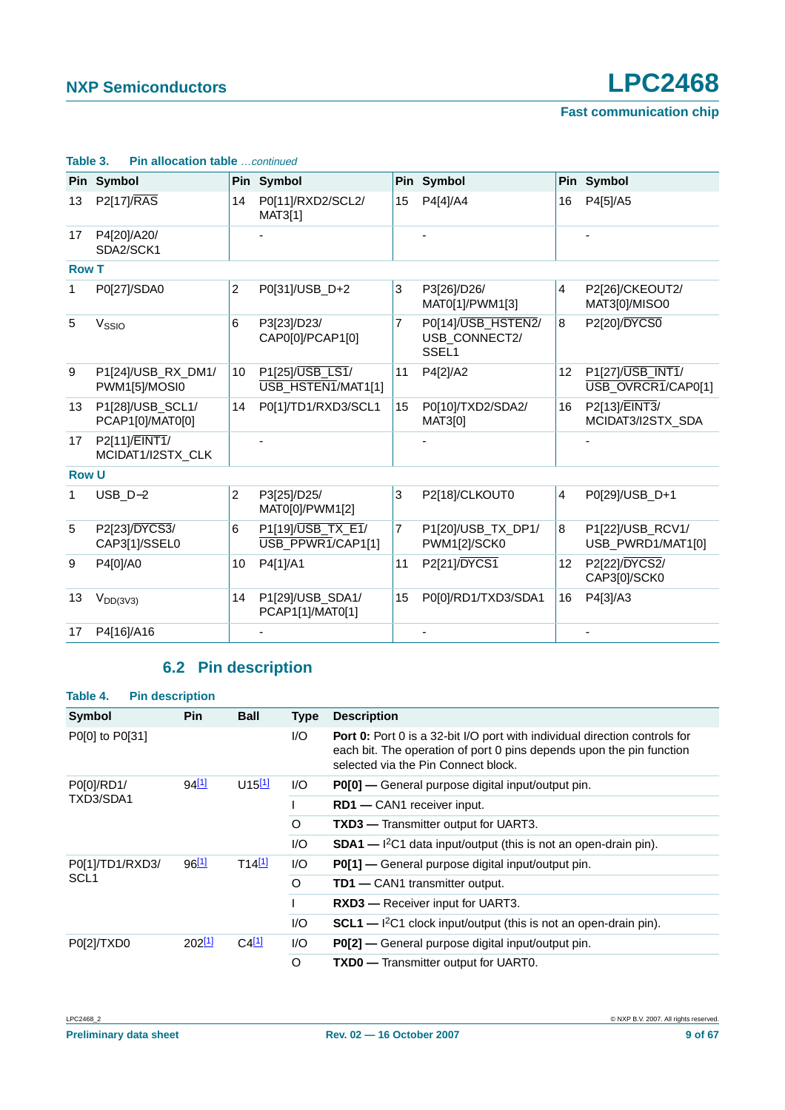|              | Pin Symbol                           |                 | Pin Symbol                             |    | Pin Symbol                                               |                 | Pin Symbol                             |
|--------------|--------------------------------------|-----------------|----------------------------------------|----|----------------------------------------------------------|-----------------|----------------------------------------|
| 13           | <b>P2[17]/RAS</b>                    | 14              | P0[11]/RXD2/SCL2/<br>MAT3[1]           | 15 | P4[4]/A4                                                 | 16              | P4[5]/A5                               |
| 17           | P4[20]/A20/<br>SDA2/SCK1             |                 |                                        |    |                                                          |                 |                                        |
| <b>Row T</b> |                                      |                 |                                        |    |                                                          |                 |                                        |
| 1            | P0[27]/SDA0                          | $\overline{c}$  | P0[31]/USB_D+2                         | 3  | P3[26]/D26/<br>MAT0[1]/PWM1[3]                           | $\overline{4}$  | P2[26]/CKEOUT2/<br>MAT3[0]/MISO0       |
| 5            | V <sub>SSIO</sub>                    | 6               | P3[23]/D23/<br>CAP0[0]/PCAP1[0]        | 7  | P0[14]/USB_HSTEN2/<br>USB_CONNECT2/<br>SSEL <sub>1</sub> | 8               | P2[20]/DYCS0                           |
| 9            | P1[24]/USB_RX_DM1/<br>PWM1[5]/MOSI0  | 10 <sup>1</sup> | P1[25]/USB_LS1/<br>USB_HSTEN1/MAT1[1]  | 11 | P4[2]/A2                                                 | 12              | P1[27]/USB_INT1/<br>USB_OVRCR1/CAP0[1] |
| 13           | P1[28]/USB_SCL1/<br>PCAP1[0]/MAT0[0] | 14              | P0[1]/TD1/RXD3/SCL1                    | 15 | P0[10]/TXD2/SDA2/<br>MAT3[0]                             | 16              | P2[13]/EINT3/<br>MCIDAT3/I2STX_SDA     |
| 17           | P2[11]/EINT1/<br>MCIDAT1/I2STX_CLK   |                 |                                        |    |                                                          |                 |                                        |
| <b>Row U</b> |                                      |                 |                                        |    |                                                          |                 |                                        |
| 1            | $USB_D-2$                            | $\overline{2}$  | P3[25]/D25/<br>MAT0[0]/PWM1[2]         | 3  | P2[18]/CLKOUT0                                           | $\overline{4}$  | P0[29]/USB_D+1                         |
| 5            | P2[23]/DYCS3/<br>CAP3[1]/SSEL0       | 6               | P1[19]/USB_TX_E1/<br>USB_PPWR1/CAP1[1] | 7  | P1[20]/USB_TX_DP1/<br>PWM1[2]/SCK0                       | 8               | P1[22]/USB_RCV1/<br>USB_PWRD1/MAT1[0]  |
| 9            | P4[0]/A0                             | 10              | P4[1]/A1                               | 11 | P2[21]/DYCS1                                             | 12 <sup>2</sup> | P2[22]/DYCS2/<br>CAP3[0]/SCK0          |
| 13           | $V_{DD(3V3)}$                        | 14              | P1[29]/USB_SDA1/<br>PCAP1[1]/MAT0[1]   | 15 | P0[0]/RD1/TXD3/SDA1                                      | 16              | P4[3]/A3                               |
| 17           | P4[16]/A16                           |                 |                                        |    |                                                          |                 |                                        |

#### **Table 3. Pin allocation table** …continued

## **6.2 Pin description**

<span id="page-8-0"></span>

| Table 4.         | <b>Pin description</b> |                      |             |                                                                                                                                                                                                  |  |  |  |  |  |
|------------------|------------------------|----------------------|-------------|--------------------------------------------------------------------------------------------------------------------------------------------------------------------------------------------------|--|--|--|--|--|
| <b>Symbol</b>    | <b>Pin</b>             | <b>Ball</b>          | <b>Type</b> | <b>Description</b>                                                                                                                                                                               |  |  |  |  |  |
| P0[0] to P0[31]  |                        |                      | 1/O         | <b>Port 0:</b> Port 0 is a 32-bit I/O port with individual direction controls for<br>each bit. The operation of port 0 pins depends upon the pin function<br>selected via the Pin Connect block. |  |  |  |  |  |
| P0[0]/RD1/       | 94[1]                  | $U15$ <sup>[1]</sup> | 1/O         | <b>P0[0]</b> — General purpose digital input/output pin.                                                                                                                                         |  |  |  |  |  |
| TXD3/SDA1        |                        |                      |             | <b>RD1</b> — CAN1 receiver input.                                                                                                                                                                |  |  |  |  |  |
|                  |                        |                      | O           | <b>TXD3</b> — Transmitter output for UART3.                                                                                                                                                      |  |  |  |  |  |
|                  |                        |                      | 1/O         | $SDA1$ - $I^2C1$ data input/output (this is not an open-drain pin).                                                                                                                              |  |  |  |  |  |
| P0[1]/TD1/RXD3/  | $96^{[1]}$             | $T14^{[1]}$          | 1/O         | <b>P0[1]</b> — General purpose digital input/output pin.                                                                                                                                         |  |  |  |  |  |
| SCL <sub>1</sub> |                        |                      | O           | <b>TD1</b> — CAN1 transmitter output.                                                                                                                                                            |  |  |  |  |  |
|                  |                        |                      |             | <b>RXD3</b> — Receiver input for UART3.                                                                                                                                                          |  |  |  |  |  |
|                  |                        |                      | 1/O         | $SCL1$ — ${}^{12}C1$ clock input/output (this is not an open-drain pin).                                                                                                                         |  |  |  |  |  |
| P0[2]/TXD0       | 202[1]                 | $C4$ <sup>[1]</sup>  | I/O         | <b>P0[2]</b> — General purpose digital input/output pin.                                                                                                                                         |  |  |  |  |  |
|                  |                        |                      | O           | <b>TXD0</b> — Transmitter output for UART0.                                                                                                                                                      |  |  |  |  |  |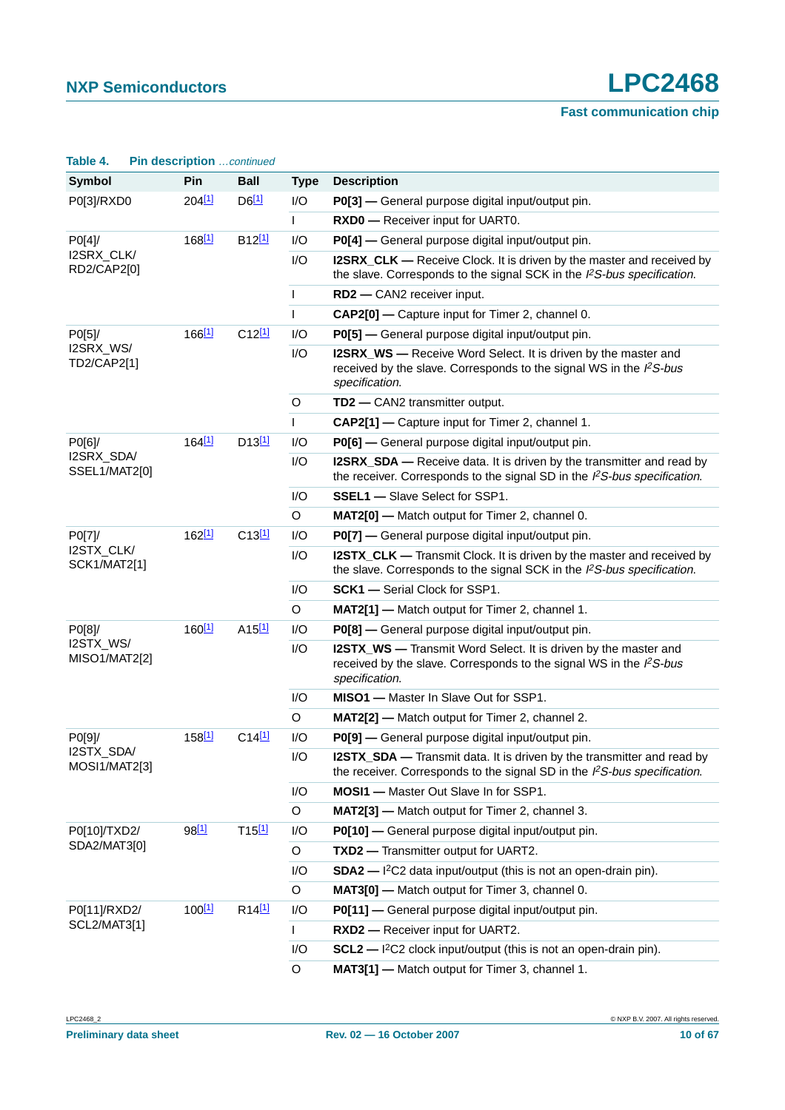| Table 4.                          | Pin description  continued |                      |              |                                                                                                                                                                             |
|-----------------------------------|----------------------------|----------------------|--------------|-----------------------------------------------------------------------------------------------------------------------------------------------------------------------------|
| <b>Symbol</b>                     | Pin                        | <b>Ball</b>          | <b>Type</b>  | <b>Description</b>                                                                                                                                                          |
| P0[3]/RXD0                        | 204 <sup>[1]</sup>         | $D6$ <sup>[1]</sup>  | 1/O          | P0[3] - General purpose digital input/output pin.                                                                                                                           |
|                                   |                            |                      | L            | RXD0 - Receiver input for UART0.                                                                                                                                            |
| PO[4]                             | 168 <sup>[1]</sup>         | B <sub>12</sub> [1]  | I/O          | P0[4] - General purpose digital input/output pin.                                                                                                                           |
| I2SRX_CLK/<br>RD2/CAP2[0]         |                            |                      | I/O          | <b>I2SRX_CLK</b> — Receive Clock. It is driven by the master and received by<br>the slave. Corresponds to the signal SCK in the $PS-bus$ specification.                     |
|                                   |                            |                      | $\mathsf{I}$ | RD2 - CAN2 receiver input.                                                                                                                                                  |
|                                   |                            |                      | $\mathsf{I}$ | CAP2[0] - Capture input for Timer 2, channel 0.                                                                                                                             |
| P0[5]/                            | $166$ <sup>[1]</sup>       | $C12^{[1]}$          | I/O          | P0[5] - General purpose digital input/output pin.                                                                                                                           |
| I2SRX_WS/<br>TD2/CAP2[1]          |                            |                      | I/O          | <b>I2SRX_WS</b> — Receive Word Select. It is driven by the master and<br>received by the slave. Corresponds to the signal WS in the $l^2S$ -bus<br>specification.           |
|                                   |                            |                      | O            | TD2 - CAN2 transmitter output.                                                                                                                                              |
|                                   |                            |                      | $\mathsf{L}$ | CAP2[1] - Capture input for Timer 2, channel 1.                                                                                                                             |
| PO[6]                             | 164 <sup>[1]</sup>         | $D13$ <sup>[1]</sup> | I/O          | P0[6] - General purpose digital input/output pin.                                                                                                                           |
| I2SRX_SDA/<br>SSEL1/MAT2[0]       |                            |                      | I/O          | <b>I2SRX_SDA</b> — Receive data. It is driven by the transmitter and read by<br>the receiver. Corresponds to the signal SD in the $l^2S$ -bus specification.                |
|                                   |                            |                      | I/O          | <b>SSEL1</b> - Slave Select for SSP1.                                                                                                                                       |
|                                   |                            |                      | O            | MAT2[0] - Match output for Timer 2, channel 0.                                                                                                                              |
| P0[7]/                            | 162 <sup>[1]</sup>         | C13[1]               | I/O          | P0[7] - General purpose digital input/output pin.                                                                                                                           |
| I2STX_CLK/<br><b>SCK1/MAT2[1]</b> |                            |                      | I/O          | <b>I2STX_CLK</b> — Transmit Clock. It is driven by the master and received by<br>the slave. Corresponds to the signal SCK in the I <sup>2</sup> S-bus specification.        |
|                                   |                            |                      | I/O          | <b>SCK1</b> - Serial Clock for SSP1.                                                                                                                                        |
|                                   |                            |                      | O            | MAT2[1] - Match output for Timer 2, channel 1.                                                                                                                              |
| P0[8]/                            | 160 <sup>[1]</sup>         | $A15$ <sup>[1]</sup> | I/O          | P0[8] - General purpose digital input/output pin.                                                                                                                           |
| I2STX_WS/<br>MISO1/MAT2[2]        |                            |                      | I/O          | <b>I2STX_WS</b> — Transmit Word Select. It is driven by the master and<br>received by the slave. Corresponds to the signal WS in the I <sup>2</sup> S-bus<br>specification. |
|                                   |                            |                      | I/O          | MISO1 - Master In Slave Out for SSP1.                                                                                                                                       |
|                                   |                            |                      | O            | MAT2[2] - Match output for Timer 2, channel 2.                                                                                                                              |
| P0[9]/                            | 158 <sup>[1]</sup>         | $C14^{[1]}$          | I/O          | P0[9] - General purpose digital input/output pin.                                                                                                                           |
| I2STX_SDA/<br>MOSI1/MAT2[3]       |                            |                      | I/O          | <b>I2STX_SDA</b> — Transmit data. It is driven by the transmitter and read by<br>the receiver. Corresponds to the signal SD in the $l^2S$ -bus specification.               |
|                                   |                            |                      | I/O          | MOSI1 - Master Out Slave In for SSP1.                                                                                                                                       |
|                                   |                            |                      | O            | MAT2[3] - Match output for Timer 2, channel 3.                                                                                                                              |
| P0[10]/TXD2/                      | 98 <sup>[1]</sup>          | T15[1]               | I/O          | P0[10] - General purpose digital input/output pin.                                                                                                                          |
| SDA2/MAT3[0]                      |                            |                      | O            | TXD2 - Transmitter output for UART2.                                                                                                                                        |
|                                   |                            |                      | I/O          | $SDA2 - l^2C2$ data input/output (this is not an open-drain pin).                                                                                                           |
|                                   |                            |                      | O            | MAT3[0] - Match output for Timer 3, channel 0.                                                                                                                              |
| P0[11]/RXD2/                      | $100^{[1]}$                | R <sub>14[1]</sub>   | I/O          | P0[11] - General purpose digital input/output pin.                                                                                                                          |
| <b>SCL2/MAT3[1]</b>               |                            |                      | L            | RXD2 - Receiver input for UART2.                                                                                                                                            |
|                                   |                            |                      | I/O          | $SCL2$ - $1^2C2$ clock input/output (this is not an open-drain pin).                                                                                                        |
|                                   |                            |                      | O            | MAT3[1] - Match output for Timer 3, channel 1.                                                                                                                              |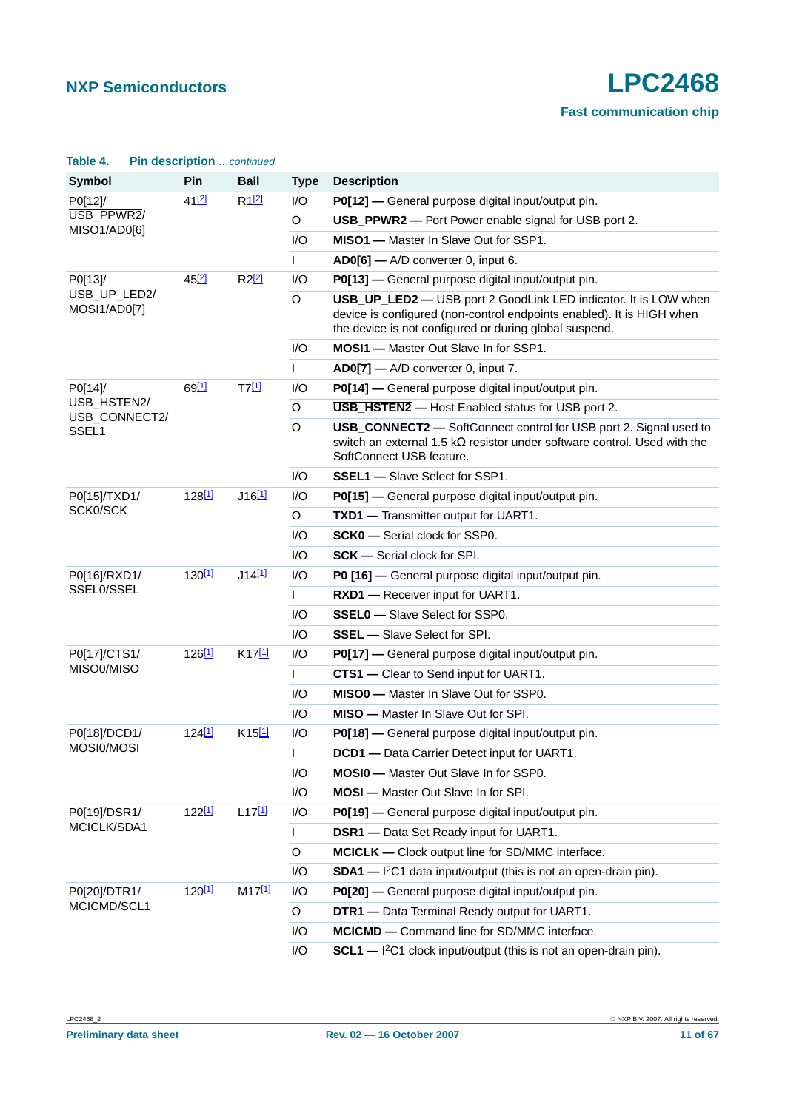**Fast communication chip**

|                              | $\ldots$ above ip those $\ldots$ $\ldots$ |                      |              |                                                                                                                                                                                                    |
|------------------------------|-------------------------------------------|----------------------|--------------|----------------------------------------------------------------------------------------------------------------------------------------------------------------------------------------------------|
| <b>Symbol</b>                | <b>Pin</b>                                | <b>Ball</b>          | <b>Type</b>  | <b>Description</b>                                                                                                                                                                                 |
| P0[12]/                      | 41[2]                                     | R12                  | I/O          | P0[12] — General purpose digital input/output pin.                                                                                                                                                 |
| USB_PPWR2/<br>MISO1/AD0[6]   |                                           |                      | O            | USB_PPWR2 - Port Power enable signal for USB port 2.                                                                                                                                               |
|                              |                                           |                      | I/O          | MISO1 - Master In Slave Out for SSP1.                                                                                                                                                              |
|                              |                                           |                      | L            | AD0[6] - A/D converter 0, input 6.                                                                                                                                                                 |
| P0[13]/                      | 45 <sup>[2]</sup>                         | $R2^{2}$             | I/O          | P0[13] - General purpose digital input/output pin.                                                                                                                                                 |
| USB_UP_LED2/<br>MOSI1/AD0[7] |                                           |                      | O            | USB_UP_LED2 - USB port 2 GoodLink LED indicator. It is LOW when<br>device is configured (non-control endpoints enabled). It is HIGH when<br>the device is not configured or during global suspend. |
|                              |                                           |                      | I/O          | <b>MOSI1</b> - Master Out Slave In for SSP1.                                                                                                                                                       |
|                              |                                           |                      | L            | AD0[7] - A/D converter 0, input 7.                                                                                                                                                                 |
| P0[14]/                      | 69[1]                                     | T7[1]                | I/O          | P0[14] — General purpose digital input/output pin.                                                                                                                                                 |
| USB_HSTEN2/                  |                                           |                      | O            | <b>USB_HSTEN2</b> - Host Enabled status for USB port 2.                                                                                                                                            |
| USB_CONNECT2/<br>SSEL1       |                                           |                      | O            | USB_CONNECT2 - SoftConnect control for USB port 2. Signal used to<br>switch an external 1.5 k $\Omega$ resistor under software control. Used with the<br>SoftConnect USB feature.                  |
|                              |                                           |                      | I/O          | <b>SSEL1</b> - Slave Select for SSP1.                                                                                                                                                              |
| P0[15]/TXD1/                 | 128 <sup>[1]</sup>                        | $J16$ <sup>[1]</sup> | I/O          | P0[15] - General purpose digital input/output pin.                                                                                                                                                 |
| SCK0/SCK                     |                                           |                      | O            | TXD1 - Transmitter output for UART1.                                                                                                                                                               |
|                              |                                           |                      | I/O          | <b>SCK0</b> - Serial clock for SSP0.                                                                                                                                                               |
|                              |                                           |                      | I/O          | <b>SCK</b> - Serial clock for SPI.                                                                                                                                                                 |
| P0[16]/RXD1/                 | $130^{[1]}$                               | $J14$ <sup>[1]</sup> | I/O          | P0 [16] - General purpose digital input/output pin.                                                                                                                                                |
| SSEL0/SSEL                   |                                           |                      | $\mathbf{I}$ | RXD1 - Receiver input for UART1.                                                                                                                                                                   |
|                              |                                           |                      | 1/O          | <b>SSEL0</b> - Slave Select for SSP0.                                                                                                                                                              |
|                              |                                           |                      | 1/O          | <b>SSEL</b> - Slave Select for SPI.                                                                                                                                                                |
| P0[17]/CTS1/                 | $126^{[1]}$                               | $K17^{[1]}$          | I/O          | P0[17] — General purpose digital input/output pin.                                                                                                                                                 |
| MISO0/MISO                   |                                           |                      | $\mathbf{I}$ | CTS1 - Clear to Send input for UART1.                                                                                                                                                              |
|                              |                                           |                      | I/O          | MISO0 - Master In Slave Out for SSP0.                                                                                                                                                              |
|                              |                                           |                      | I/O          | <b>MISO</b> — Master In Slave Out for SPI.                                                                                                                                                         |
| P0[18]/DCD1/                 | 124 <sup>[1]</sup>                        | $K15^{[1]}$          | I/O          | P0[18] — General purpose digital input/output pin.                                                                                                                                                 |
| MOSI0/MOSI                   |                                           |                      | $\mathbf{L}$ | DCD1 - Data Carrier Detect input for UART1                                                                                                                                                         |
|                              |                                           |                      | I/O          | <b>MOSI0</b> - Master Out Slave In for SSP0.                                                                                                                                                       |
|                              |                                           |                      | I/O          | <b>MOSI</b> - Master Out Slave In for SPI.                                                                                                                                                         |
| P0[19]/DSR1/                 | 122 <sup>[1]</sup>                        | $L17^{[1]}$          | I/O          | P0[19] - General purpose digital input/output pin.                                                                                                                                                 |
| MCICLK/SDA1                  |                                           |                      | L            | <b>DSR1</b> - Data Set Ready input for UART1.                                                                                                                                                      |
|                              |                                           |                      | $\circ$      | MCICLK - Clock output line for SD/MMC interface.                                                                                                                                                   |
|                              |                                           |                      | I/O          | $SDA1 - l^2C1$ data input/output (this is not an open-drain pin).                                                                                                                                  |
| P0[20]/DTR1/                 | 120 <sup>[1]</sup>                        | M17[1]               | I/O          | P0[20] — General purpose digital input/output pin.                                                                                                                                                 |
| MCICMD/SCL1                  |                                           |                      | O            | DTR1 - Data Terminal Ready output for UART1.                                                                                                                                                       |
|                              |                                           |                      | I/O          | MCICMD - Command line for SD/MMC interface.                                                                                                                                                        |
|                              |                                           |                      | I/O          | SCL1 - I <sup>2</sup> C1 clock input/output (this is not an open-drain pin).                                                                                                                       |

#### **Table 4. Pin description** …continued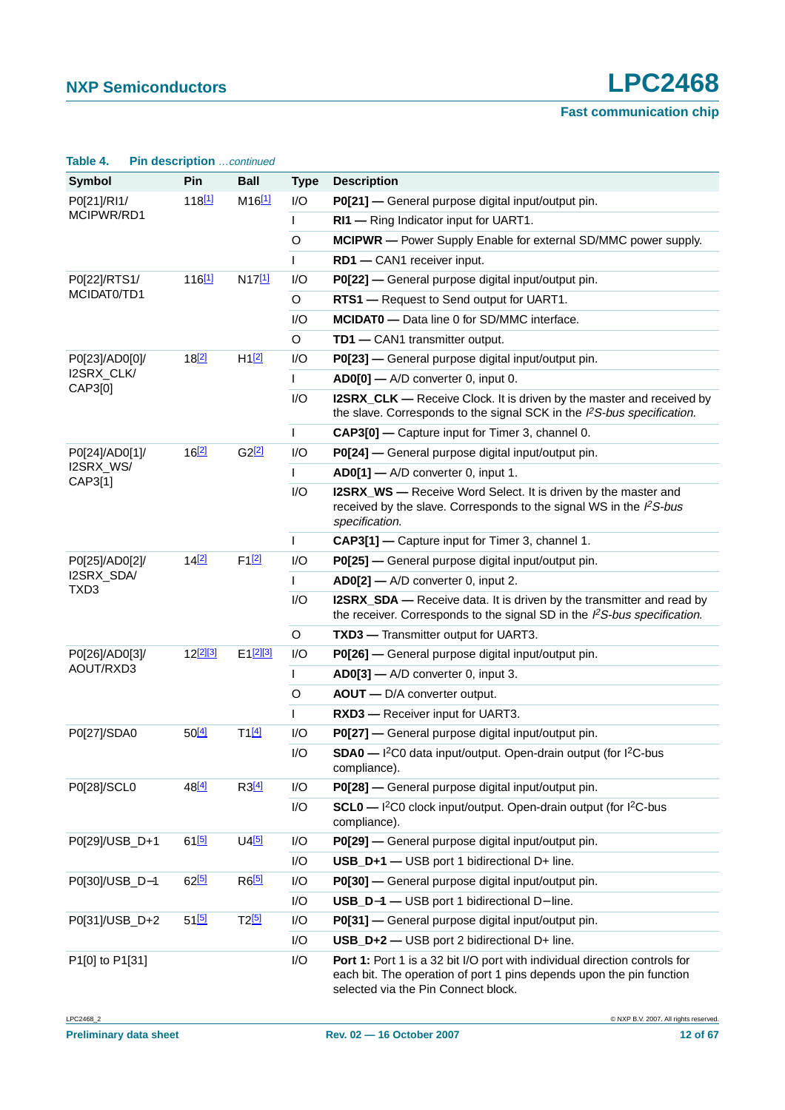| Table 4.                       | Pin description  continued |                      |              |                                                                                                                                                                                           |
|--------------------------------|----------------------------|----------------------|--------------|-------------------------------------------------------------------------------------------------------------------------------------------------------------------------------------------|
| <b>Symbol</b>                  | Pin                        | <b>Ball</b>          | <b>Type</b>  | <b>Description</b>                                                                                                                                                                        |
| P0[21]/RI1/                    | 118 <sup>[1]</sup>         | $M16$ <sup>[1]</sup> | I/O          | P0[21] — General purpose digital input/output pin.                                                                                                                                        |
| MCIPWR/RD1                     |                            |                      | L            | RI1 - Ring Indicator input for UART1.                                                                                                                                                     |
|                                |                            |                      | O            | MCIPWR - Power Supply Enable for external SD/MMC power supply.                                                                                                                            |
|                                |                            |                      | $\mathsf{L}$ | RD1 - CAN1 receiver input.                                                                                                                                                                |
| P0[22]/RTS1/                   | 116 <sup>[1]</sup>         | N17[1]               | I/O          | P0[22] - General purpose digital input/output pin.                                                                                                                                        |
| MCIDAT0/TD1                    |                            |                      | O            | RTS1 - Request to Send output for UART1.                                                                                                                                                  |
|                                |                            |                      | I/O          | <b>MCIDATO</b> - Data line 0 for SD/MMC interface.                                                                                                                                        |
|                                |                            |                      | O            | TD1 - CAN1 transmitter output.                                                                                                                                                            |
| P0[23]/AD0[0]/                 | 18[2]                      | H12                  | I/O          | P0[23] - General purpose digital input/output pin.                                                                                                                                        |
| I2SRX_CLK/<br>CAP3[0]          |                            |                      | L            | AD0[0] - A/D converter 0, input 0.                                                                                                                                                        |
|                                |                            |                      | I/O          | <b>I2SRX_CLK</b> — Receive Clock. It is driven by the master and received by<br>the slave. Corresponds to the signal SCK in the I <sup>2</sup> S-bus specification.                       |
|                                |                            |                      | $\mathsf{L}$ | CAP3[0] - Capture input for Timer 3, channel 0.                                                                                                                                           |
| P0[24]/AD0[1]/                 | 16[2]                      | G2[2]                | I/O          | P0[24] - General purpose digital input/output pin.                                                                                                                                        |
| I2SRX_WS/<br>CAP3[1]           |                            |                      | $\mathsf{L}$ | $AD0[1]$ - A/D converter 0, input 1.                                                                                                                                                      |
|                                |                            |                      | I/O          | <b>I2SRX_WS</b> — Receive Word Select. It is driven by the master and<br>received by the slave. Corresponds to the signal WS in the I <sup>2</sup> S-bus<br>specification.                |
|                                |                            |                      | $\mathsf{L}$ | CAP3[1] - Capture input for Timer 3, channel 1.                                                                                                                                           |
| P0[25]/AD0[2]/                 | 14[2]                      | $F1$ <sup>[2]</sup>  | I/O          | P0[25] - General purpose digital input/output pin.                                                                                                                                        |
| I2SRX_SDA/<br>TXD <sub>3</sub> |                            |                      | $\mathbf{I}$ | AD0[2] - A/D converter 0, input 2.                                                                                                                                                        |
|                                |                            |                      | I/O          | I2SRX_SDA — Receive data. It is driven by the transmitter and read by<br>the receiver. Corresponds to the signal SD in the $l^2S$ -bus specification.                                     |
|                                |                            |                      | O            | TXD3 - Transmitter output for UART3.                                                                                                                                                      |
| P0[26]/AD0[3]/                 | $12^{[2][3]}$              | $E1^{[2][3]}$        | I/O          | P0[26] - General purpose digital input/output pin.                                                                                                                                        |
| AOUT/RXD3                      |                            |                      | $\mathbf{I}$ | AD0[3] - A/D converter 0, input 3.                                                                                                                                                        |
|                                |                            |                      | O            | AOUT - D/A converter output.                                                                                                                                                              |
|                                |                            |                      | $\mathsf{L}$ | RXD3 - Receiver input for UART3.                                                                                                                                                          |
| P0[27]/SDA0                    | $50^{[4]}$                 | $T1^{[4]}$           | I/O          | P0[27] - General purpose digital input/output pin.                                                                                                                                        |
|                                |                            |                      | I/O          | SDA0 - I <sup>2</sup> C0 data input/output. Open-drain output (for I <sup>2</sup> C-bus<br>compliance).                                                                                   |
| P0[28]/SCL0                    | 48 <sup>[4]</sup>          | R3[4]                | I/O          | P0[28] - General purpose digital input/output pin.                                                                                                                                        |
|                                |                            |                      | I/O          | SCL0 - I <sup>2</sup> C0 clock input/output. Open-drain output (for I <sup>2</sup> C-bus<br>compliance).                                                                                  |
| P0[29]/USB_D+1                 | $61$ <sup>[5]</sup>        | $U4$ <sup>[5]</sup>  | I/O          | P0[29] - General purpose digital input/output pin.                                                                                                                                        |
|                                |                            |                      | I/O          | USB_D+1 - USB port 1 bidirectional D+ line.                                                                                                                                               |
| P0[30]/USB_D-1                 | 62[5]                      | $R6$ <sup>[5]</sup>  | I/O          | P0[30] - General purpose digital input/output pin.                                                                                                                                        |
|                                |                            |                      | I/O          | USB_D-1 - USB port 1 bidirectional D- line.                                                                                                                                               |
| P0[31]/USB_D+2                 | $51^{[5]}$                 | T2 <sup>[5]</sup>    | I/O          | P0[31] - General purpose digital input/output pin.                                                                                                                                        |
|                                |                            |                      | I/O          | USB_D+2 - USB port 2 bidirectional D+ line.                                                                                                                                               |
| P1[0] to P1[31]                |                            |                      | I/O          | Port 1: Port 1 is a 32 bit I/O port with individual direction controls for<br>each bit. The operation of port 1 pins depends upon the pin function<br>selected via the Pin Connect block. |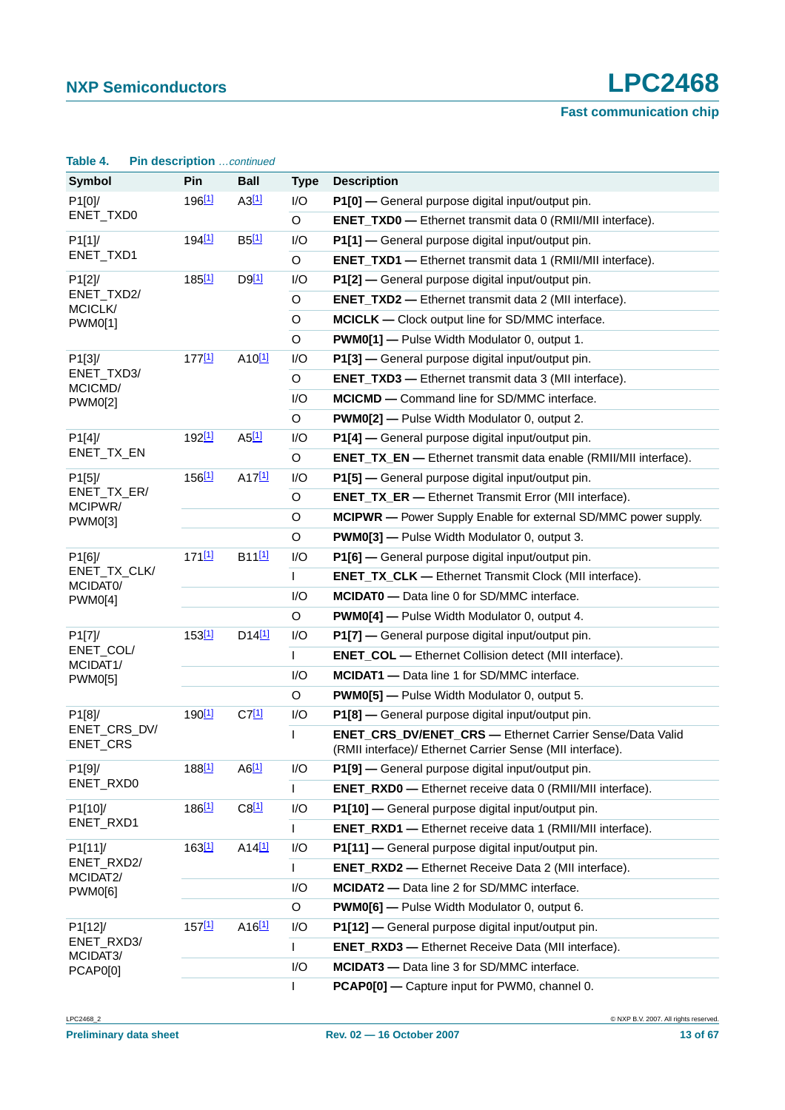| Table 4.                 |  | Pin description  continued |                      |                                                         |                                                                                                                              |
|--------------------------|--|----------------------------|----------------------|---------------------------------------------------------|------------------------------------------------------------------------------------------------------------------------------|
| <b>Symbol</b>            |  | Pin                        | <b>Ball</b>          | <b>Type</b>                                             | <b>Description</b>                                                                                                           |
| P1[0]/                   |  | 196 <sup>[1]</sup>         | A3[1]                | I/O                                                     | P1[0] - General purpose digital input/output pin.                                                                            |
| ENET_TXD0                |  |                            |                      | O                                                       | <b>ENET_TXD0</b> - Ethernet transmit data 0 (RMII/MII interface).                                                            |
| P1[1]                    |  | 194 <sup>[1]</sup>         | $B5$ <sup>[1]</sup>  | I/O                                                     | P1[1] - General purpose digital input/output pin.                                                                            |
| ENET_TXD1                |  |                            |                      | O                                                       | <b>ENET_TXD1</b> - Ethernet transmit data 1 (RMII/MII interface).                                                            |
| P1[2]/                   |  | 185 <sup>[1]</sup>         | $D9$ <sup>[1]</sup>  | I/O                                                     | P1[2] - General purpose digital input/output pin.                                                                            |
| ENET_TXD2/<br>MCICLK/    |  |                            |                      | O                                                       | <b>ENET_TXD2</b> - Ethernet transmit data 2 (MII interface).                                                                 |
| <b>PWM0[1]</b>           |  |                            | O                    | <b>MCICLK</b> — Clock output line for SD/MMC interface. |                                                                                                                              |
|                          |  |                            |                      | O                                                       | <b>PWM0[1]</b> - Pulse Width Modulator 0, output 1.                                                                          |
| P1[3]/                   |  | 177[1]                     | A10 <sup>[1]</sup>   | I/O                                                     | P1[3] - General purpose digital input/output pin.                                                                            |
| ENET_TXD3/<br>MCICMD/    |  |                            |                      | O                                                       | <b>ENET_TXD3</b> - Ethernet transmit data 3 (MII interface).                                                                 |
| <b>PWM0[2]</b>           |  |                            |                      | I/O                                                     | <b>MCICMD</b> - Command line for SD/MMC interface.                                                                           |
|                          |  |                            |                      | O                                                       | PWM0[2] - Pulse Width Modulator 0, output 2.                                                                                 |
| P1[4]                    |  | 192 <sup>[1]</sup>         | $A5$ <sup>[1]</sup>  | I/O                                                     | P1[4] - General purpose digital input/output pin.                                                                            |
| ENET_TX_EN               |  |                            |                      | O                                                       | <b>ENET_TX_EN —</b> Ethernet transmit data enable (RMII/MII interface).                                                      |
| P1[5]                    |  | 156[1]                     | A17[1]               | I/O                                                     | P1[5] - General purpose digital input/output pin.                                                                            |
| ENET_TX_ER/<br>MCIPWR/   |  |                            |                      | O                                                       | <b>ENET_TX_ER -</b> Ethernet Transmit Error (MII interface).                                                                 |
| PWM0[3]                  |  |                            |                      | O                                                       | MCIPWR - Power Supply Enable for external SD/MMC power supply.                                                               |
|                          |  |                            |                      | O                                                       | <b>PWM0[3]</b> - Pulse Width Modulator 0, output 3.                                                                          |
| P1[6]/                   |  | 171[1]                     | B11[1]               | I/O                                                     | P1[6] - General purpose digital input/output pin.                                                                            |
| ENET_TX_CLK/<br>MCIDATO/ |  |                            |                      | L                                                       | ENET_TX_CLK - Ethernet Transmit Clock (MII interface).                                                                       |
| <b>PWM0[4]</b>           |  |                            |                      | I/O                                                     | <b>MCIDATO</b> - Data line 0 for SD/MMC interface.                                                                           |
|                          |  |                            |                      | O                                                       | <b>PWM0[4]</b> — Pulse Width Modulator 0, output 4.                                                                          |
| P1[7]/                   |  | 153[1]                     | D14[1]               | I/O                                                     | P1[7] - General purpose digital input/output pin.                                                                            |
| ENET_COL/<br>MCIDAT1/    |  |                            |                      | $\mathsf{L}$                                            | <b>ENET_COL</b> — Ethernet Collision detect (MII interface).                                                                 |
| <b>PWM0[5]</b>           |  |                            |                      | I/O                                                     | MCIDAT1 - Data line 1 for SD/MMC interface.                                                                                  |
|                          |  |                            |                      | O                                                       | <b>PWM0[5]</b> - Pulse Width Modulator 0, output 5.                                                                          |
| P1[8]/                   |  | 190 <sup>[1]</sup>         | $C7$ <sup>[1]</sup>  | I/O                                                     | P1[8] - General purpose digital input/output pin.                                                                            |
| ENET_CRS_DV/<br>ENET_CRS |  |                            |                      | L                                                       | <b>ENET_CRS_DV/ENET_CRS - Ethernet Carrier Sense/Data Valid</b><br>(RMII interface)/ Ethernet Carrier Sense (MII interface). |
| P1[9]/                   |  | 188 <sup>[1]</sup>         | AG[1]                | I/O                                                     | P1[9] - General purpose digital input/output pin.                                                                            |
| ENET_RXD0                |  |                            |                      | $\mathsf{L}$                                            | <b>ENET_RXD0</b> - Ethernet receive data 0 (RMII/MII interface).                                                             |
| P1[10]/                  |  | 186 <sup>[1]</sup>         | $C8$ <sup>[1]</sup>  | I/O                                                     | P1[10] - General purpose digital input/output pin.                                                                           |
| ENET_RXD1                |  |                            |                      | L                                                       | <b>ENET_RXD1</b> - Ethernet receive data 1 (RMII/MII interface).                                                             |
| P1[11]/                  |  | $163^{[1]}$                | $A14$ <sup>[1]</sup> | I/O                                                     | P1[11] - General purpose digital input/output pin.                                                                           |
| ENET_RXD2/<br>MCIDAT2/   |  |                            |                      | $\mathbf{L}$                                            | <b>ENET_RXD2</b> - Ethernet Receive Data 2 (MII interface).                                                                  |
| PWM0[6]                  |  |                            |                      | I/O                                                     | MCIDAT2 - Data line 2 for SD/MMC interface.                                                                                  |
|                          |  |                            |                      | O                                                       | <b>PWM0[6]</b> - Pulse Width Modulator 0, output 6.                                                                          |
| P1[12]/                  |  | $157^{[1]}$                | $A16$ <sup>[1]</sup> | I/O                                                     | P1[12] - General purpose digital input/output pin.                                                                           |
| ENET_RXD3/<br>MCIDAT3/   |  |                            |                      | $\mathbf{I}$                                            | <b>ENET_RXD3</b> - Ethernet Receive Data (MII interface).                                                                    |
| <b>PCAP0[0]</b>          |  |                            |                      | I/O                                                     | <b>MCIDAT3</b> - Data line 3 for SD/MMC interface.                                                                           |
|                          |  |                            |                      | L                                                       | PCAP0[0] - Capture input for PWM0, channel 0.                                                                                |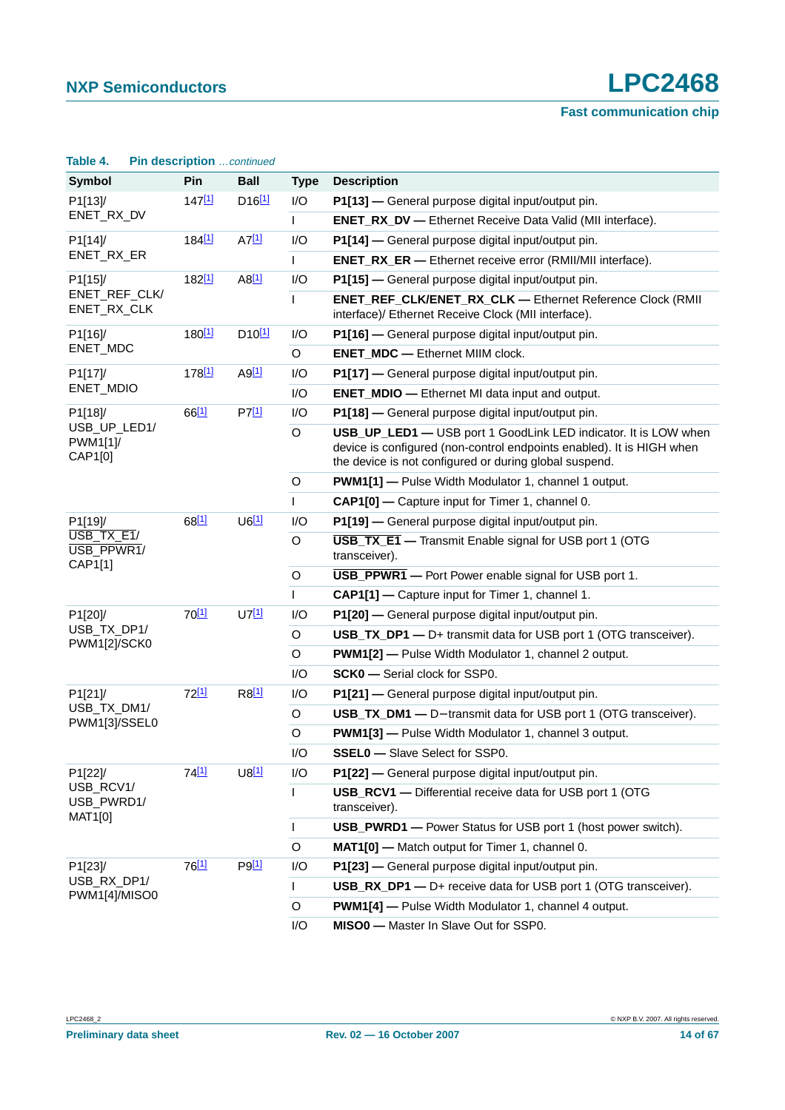| Table 4.                            | Pin description  continued |                      |              |                                                                                                                                                                                                    |
|-------------------------------------|----------------------------|----------------------|--------------|----------------------------------------------------------------------------------------------------------------------------------------------------------------------------------------------------|
| Symbol                              | Pin                        | <b>Ball</b>          | <b>Type</b>  | <b>Description</b>                                                                                                                                                                                 |
| P1[13]/                             | $147^{[1]}$                | $D16$ <sup>[1]</sup> | 1/O          | P1[13] - General purpose digital input/output pin.                                                                                                                                                 |
| ENET_RX_DV                          |                            |                      | $\mathbf{L}$ | <b>ENET_RX_DV</b> — Ethernet Receive Data Valid (MII interface).                                                                                                                                   |
| P1[14]/                             | 184 <sup>[1]</sup>         | $A7$ <sup>[1]</sup>  | I/O          | P1[14] — General purpose digital input/output pin.                                                                                                                                                 |
| ENET_RX_ER                          |                            |                      | L            | <b>ENET_RX_ER -</b> Ethernet receive error (RMII/MII interface).                                                                                                                                   |
| P1[15]/                             | 182 <sup>[1]</sup>         | AB[1]                | 1/O          | P1[15] - General purpose digital input/output pin.                                                                                                                                                 |
| ENET_REF_CLK/<br>ENET_RX_CLK        |                            |                      | L            | <b>ENET_REF_CLK/ENET_RX_CLK - Ethernet Reference Clock (RMII</b><br>interface)/ Ethernet Receive Clock (MII interface).                                                                            |
| P1[16]/                             | 180 <sup>[1]</sup>         | $D10^{[1]}$          | I/O          | P1[16] - General purpose digital input/output pin.                                                                                                                                                 |
| ENET_MDC                            |                            |                      | O            | <b>ENET_MDC</b> - Ethernet MIIM clock.                                                                                                                                                             |
| P1[17]/<br>ENET_MDIO                | 178 <sup>[1]</sup>         | $A9$ <sup>[1]</sup>  | I/O          | P1[17] - General purpose digital input/output pin.                                                                                                                                                 |
|                                     |                            |                      | I/O          | <b>ENET_MDIO</b> - Ethernet MI data input and output.                                                                                                                                              |
| P1[18]/                             | 66[1]                      | P7[1]                | I/O          | P1[18] - General purpose digital input/output pin.                                                                                                                                                 |
| USB_UP_LED1/<br>PWM1[1]<br>CAP1[0]  |                            |                      | O            | USB_UP_LED1 - USB port 1 GoodLink LED indicator. It is LOW when<br>device is configured (non-control endpoints enabled). It is HIGH when<br>the device is not configured or during global suspend. |
|                                     |                            |                      | O            | PWM1[1] - Pulse Width Modulator 1, channel 1 output.                                                                                                                                               |
|                                     |                            |                      | L            | CAP1[0] - Capture input for Timer 1, channel 0.                                                                                                                                                    |
| P1[19]/                             | 68[1]                      | $U6$ <sup>[1]</sup>  | I/O          | P1[19] - General purpose digital input/output pin.                                                                                                                                                 |
| USB TX E1/<br>USB_PPWR1/<br>CAP1[1] |                            |                      | O            | <b>USB_TX_E1</b> - Transmit Enable signal for USB port 1 (OTG<br>transceiver).                                                                                                                     |
|                                     |                            |                      | $\circ$      | <b>USB_PPWR1</b> - Port Power enable signal for USB port 1.                                                                                                                                        |
|                                     |                            |                      | L            | CAP1[1] - Capture input for Timer 1, channel 1.                                                                                                                                                    |
| P1[20]/                             | $70^{[1]}$                 | U7[1]                | I/O          | P1[20] — General purpose digital input/output pin.                                                                                                                                                 |
| USB_TX_DP1/<br>PWM1[2]/SCK0         |                            |                      | O            | USB_TX_DP1 - D+ transmit data for USB port 1 (OTG transceiver).                                                                                                                                    |
|                                     |                            |                      | O            | <b>PWM1[2]</b> - Pulse Width Modulator 1, channel 2 output.                                                                                                                                        |
|                                     |                            |                      | I/O          | <b>SCK0</b> - Serial clock for SSP0.                                                                                                                                                               |
| P1[21]/                             | $72^{[1]}$                 | $R8^{[1]}$           | I/O          | P1[21] - General purpose digital input/output pin.                                                                                                                                                 |
| USB_TX_DM1/<br>PWM1[3]/SSEL0        |                            |                      | O            | USB_TX_DM1 - D- transmit data for USB port 1 (OTG transceiver).                                                                                                                                    |
|                                     |                            |                      | $\circ$      | <b>PWM1[3]</b> - Pulse Width Modulator 1, channel 3 output.                                                                                                                                        |
|                                     |                            |                      | I/O          | <b>SSEL0</b> - Slave Select for SSP0.                                                                                                                                                              |
| P1[22]/                             | 74 <sup>[1]</sup>          | U8[1]                | I/O          | P1[22] - General purpose digital input/output pin.                                                                                                                                                 |
| USB_RCV1/<br>USB_PWRD1/<br>MAT1[0]  |                            |                      | L            | USB_RCV1 - Differential receive data for USB port 1 (OTG<br>transceiver).                                                                                                                          |
|                                     |                            |                      | $\mathbf{L}$ | <b>USB_PWRD1</b> — Power Status for USB port 1 (host power switch).                                                                                                                                |
|                                     |                            |                      | O            | MAT1[0] - Match output for Timer 1, channel 0.                                                                                                                                                     |
| P1[23]/                             | 76[1]                      | P9[1]                | I/O          | P1[23] - General purpose digital input/output pin.                                                                                                                                                 |
| USB_RX_DP1/<br>PWM1[4]/MISO0        |                            |                      | L            | USB_RX_DP1 - D+ receive data for USB port 1 (OTG transceiver).                                                                                                                                     |
|                                     |                            |                      | O            | PWM1[4] - Pulse Width Modulator 1, channel 4 output.                                                                                                                                               |
|                                     |                            |                      | $\sqrt{2}$   | MICOO Mostor In Clave Out for CCDO                                                                                                                                                                 |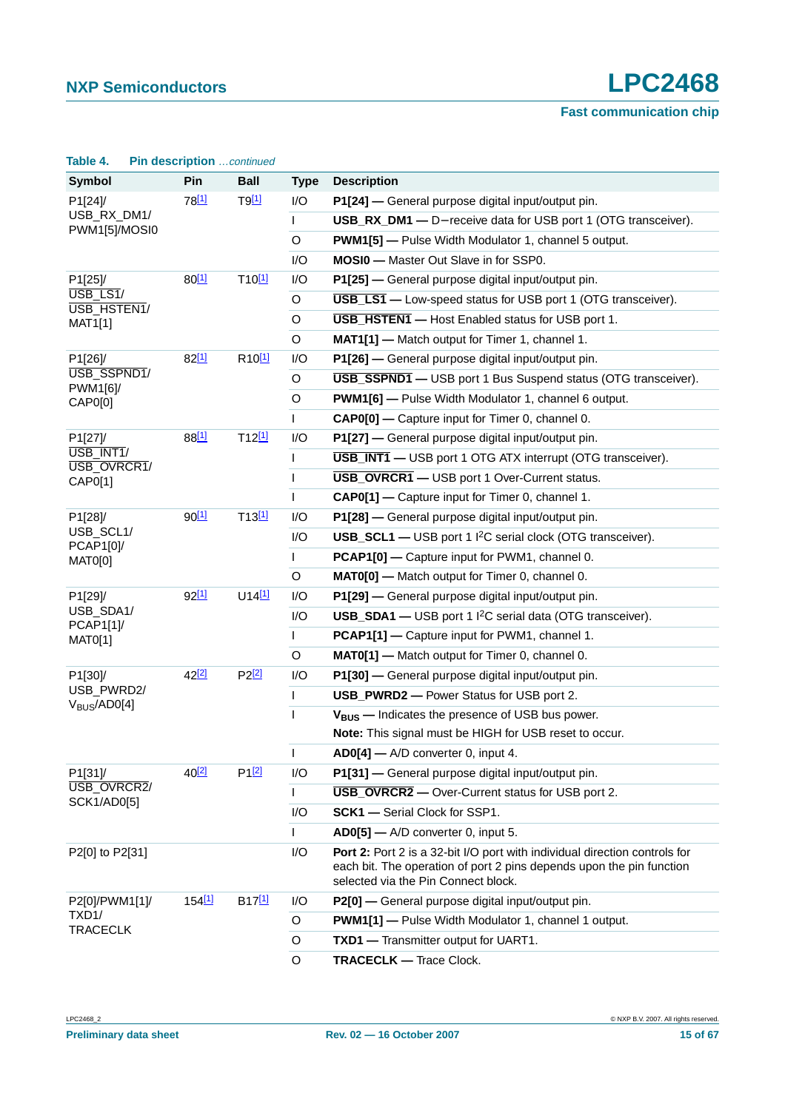| Table 4.                                             | Pin description continued |                      |              |                                                                                                                                                                                           |
|------------------------------------------------------|---------------------------|----------------------|--------------|-------------------------------------------------------------------------------------------------------------------------------------------------------------------------------------------|
| <b>Symbol</b>                                        | Pin                       | <b>Ball</b>          | <b>Type</b>  | <b>Description</b>                                                                                                                                                                        |
| P1[24]/                                              | 78 <sup>[1]</sup>         | $T9$ <sup>[1]</sup>  | I/O          | P1[24] - General purpose digital input/output pin.                                                                                                                                        |
| USB_RX_DM1/<br>PWM1[5]/MOSI0                         |                           |                      | $\mathsf{L}$ | USB_RX_DM1 - D- receive data for USB port 1 (OTG transceiver).                                                                                                                            |
|                                                      |                           |                      | O            | <b>PWM1[5]</b> - Pulse Width Modulator 1, channel 5 output.                                                                                                                               |
|                                                      |                           |                      | I/O          | <b>MOSI0</b> - Master Out Slave in for SSP0.                                                                                                                                              |
| P1[25]/<br>USB_LS1/<br>USB_HSTEN1/<br><b>MAT1[1]</b> | 80[1]                     | T10[1]               | I/O          | P1[25] - General purpose digital input/output pin.                                                                                                                                        |
|                                                      |                           |                      | O            | <b>USB LS1</b> - Low-speed status for USB port 1 (OTG transceiver).                                                                                                                       |
|                                                      |                           |                      | O            | <b>USB_HSTEN1</b> - Host Enabled status for USB port 1.                                                                                                                                   |
|                                                      |                           |                      | O            | MAT1[1] - Match output for Timer 1, channel 1.                                                                                                                                            |
| P1[26]/                                              | 82[1]                     | R <sub>10[1]</sub>   | I/O          | P1[26] - General purpose digital input/output pin.                                                                                                                                        |
| USB_SSPND1/<br>PWM1[6]/                              |                           |                      | O            | <b>USB_SSPND1</b> - USB port 1 Bus Suspend status (OTG transceiver).                                                                                                                      |
| CAP0[0]                                              |                           |                      | O            | PWM1[6] - Pulse Width Modulator 1, channel 6 output.                                                                                                                                      |
|                                                      |                           |                      | L            | CAP0[0] - Capture input for Timer 0, channel 0.                                                                                                                                           |
| P1[27]/                                              | 88[1]                     | T12[1]               | I/O          | P1[27] - General purpose digital input/output pin.                                                                                                                                        |
| USB_INT1/<br>USB_OVRCR1/<br>CAP0[1]                  |                           |                      | $\mathsf{I}$ | <b>USB INT1</b> - USB port 1 OTG ATX interrupt (OTG transceiver).                                                                                                                         |
|                                                      |                           |                      | $\mathsf{I}$ | <b>USB_OVRCR1</b> - USB port 1 Over-Current status.                                                                                                                                       |
|                                                      |                           |                      | L            | CAP0[1] - Capture input for Timer 0, channel 1.                                                                                                                                           |
| P1[28]/                                              | $90^{[1]}$                | $T13$ <sup>[1]</sup> | I/O          | P1[28] - General purpose digital input/output pin.                                                                                                                                        |
| USB_SCL1/<br>PCAP1[0]/                               |                           |                      | I/O          | <b>USB_SCL1 — USB</b> port 1 <sup>2</sup> C serial clock (OTG transceiver).                                                                                                               |
| MAT0[0]                                              |                           |                      | L            | PCAP1[0] - Capture input for PWM1, channel 0.                                                                                                                                             |
|                                                      |                           |                      | O            | MAT0[0] - Match output for Timer 0, channel 0.                                                                                                                                            |
| P1[29]/                                              | $92^{[1]}$                | $U14$ <sup>[1]</sup> | I/O          | P1[29] - General purpose digital input/output pin.                                                                                                                                        |
| USB_SDA1/<br>PCAP1[1]                                |                           |                      | I/O          | USB_SDA1 - USB port 1 I <sup>2</sup> C serial data (OTG transceiver).                                                                                                                     |
| <b>MAT0[1]</b>                                       |                           |                      | L            | PCAP1[1] - Capture input for PWM1, channel 1.                                                                                                                                             |
|                                                      |                           |                      | O            | MAT0[1] - Match output for Timer 0, channel 0.                                                                                                                                            |
| P1[30]/                                              | 42 <sup>[2]</sup>         | P2[2]                | I/O          | P1[30] - General purpose digital input/output pin.                                                                                                                                        |
| USB_PWRD2/<br>V <sub>BUS</sub> /AD0[4]               |                           |                      | $\mathsf{I}$ | <b>USB_PWRD2</b> - Power Status for USB port 2.                                                                                                                                           |
|                                                      |                           |                      | ı            | $V_{BUS}$ – Indicates the presence of USB bus power.                                                                                                                                      |
|                                                      |                           |                      |              | Note: This signal must be HIGH for USB reset to occur.                                                                                                                                    |
|                                                      |                           |                      | $\mathsf{I}$ | $AD0[4]$ - A/D converter 0, input 4.                                                                                                                                                      |
| P1[31]/<br>USB_OVRCR2/                               | 40 <sup>[2]</sup>         | P1[2]                | I/O          | P1[31] - General purpose digital input/output pin.                                                                                                                                        |
| SCK1/AD0[5]                                          |                           |                      |              | <b>USB OVRCR2</b> - Over-Current status for USB port 2.                                                                                                                                   |
|                                                      |                           |                      | I/O          | <b>SCK1</b> - Serial Clock for SSP1.                                                                                                                                                      |
|                                                      |                           |                      | $\mathsf{I}$ | AD0[5] - A/D converter 0, input 5.                                                                                                                                                        |
| P2[0] to P2[31]                                      |                           |                      | I/O          | Port 2: Port 2 is a 32-bit I/O port with individual direction controls for<br>each bit. The operation of port 2 pins depends upon the pin function<br>selected via the Pin Connect block. |
| P2[0]/PWM1[1]/                                       | 154[1]                    | B <sub>17[1]</sub>   | I/O          | P2[0] - General purpose digital input/output pin.                                                                                                                                         |
| TXD1/<br><b>TRACECLK</b>                             |                           |                      | O            | <b>PWM1[1]</b> - Pulse Width Modulator 1, channel 1 output.                                                                                                                               |
|                                                      |                           |                      | O            | TXD1 - Transmitter output for UART1.                                                                                                                                                      |
|                                                      |                           |                      | O            | <b>TRACECLK - Trace Clock.</b>                                                                                                                                                            |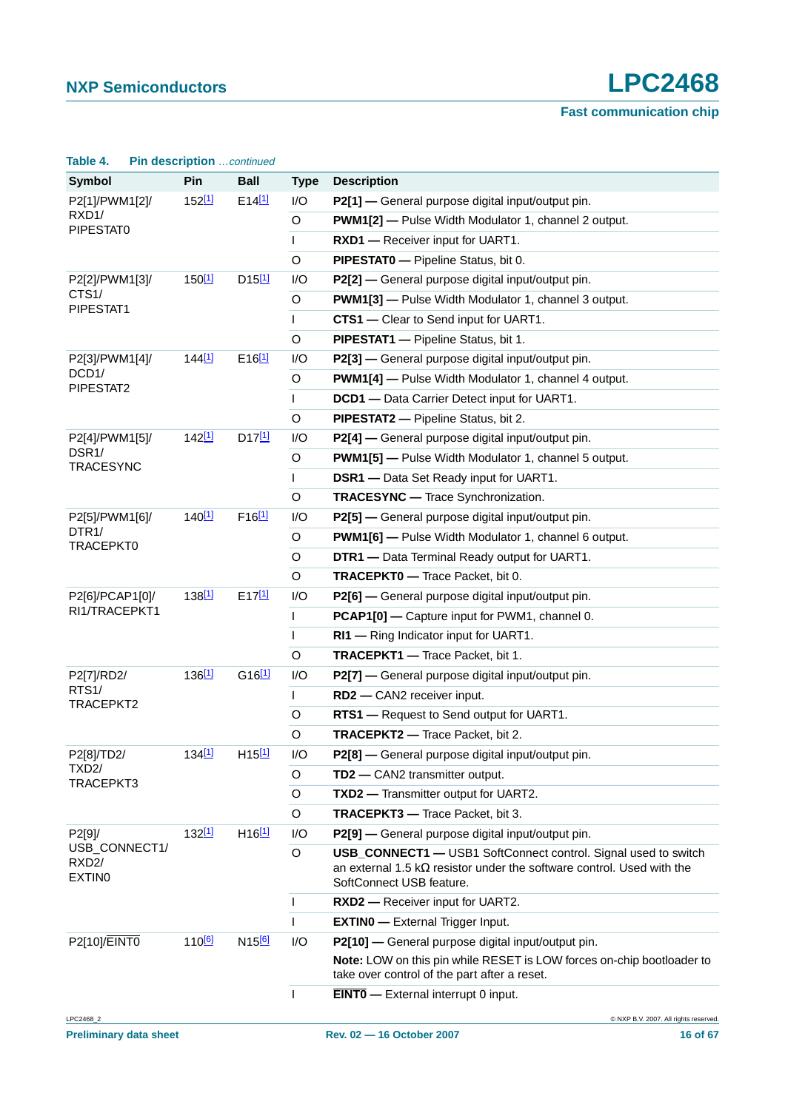| Table 4.                                             | Pin description continued |                      |              |                                                                                                                                                                                    |
|------------------------------------------------------|---------------------------|----------------------|--------------|------------------------------------------------------------------------------------------------------------------------------------------------------------------------------------|
| <b>Symbol</b>                                        | Pin                       | <b>Ball</b>          | <b>Type</b>  | <b>Description</b>                                                                                                                                                                 |
| P2[1]/PWM1[2]/                                       | 152 <sup>[1]</sup>        | E14[1]               | I/O          | P2[1] - General purpose digital input/output pin.                                                                                                                                  |
| RXD1/<br>PIPESTAT0                                   |                           |                      | O            | <b>PWM1[2]</b> - Pulse Width Modulator 1, channel 2 output.                                                                                                                        |
|                                                      |                           |                      | $\mathsf{L}$ | RXD1 - Receiver input for UART1.                                                                                                                                                   |
|                                                      |                           |                      | O            | PIPESTATO - Pipeline Status, bit 0.                                                                                                                                                |
| P2[2]/PWM1[3]/<br>CTS <sub>1</sub> /<br>PIPESTAT1    | 150 <sup>[1]</sup>        | $D15$ <sup>[1]</sup> | I/O          | P2[2] - General purpose digital input/output pin.                                                                                                                                  |
|                                                      |                           |                      | O            | <b>PWM1[3]</b> - Pulse Width Modulator 1, channel 3 output.                                                                                                                        |
|                                                      |                           |                      | $\mathsf{L}$ | CTS1 - Clear to Send input for UART1.                                                                                                                                              |
|                                                      |                           |                      | O            | PIPESTAT1 - Pipeline Status, bit 1.                                                                                                                                                |
| P2[3]/PWM1[4]/                                       | 144 <sup>[1]</sup>        | $E16$ <sup>[1]</sup> | I/O          | P2[3] - General purpose digital input/output pin.                                                                                                                                  |
| DCD <sub>1</sub> /<br>PIPESTAT2                      |                           |                      | O            | <b>PWM1[4]</b> - Pulse Width Modulator 1, channel 4 output.                                                                                                                        |
|                                                      |                           |                      | $\mathsf{L}$ | DCD1 - Data Carrier Detect input for UART1.                                                                                                                                        |
|                                                      |                           |                      | O            | PIPESTAT2 - Pipeline Status, bit 2.                                                                                                                                                |
| P2[4]/PWM1[5]/                                       | 142 <sup>[1]</sup>        | $D17$ <sup>[1]</sup> | I/O          | P2[4] — General purpose digital input/output pin.                                                                                                                                  |
| DSR <sub>1</sub> /<br><b>TRACESYNC</b>               |                           |                      | O            | <b>PWM1[5]</b> - Pulse Width Modulator 1, channel 5 output.                                                                                                                        |
|                                                      |                           |                      | $\mathsf{L}$ | <b>DSR1</b> - Data Set Ready input for UART1.                                                                                                                                      |
|                                                      |                           |                      | O            | <b>TRACESYNC</b> - Trace Synchronization.                                                                                                                                          |
| P2[5]/PWM1[6]/                                       | $140^{[1]}$               | $F16$ <sup>[1]</sup> | I/O          | P2[5] - General purpose digital input/output pin.                                                                                                                                  |
| DTR <sub>1</sub> /<br>TRACEPKT0                      |                           |                      | O            | <b>PWM1[6]</b> - Pulse Width Modulator 1, channel 6 output.                                                                                                                        |
|                                                      |                           |                      | O            | DTR1 - Data Terminal Ready output for UART1.                                                                                                                                       |
|                                                      |                           |                      | O            | TRACEPKT0 - Trace Packet, bit 0.                                                                                                                                                   |
| P2[6]/PCAP1[0]/                                      | 138 <sup>[1]</sup>        | $E17^{[1]}$          | I/O          | P2[6] - General purpose digital input/output pin.                                                                                                                                  |
| RI1/TRACEPKT1                                        |                           |                      | L            | PCAP1[0] - Capture input for PWM1, channel 0.                                                                                                                                      |
|                                                      |                           |                      | $\mathsf{L}$ | RI1 - Ring Indicator input for UART1.                                                                                                                                              |
|                                                      |                           |                      | O            | TRACEPKT1 - Trace Packet, bit 1.                                                                                                                                                   |
| P2[7]/RD2/                                           | 136 <sup>[1]</sup>        | $G16$ <sup>[1]</sup> | I/O          | P2[7] - General purpose digital input/output pin.                                                                                                                                  |
| RTS <sub>1</sub> /<br>TRACEPKT2                      |                           |                      | L            | RD2 - CAN2 receiver input.                                                                                                                                                         |
|                                                      |                           |                      | O            | RTS1 - Request to Send output for UART1.                                                                                                                                           |
|                                                      |                           |                      | O            | <b>TRACEPKT2</b> - Trace Packet, bit 2.                                                                                                                                            |
| P2[8]/TD2/<br>TXD <sub>2</sub> /                     | 134 <sup>[1]</sup>        | $H15^{[1]}$          | I/O          | P2[8] - General purpose digital input/output pin.                                                                                                                                  |
| TRACEPKT3                                            |                           |                      | O            | TD2 - CAN2 transmitter output.                                                                                                                                                     |
|                                                      |                           |                      | O            | TXD2 - Transmitter output for UART2.                                                                                                                                               |
|                                                      |                           |                      | O            | TRACEPKT3 - Trace Packet, bit 3.                                                                                                                                                   |
| P2[9]/                                               | 132 <sup>[1]</sup>        | $H16$ <sup>[1]</sup> | I/O          | P2[9] - General purpose digital input/output pin.                                                                                                                                  |
| USB_CONNECT1/<br>RXD <sub>2</sub> /<br><b>EXTINO</b> |                           |                      | O            | <b>USB_CONNECT1</b> - USB1 SoftConnect control. Signal used to switch<br>an external 1.5 k $\Omega$ resistor under the software control. Used with the<br>SoftConnect USB feature. |
|                                                      |                           |                      | $\mathsf{I}$ | RXD2 - Receiver input for UART2.                                                                                                                                                   |
|                                                      |                           |                      | $\mathsf{I}$ | <b>EXTINO</b> - External Trigger Input.                                                                                                                                            |
| P2[10]/EINT0                                         | 110 <sup>[6]</sup>        | N <sub>15[6]</sub>   | I/O          | P2[10] - General purpose digital input/output pin.                                                                                                                                 |
|                                                      |                           |                      |              | Note: LOW on this pin while RESET is LOW forces on-chip bootloader to<br>take over control of the part after a reset.                                                              |
|                                                      |                           |                      | L            | <b>EINTO</b> - External interrupt 0 input.                                                                                                                                         |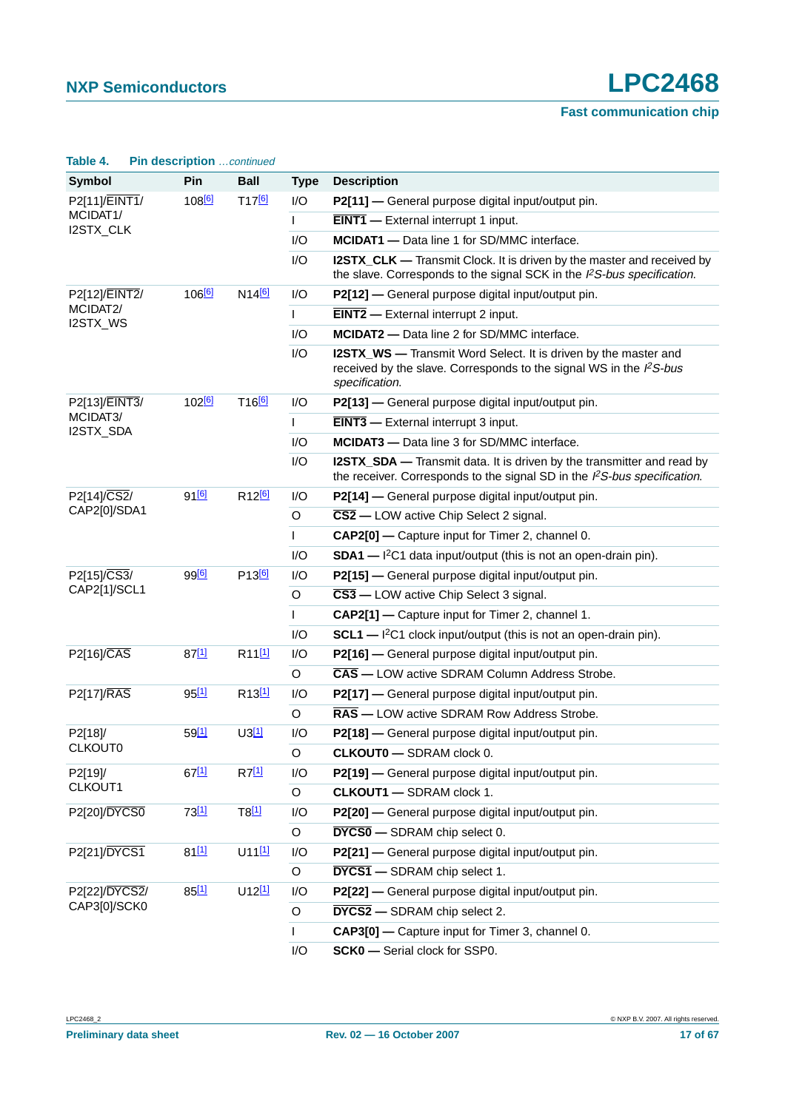| Table 4.                               | Pin description  continued |                               |              |                                                                                                                                                                    |
|----------------------------------------|----------------------------|-------------------------------|--------------|--------------------------------------------------------------------------------------------------------------------------------------------------------------------|
| <b>Symbol</b>                          | Pin                        | <b>Ball</b>                   | <b>Type</b>  | <b>Description</b>                                                                                                                                                 |
| P2[11]/EINT1/<br>MCIDAT1/<br>I2STX_CLK | 108 <sup>[6]</sup>         | T17 <sup>[6]</sup>            | 1/O          | P2[11] - General purpose digital input/output pin.                                                                                                                 |
|                                        |                            |                               | L            | <b>EINT1</b> - External interrupt 1 input.                                                                                                                         |
|                                        |                            |                               | I/O          | <b>MCIDAT1</b> - Data line 1 for SD/MMC interface.                                                                                                                 |
|                                        |                            |                               | I/O          | <b>I2STX_CLK</b> — Transmit Clock. It is driven by the master and received by<br>the slave. Corresponds to the signal SCK in the PS-bus specification.             |
| P2[12]/EINT2/<br>MCIDAT2/<br>I2STX_WS  | 106 <sup>[6]</sup>         | N14 <sup>[6]</sup>            | 1/O          | P2[12] - General purpose digital input/output pin.                                                                                                                 |
|                                        |                            |                               | L            | $EINT2$ - External interrupt 2 input.                                                                                                                              |
|                                        |                            |                               | 1/O          | MCIDAT2 - Data line 2 for SD/MMC interface.                                                                                                                        |
|                                        |                            |                               | I/O          | <b>I2STX_WS</b> — Transmit Word Select. It is driven by the master and<br>received by the slave. Corresponds to the signal WS in the $l^2S$ -bus<br>specification. |
| P2[13]/EINT3/                          | 102 <sup>[6]</sup>         | T16 <sup>[6]</sup>            | I/O          | P2[13] - General purpose digital input/output pin.                                                                                                                 |
| MCIDAT3/<br>I2STX_SDA                  |                            |                               | $\mathbf{I}$ | <b>EINT3</b> - External interrupt 3 input.                                                                                                                         |
|                                        |                            |                               | I/O          | MCIDAT3 - Data line 3 for SD/MMC interface.                                                                                                                        |
|                                        |                            |                               | I/O          | <b>I2STX_SDA</b> — Transmit data. It is driven by the transmitter and read by<br>the receiver. Corresponds to the signal SD in the $l^2S$ -bus specification.      |
| P2[14]/CS2/                            | $91^{[6]}$                 | R <sub>12<sup>[6]</sup></sub> | I/O          | P2[14] - General purpose digital input/output pin.                                                                                                                 |
| CAP2[0]/SDA1                           |                            |                               | O            | $\overline{\text{CS2}}$ - LOW active Chip Select 2 signal.                                                                                                         |
|                                        |                            |                               | L            | CAP2[0] - Capture input for Timer 2, channel 0.                                                                                                                    |
|                                        |                            |                               | I/O          | $SDA1$ - $I2C1$ data input/output (this is not an open-drain pin).                                                                                                 |
| P2[15]/CS3/                            | 99 <sup>[6]</sup>          | P <sub>13<sup>[6]</sup></sub> | I/O          | P2[15] - General purpose digital input/output pin.                                                                                                                 |
| CAP2[1]/SCL1                           |                            |                               | O            | $\overline{CS3}$ — LOW active Chip Select 3 signal.                                                                                                                |
|                                        |                            |                               | L            | CAP2[1] - Capture input for Timer 2, channel 1.                                                                                                                    |
|                                        |                            |                               | I/O          | $SCL1$ — $I2C1$ clock input/output (this is not an open-drain pin).                                                                                                |
| P2[16]/CAS                             | $87^{[1]}$                 | R <sub>11[1]</sub>            | I/O          | P2[16] - General purpose digital input/output pin.                                                                                                                 |
|                                        |                            |                               | O            | <b>CAS</b> - LOW active SDRAM Column Address Strobe.                                                                                                               |
| <b>P2[17]/RAS</b>                      | $95^{[1]}$                 | R <sub>13[1]</sub>            | I/O          | P2[17] - General purpose digital input/output pin.                                                                                                                 |
|                                        |                            |                               | O            | <b>RAS</b> — LOW active SDRAM Row Address Strobe.                                                                                                                  |
| P2[18]/                                | $59^{[1]}$                 | $U3^{[1]}$                    | I/O          | P2[18] - General purpose digital input/output pin.                                                                                                                 |
| <b>CLKOUT0</b>                         |                            |                               | O            | <b>CLKOUT0</b> - SDRAM clock 0.                                                                                                                                    |
| P2[19]/                                | $67^{[1]}$                 | $R7^{[1]}$                    | I/O          | P2[19] - General purpose digital input/output pin.                                                                                                                 |
| CLKOUT1                                |                            |                               | O            | <b>CLKOUT1 - SDRAM clock 1.</b>                                                                                                                                    |
| P2[20]/DYCS0                           | $73^{[1]}$                 | $T8$ <sup>[1]</sup>           | I/O          | P2[20] - General purpose digital input/output pin.                                                                                                                 |
|                                        |                            |                               | O            | <b>DYCS0</b> - SDRAM chip select 0.                                                                                                                                |
| P2[21]/DYCS1                           | $81^{[1]}$                 | $U11^{[1]}$                   | I/O          | P2[21] - General purpose digital input/output pin.                                                                                                                 |
|                                        |                            |                               | O            | <b>DYCS1</b> - SDRAM chip select 1.                                                                                                                                |
| P2[22]/DYCS2/                          | $85^{[1]}$                 | $U12^{[1]}$                   | I/O          | P2[22] - General purpose digital input/output pin.                                                                                                                 |
| CAP3[0]/SCK0                           |                            |                               | O            | <b>DYCS2</b> - SDRAM chip select 2.                                                                                                                                |
|                                        |                            |                               | $\mathbf{L}$ | CAP3[0] - Capture input for Timer 3, channel 0.                                                                                                                    |
|                                        |                            |                               | I/O          | SCK0 - Serial clock for SSP0.                                                                                                                                      |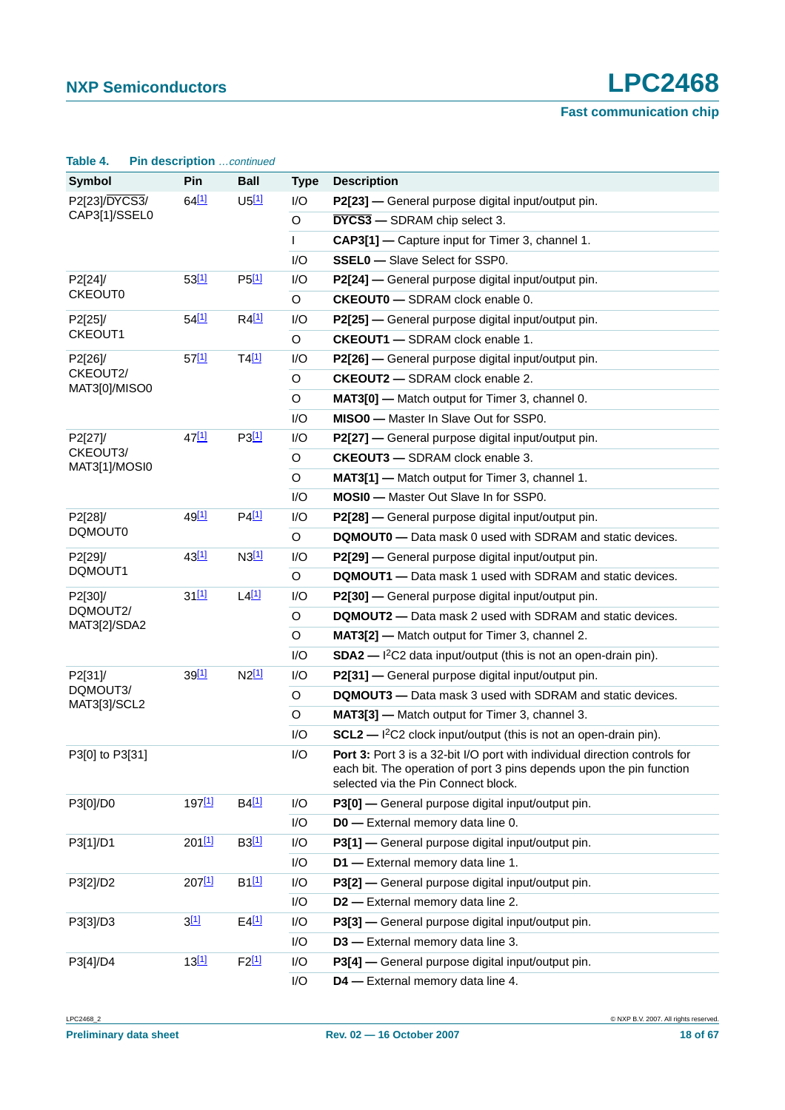| Table 4.                    | Pin description continued |                     |              |                                                                                                                                                                                           |
|-----------------------------|---------------------------|---------------------|--------------|-------------------------------------------------------------------------------------------------------------------------------------------------------------------------------------------|
| <b>Symbol</b>               | Pin                       | <b>Ball</b>         | <b>Type</b>  | <b>Description</b>                                                                                                                                                                        |
| P2[23]/DYCS3/               | 64[1]                     | $U5$ <sup>[1]</sup> | I/O          | P2[23] - General purpose digital input/output pin.                                                                                                                                        |
| CAP3[1]/SSEL0               |                           |                     | $\mathsf O$  | <b>DYCS3</b> - SDRAM chip select 3.                                                                                                                                                       |
|                             |                           |                     | $\mathsf{I}$ | CAP3[1] - Capture input for Timer 3, channel 1.                                                                                                                                           |
|                             |                           |                     | I/O          | <b>SSEL0</b> - Slave Select for SSP0.                                                                                                                                                     |
| P2[24]/                     | 53[1]                     | $P5$ <sup>[1]</sup> | I/O          | P2[24] — General purpose digital input/output pin.                                                                                                                                        |
| <b>CKEOUT0</b>              |                           |                     | O            | <b>CKEOUT0</b> - SDRAM clock enable 0.                                                                                                                                                    |
| P2[25]/                     | 54[1]                     | $R4$ <sup>[1]</sup> | I/O          | P2[25] — General purpose digital input/output pin.                                                                                                                                        |
| CKEOUT1                     |                           |                     | $\circ$      | <b>CKEOUT1</b> - SDRAM clock enable 1.                                                                                                                                                    |
| P2[26]/                     | $57^{[1]}$                | $T4$ <sup>[1]</sup> | I/O          | P2[26] — General purpose digital input/output pin.                                                                                                                                        |
| CKEOUT2/<br>MAT3[0]/MISO0   |                           |                     | O            | <b>CKEOUT2</b> - SDRAM clock enable 2.                                                                                                                                                    |
|                             |                           |                     | O            | <b>MAT3[0]</b> — Match output for Timer 3, channel 0.                                                                                                                                     |
|                             |                           |                     | I/O          | MISO0 - Master In Slave Out for SSP0.                                                                                                                                                     |
| P2[27]/                     | 47[1]                     | P3[1]               | I/O          | P2[27] — General purpose digital input/output pin.                                                                                                                                        |
| CKEOUT3/<br>MAT3[1]/MOSI0   |                           |                     | O            | <b>CKEOUT3</b> - SDRAM clock enable 3.                                                                                                                                                    |
|                             |                           |                     | O            | <b>MAT3[1]</b> — Match output for Timer 3, channel 1.                                                                                                                                     |
|                             |                           |                     | I/O          | <b>MOSI0</b> - Master Out Slave In for SSP0.                                                                                                                                              |
| 49[1]<br>P2[28]/<br>DQMOUT0 |                           | P4 <sup>[1]</sup>   | I/O          | P2[28] — General purpose digital input/output pin.                                                                                                                                        |
|                             |                           |                     | O            | <b>DQMOUT0</b> - Data mask 0 used with SDRAM and static devices.                                                                                                                          |
| P2[29]/                     | 43[1]                     | N3[1]               | I/O          | P2[29] — General purpose digital input/output pin.                                                                                                                                        |
| DQMOUT1                     |                           |                     | $\circ$      | <b>DQMOUT1</b> - Data mask 1 used with SDRAM and static devices.                                                                                                                          |
| P2[30]/                     | $31^{[1]}$                | $L4$ <sup>[1]</sup> | I/O          | P2[30] — General purpose digital input/output pin.                                                                                                                                        |
| DQMOUT2/<br>MAT3[2]/SDA2    |                           |                     | O            | DQMOUT2 - Data mask 2 used with SDRAM and static devices.                                                                                                                                 |
|                             |                           |                     | O            | MAT3[2] - Match output for Timer 3, channel 2.                                                                                                                                            |
|                             |                           |                     | I/O          | $SDA2$ - $I2C2$ data input/output (this is not an open-drain pin).                                                                                                                        |
| P2[31]/                     | 39[1]                     | $N2^{[1]}$          | I/O          | P2[31] - General purpose digital input/output pin.                                                                                                                                        |
| DQMOUT3/<br>MAT3[3]/SCL2    |                           |                     | O            | <b>DQMOUT3</b> - Data mask 3 used with SDRAM and static devices.                                                                                                                          |
|                             |                           |                     | O            | MAT3[3] - Match output for Timer 3, channel 3.                                                                                                                                            |
|                             |                           |                     | I/O          | $SCL2$ - $I^2C2$ clock input/output (this is not an open-drain pin).                                                                                                                      |
| P3[0] to P3[31]             |                           |                     | I/O          | Port 3: Port 3 is a 32-bit I/O port with individual direction controls for<br>each bit. The operation of port 3 pins depends upon the pin function<br>selected via the Pin Connect block. |
| P3[0]/D0                    | 197[1]                    | $B4$ <sup>[1]</sup> | I/O          | P3[0] - General purpose digital input/output pin.                                                                                                                                         |
|                             |                           |                     | I/O          | <b>D0</b> - External memory data line 0.                                                                                                                                                  |
| P3[1]/D1                    | $201$ [1]                 | B3[1]               | I/O          | P3[1] - General purpose digital input/output pin.                                                                                                                                         |
|                             |                           |                     | I/O          | D1 - External memory data line 1.                                                                                                                                                         |
| P3[2]/D2                    | 207[1]                    | B1[1]               | I/O          | P3[2] - General purpose digital input/output pin.                                                                                                                                         |
|                             |                           |                     | I/O          | D2 - External memory data line 2.                                                                                                                                                         |
| P3[3]/D3                    | 3[1]                      | $E4$ <sup>[1]</sup> | I/O          | P3[3] - General purpose digital input/output pin.                                                                                                                                         |
|                             |                           |                     | I/O          | D3 - External memory data line 3.                                                                                                                                                         |
| P3[4]/D4                    | 13[1]                     | F2[1]               | I/O          | P3[4] - General purpose digital input/output pin.                                                                                                                                         |
|                             |                           |                     | I/O          | D4 - External memory data line 4.                                                                                                                                                         |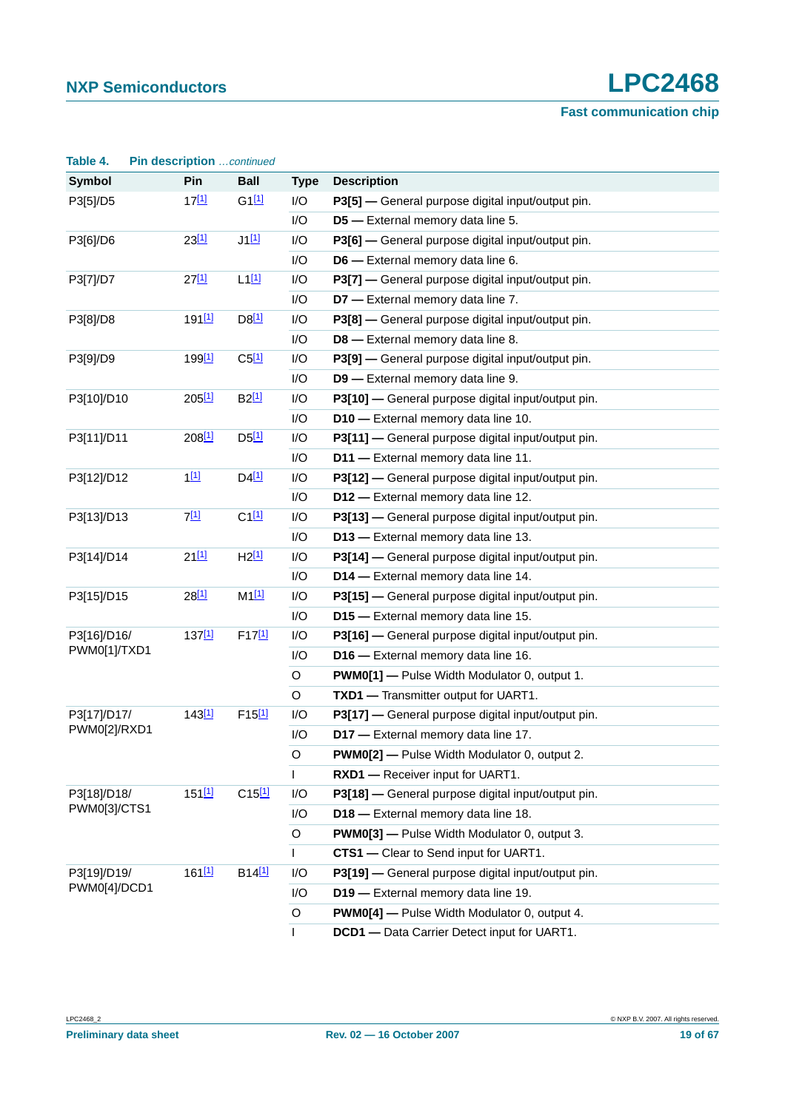| Table 4.     | Pin description continued |                     |              |                                                     |
|--------------|---------------------------|---------------------|--------------|-----------------------------------------------------|
| Symbol       | Pin                       | <b>Ball</b>         | <b>Type</b>  | <b>Description</b>                                  |
| P3[5]/D5     | $17^{[1]}$                | $G1$ <sup>[1]</sup> | I/O          | P3[5] - General purpose digital input/output pin.   |
|              |                           |                     | I/O          | D5 - External memory data line 5.                   |
| P3[6]/D6     | 23[1]                     | $J1$ [1]            | I/O          | P3[6] - General purpose digital input/output pin.   |
|              |                           |                     | I/O          | D6 - External memory data line 6.                   |
| P3[7]/D7     | $27^{[1]}$                | $L1^{[1]}$          | I/O          | P3[7] - General purpose digital input/output pin.   |
|              |                           |                     | I/O          | D7 - External memory data line 7.                   |
| P3[8]/D8     | 191 <sup>[1]</sup>        | $D8$ <sup>[1]</sup> | I/O          | P3[8] - General purpose digital input/output pin.   |
|              |                           |                     | I/O          | D8 - External memory data line 8.                   |
| P3[9]/D9     | 199 <sup>[1]</sup>        | $C5$ <sup>[1]</sup> | I/O          | P3[9] - General purpose digital input/output pin.   |
|              |                           |                     | I/O          | D9 - External memory data line 9.                   |
| P3[10]/D10   | $205^{[1]}$               | B2[1]               | I/O          | P3[10] - General purpose digital input/output pin.  |
|              |                           |                     | I/O          | D10 - External memory data line 10.                 |
| P3[11]/D11   | $208^{[1]}$               | $D5$ <sup>[1]</sup> | I/O          | P3[11] - General purpose digital input/output pin.  |
|              |                           |                     | I/O          | D11 - External memory data line 11.                 |
| P3[12]/D12   | 1[1]                      | $D4$ <sup>[1]</sup> | I/O          | P3[12] - General purpose digital input/output pin.  |
|              |                           |                     | I/O          | D12 - External memory data line 12.                 |
| P3[13]/D13   | 7[1]                      | $C1$ <sup>[1]</sup> | I/O          | P3[13] - General purpose digital input/output pin.  |
|              |                           |                     | I/O          | D13 - External memory data line 13.                 |
| P3[14]/D14   | $21^{[1]}$                | $H2^{[1]}$          | I/O          | P3[14] - General purpose digital input/output pin.  |
|              |                           |                     | I/O          | D14 - External memory data line 14.                 |
| P3[15]/D15   | $28^{[1]}$                | $M1$ <sup>[1]</sup> | I/O          | P3[15] - General purpose digital input/output pin.  |
|              |                           |                     | I/O          | D15 - External memory data line 15.                 |
| P3[16]/D16/  | $137^{[1]}$               | F17[1]              | I/O          | P3[16] - General purpose digital input/output pin.  |
| PWM0[1]/TXD1 |                           |                     | I/O          | D16 - External memory data line 16.                 |
|              |                           |                     | $\circ$      | <b>PWM0[1]</b> - Pulse Width Modulator 0, output 1. |
|              |                           |                     | O            | TXD1 - Transmitter output for UART1.                |
| P3[17]/D17/  | 143[1]                    | $F15^{[1]}$         | I/O          | P3[17] - General purpose digital input/output pin.  |
| PWM0[2]/RXD1 |                           |                     | I/O          | D17 - External memory data line 17.                 |
|              |                           |                     | $\circ$      | <b>PWM0[2]</b> - Pulse Width Modulator 0, output 2. |
|              |                           |                     | $\mathsf{I}$ | RXD1 - Receiver input for UART1.                    |
| P3[18]/D18/  | 151[1]                    | $C15^{[1]}$         | I/O          | P3[18] - General purpose digital input/output pin.  |
| PWM0[3]/CTS1 |                           |                     | I/O          | D18 - External memory data line 18.                 |
|              |                           |                     | O            | <b>PWM0[3]</b> - Pulse Width Modulator 0, output 3. |
|              |                           |                     | $\mathbf{I}$ | <b>CTS1</b> — Clear to Send input for UART1.        |
| P3[19]/D19/  | $161$ [1]                 | B14 <sup>[1]</sup>  | I/O          | P3[19] - General purpose digital input/output pin.  |
| PWM0[4]/DCD1 |                           |                     | I/O          | D19 - External memory data line 19.                 |
|              |                           |                     | O            | <b>PWM0[4]</b> - Pulse Width Modulator 0, output 4. |
|              |                           |                     | $\mathsf{L}$ | DCD1 - Data Carrier Detect input for UART1.         |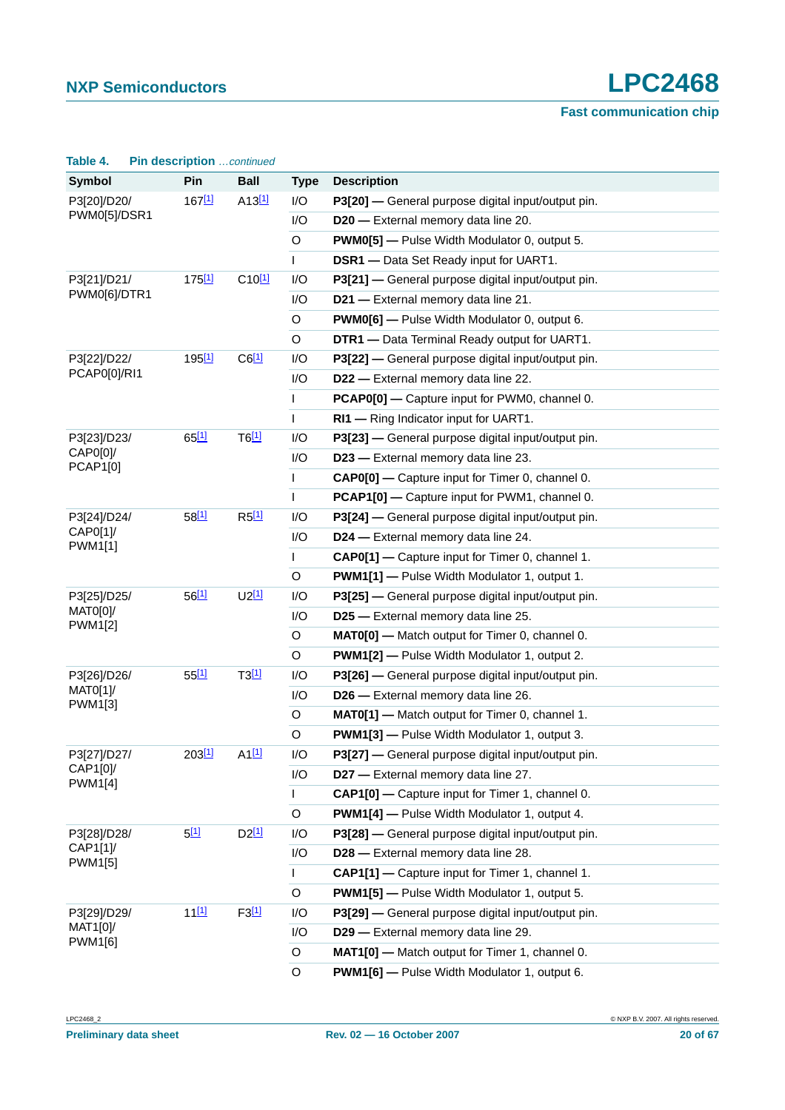| Table 4.                    | Pin description  continued |                     |              |                                                        |
|-----------------------------|----------------------------|---------------------|--------------|--------------------------------------------------------|
| <b>Symbol</b>               | Pin                        | <b>Ball</b>         | <b>Type</b>  | <b>Description</b>                                     |
| P3[20]/D20/                 | $167^{[1]}$                | A13[1]              | I/O          | P3[20] - General purpose digital input/output pin.     |
| PWM0[5]/DSR1                |                            |                     | I/O          | D20 - External memory data line 20.                    |
|                             |                            |                     | O            | <b>PWM0[5]</b> - Pulse Width Modulator 0, output 5.    |
|                             |                            |                     | $\mathbf{I}$ | <b>DSR1</b> - Data Set Ready input for UART1.          |
| P3[21]/D21/<br>PWM0[6]/DTR1 | 175 <sup>[1]</sup>         | $C10^{[1]}$         | I/O          | P3[21] — General purpose digital input/output pin.     |
|                             |                            |                     | I/O          | D21 - External memory data line 21.                    |
|                             |                            |                     | $\circ$      | <b>PWM0[6]</b> - Pulse Width Modulator 0, output 6.    |
|                             |                            |                     | O            | DTR1 - Data Terminal Ready output for UART1.           |
| P3[22]/D22/                 | 195 <sup>[1]</sup>         | $C6$ <sup>[1]</sup> | I/O          | P3[22] — General purpose digital input/output pin.     |
| PCAP0[0]/RI1                |                            |                     | I/O          | D22 - External memory data line 22.                    |
|                             |                            |                     | $\mathsf{L}$ | PCAP0[0] - Capture input for PWM0, channel 0.          |
|                             |                            |                     | $\mathsf{I}$ | RI1 - Ring Indicator input for UART1.                  |
| P3[23]/D23/                 | 65[1]                      | $T6$ <sup>[1]</sup> | I/O          | P3[23] — General purpose digital input/output pin.     |
| CAP0[0]<br><b>PCAP1[0]</b>  |                            |                     | I/O          | D23 - External memory data line 23.                    |
|                             |                            |                     | $\mathsf{L}$ | <b>CAP0[0]</b> - Capture input for Timer 0, channel 0. |
|                             |                            |                     | $\mathsf{I}$ | PCAP1[0] - Capture input for PWM1, channel 0.          |
| P3[24]/D24/                 | 58[1]                      | $R5$ <sup>[1]</sup> | I/O          | P3[24] — General purpose digital input/output pin.     |
| CAP0[1]/<br>PWM1[1]         |                            |                     | I/O          | D24 - External memory data line 24.                    |
|                             |                            |                     | $\mathsf{L}$ | CAP0[1] - Capture input for Timer 0, channel 1.        |
|                             |                            |                     | O            | <b>PWM1[1]</b> - Pulse Width Modulator 1, output 1.    |
| P3[25]/D25/                 | 56[1]                      | $U2^{[1]}$          | I/O          | P3[25] - General purpose digital input/output pin.     |
| MATO[0]/<br><b>PWM1[2]</b>  |                            |                     | I/O          | D25 - External memory data line 25.                    |
|                             |                            |                     | O            | MATO[0] - Match output for Timer 0, channel 0.         |
|                             |                            |                     | O            | <b>PWM1[2]</b> - Pulse Width Modulator 1, output 2.    |
| P3[26]/D26/                 | 55[1]                      | T3[1]               | I/O          | P3[26] — General purpose digital input/output pin.     |
| MATO[1]/<br>PWM1[3]         |                            |                     | I/O          | D26 - External memory data line 26.                    |
|                             |                            |                     | O            | MAT0[1] - Match output for Timer 0, channel 1.         |
|                             |                            |                     | O            | PWM1[3] - Pulse Width Modulator 1, output 3.           |
| P3[27]/D27/                 | 203[1]                     | $A1$ <sup>[1]</sup> | I/O          | P3[27] - General purpose digital input/output pin.     |
| CAP1[0]/<br><b>PWM1[4]</b>  |                            |                     | I/O          | D27 - External memory data line 27.                    |
|                             |                            |                     | $\mathsf{L}$ | CAP1[0] - Capture input for Timer 1, channel 0.        |
|                             |                            |                     | O            | <b>PWM1[4]</b> - Pulse Width Modulator 1, output 4.    |
| P3[28]/D28/                 | 5[1]                       | $D2^{[1]}$          | I/O          | P3[28] — General purpose digital input/output pin.     |
| CAP1[1]/<br><b>PWM1[5]</b>  |                            |                     | I/O          | D28 - External memory data line 28.                    |
|                             |                            |                     | L            | CAP1[1] - Capture input for Timer 1, channel 1.        |
|                             |                            |                     | O            | <b>PWM1[5]</b> - Pulse Width Modulator 1, output 5.    |
| P3[29]/D29/                 | $11^{[1]}$                 | $F3$ <sup>[1]</sup> | I/O          | P3[29] — General purpose digital input/output pin.     |
| MAT1[0]/<br>PWM1[6]         |                            |                     | I/O          | D29 - External memory data line 29.                    |
|                             |                            |                     | O            | MAT1[0] - Match output for Timer 1, channel 0.         |
|                             |                            |                     | O            | PWM1[6] - Pulse Width Modulator 1, output 6.           |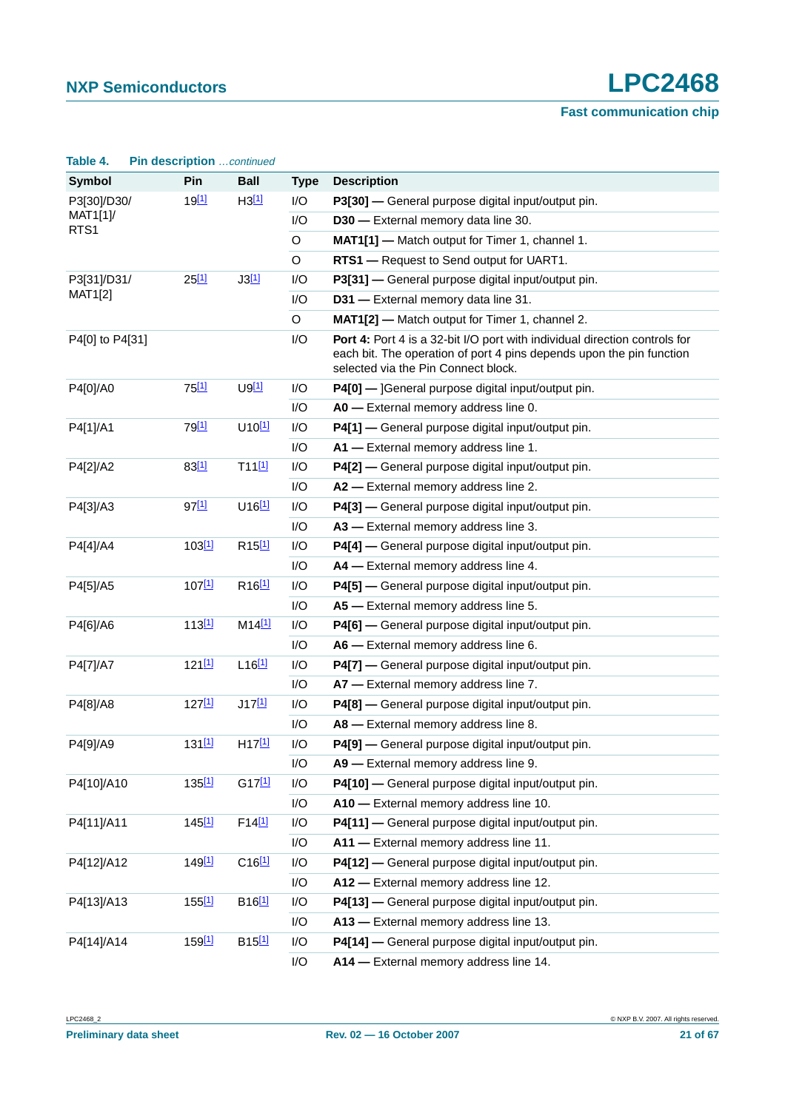| Table 4.                        | <b>Pin description</b> continued |                      |             |                                                                                                                                                                                           |
|---------------------------------|----------------------------------|----------------------|-------------|-------------------------------------------------------------------------------------------------------------------------------------------------------------------------------------------|
| Symbol                          | Pin                              | <b>Ball</b>          | <b>Type</b> | <b>Description</b>                                                                                                                                                                        |
| P3[30]/D30/<br>MAT1[1]/<br>RTS1 | 19 <sup>[1]</sup>                | H3[1]                | I/O         | P3[30] - General purpose digital input/output pin.                                                                                                                                        |
|                                 |                                  |                      | I/O         | D30 - External memory data line 30.                                                                                                                                                       |
|                                 |                                  |                      | O           | MAT1[1] - Match output for Timer 1, channel 1.                                                                                                                                            |
|                                 |                                  |                      | O           | RTS1 - Request to Send output for UART1.                                                                                                                                                  |
| P3[31]/D31/                     | $25^{[1]}$                       | J3[1]                | I/O         | P3[31] — General purpose digital input/output pin.                                                                                                                                        |
| MAT1[2]                         |                                  |                      | I/O         | D31 - External memory data line 31.                                                                                                                                                       |
|                                 |                                  |                      | O           | MAT1[2] - Match output for Timer 1, channel 2.                                                                                                                                            |
| P4[0] to P4[31]                 |                                  |                      | I/O         | Port 4: Port 4 is a 32-bit I/O port with individual direction controls for<br>each bit. The operation of port 4 pins depends upon the pin function<br>selected via the Pin Connect block. |
| P4[0]/A0                        | 75 <sup>[1]</sup>                | $U9$ <sup>[1]</sup>  | I/O         | P4[0] - ]General purpose digital input/output pin.                                                                                                                                        |
|                                 |                                  |                      | I/O         | A0 - External memory address line 0.                                                                                                                                                      |
| P4[1]/A1                        | 79 <sup>[1]</sup>                | U10[1]               | I/O         | P4[1] - General purpose digital input/output pin.                                                                                                                                         |
|                                 |                                  |                      | I/O         | A1 - External memory address line 1.                                                                                                                                                      |
| P4[2]/A2                        | 83[1]                            | T11[1]               | I/O         | P4[2] - General purpose digital input/output pin.                                                                                                                                         |
|                                 |                                  |                      | I/O         | A2 - External memory address line 2.                                                                                                                                                      |
| P4[3]/A3                        | 97[1]                            | $U16$ <sup>[1]</sup> | I/O         | P4[3] - General purpose digital input/output pin.                                                                                                                                         |
|                                 |                                  |                      | I/O         | A3 - External memory address line 3.                                                                                                                                                      |
| P4[4]/A4                        | 103[1]                           | R <sub>15[1]</sub>   | I/O         | P4[4] - General purpose digital input/output pin.                                                                                                                                         |
|                                 |                                  |                      | I/O         | A4 - External memory address line 4.                                                                                                                                                      |
| P4[5]/A5                        | 107[1]                           | R <sub>16[1]</sub>   | I/O         | P4[5] - General purpose digital input/output pin.                                                                                                                                         |
|                                 |                                  |                      | I/O         | A5 - External memory address line 5.                                                                                                                                                      |
| P4[6]/A6                        | 113[1]                           | M14[1]               | I/O         | P4[6] - General purpose digital input/output pin.                                                                                                                                         |
|                                 |                                  |                      | I/O         | A6 - External memory address line 6.                                                                                                                                                      |
| P4[7]/A7                        | $121$ [1]                        | $L16$ <sup>[1]</sup> | I/O         | P4[7] - General purpose digital input/output pin.                                                                                                                                         |
|                                 |                                  |                      | I/O         | A7 - External memory address line 7.                                                                                                                                                      |
| P4[8]/A8                        | 127[1]                           | J17[1]               | I/O         | P4[8] - General purpose digital input/output pin.                                                                                                                                         |
|                                 |                                  |                      | I/O         | A8 - External memory address line 8.                                                                                                                                                      |
| P4[9]/A9                        | 131[1]                           | H17[1]               | I/O         | P4[9] - General purpose digital input/output pin.                                                                                                                                         |
|                                 |                                  |                      | I/O         | A9 - External memory address line 9.                                                                                                                                                      |
| P4[10]/A10                      | 135 <sup>[1]</sup>               | G17[1]               | I/O         | P4[10] - General purpose digital input/output pin.                                                                                                                                        |
|                                 |                                  |                      | I/O         | A10 - External memory address line 10.                                                                                                                                                    |
| P4[11]/A11                      | $145$ <sup>[1]</sup>             | F14[1]               | I/O         | P4[11] - General purpose digital input/output pin.                                                                                                                                        |
|                                 |                                  |                      | I/O         | A11 - External memory address line 11.                                                                                                                                                    |
| P4[12]/A12                      | 149 <sup>[1]</sup>               | $C16$ <sup>[1]</sup> | I/O         | P4[12] - General purpose digital input/output pin.                                                                                                                                        |
|                                 |                                  |                      | I/O         | A12 - External memory address line 12.                                                                                                                                                    |
| P4[13]/A13                      | 155[1]                           | B <sub>16[1]</sub>   | I/O         | P4[13] - General purpose digital input/output pin.                                                                                                                                        |
|                                 |                                  |                      | I/O         | A13 - External memory address line 13.                                                                                                                                                    |
| P4[14]/A14                      | 159 <sup>[1]</sup>               | B <sub>15[1]</sub>   | I/O         | P4[14] - General purpose digital input/output pin.                                                                                                                                        |
|                                 |                                  |                      | I/O         | A14 - External memory address line 14.                                                                                                                                                    |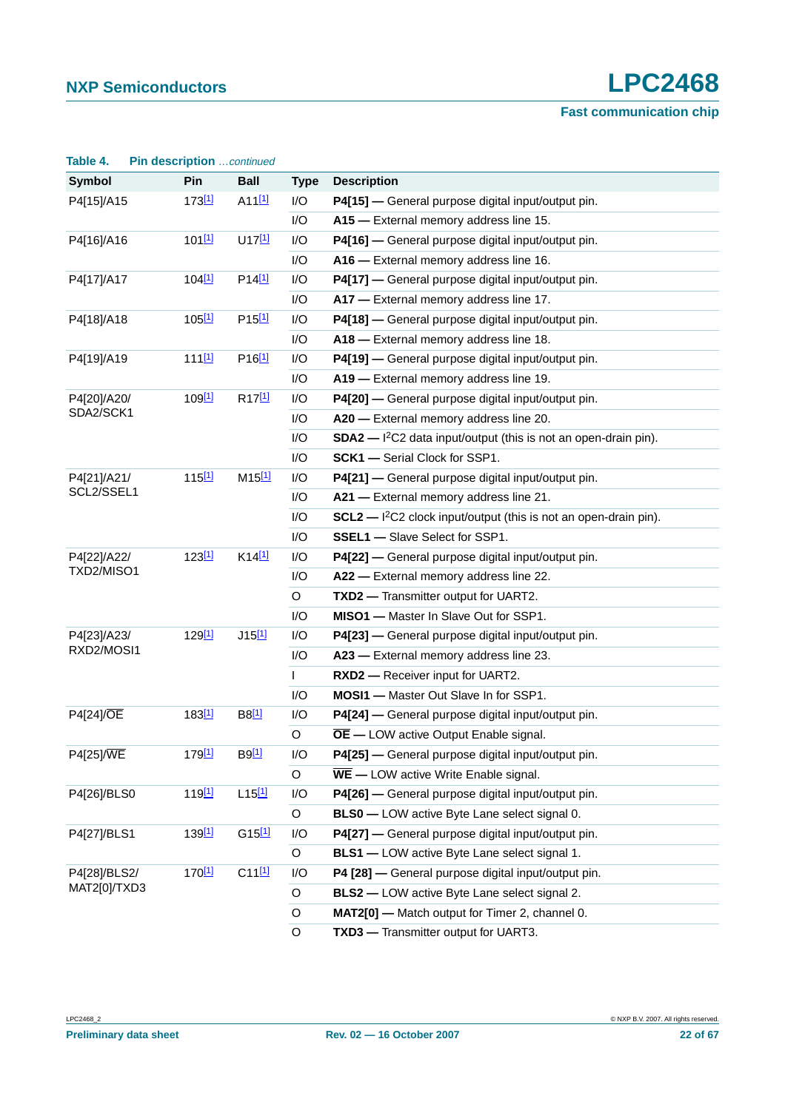| Table 4.             | Pin description  continued |                      |              |                                                                      |  |  |
|----------------------|----------------------------|----------------------|--------------|----------------------------------------------------------------------|--|--|
| <b>Symbol</b>        | Pin                        | <b>Ball</b>          | <b>Type</b>  | <b>Description</b>                                                   |  |  |
| 173[1]<br>P4[15]/A15 |                            | $A11$ <sup>[1]</sup> | I/O          | P4[15] - General purpose digital input/output pin.                   |  |  |
|                      |                            |                      | I/O          | A15 - External memory address line 15.                               |  |  |
| P4[16]/A16           | $101$ [1]                  | U17[1]               | I/O          | P4[16] - General purpose digital input/output pin.                   |  |  |
|                      |                            |                      | I/O          | A16 - External memory address line 16.                               |  |  |
| P4[17]/A17           | 104 <sup>[1]</sup>         | P14 <sup>[1]</sup>   | I/O          | P4[17] - General purpose digital input/output pin.                   |  |  |
|                      |                            |                      | I/O          | A17 - External memory address line 17.                               |  |  |
| P4[18]/A18           | $105$ [1]                  | P <sub>15[1]</sub>   | I/O          | P4[18] - General purpose digital input/output pin.                   |  |  |
|                      |                            |                      | I/O          | A18 - External memory address line 18.                               |  |  |
| P4[19]/A19           | 111[1]                     | P <sub>16[1]</sub>   | I/O          | P4[19] — General purpose digital input/output pin.                   |  |  |
|                      |                            |                      | I/O          | A19 - External memory address line 19.                               |  |  |
| P4[20]/A20/          | 109[1]                     | R <sub>17[1]</sub>   | I/O          | P4[20] - General purpose digital input/output pin.                   |  |  |
| SDA2/SCK1            |                            |                      | I/O          | A20 - External memory address line 20.                               |  |  |
|                      |                            |                      | I/O          | $SDA2$ - $I2C2$ data input/output (this is not an open-drain pin).   |  |  |
|                      |                            |                      | I/O          | <b>SCK1</b> - Serial Clock for SSP1.                                 |  |  |
| P4[21]/A21/          | 115[1]                     | $M15^{[1]}$          | I/O          | P4[21] - General purpose digital input/output pin.                   |  |  |
| SCL2/SSEL1           |                            |                      | I/O          | A21 - External memory address line 21.                               |  |  |
|                      |                            |                      | I/O          | $SCL2$ - $I^2C2$ clock input/output (this is not an open-drain pin). |  |  |
|                      |                            |                      | I/O          | <b>SSEL1</b> - Slave Select for SSP1.                                |  |  |
| P4[22]/A22/          | 123[1]                     | $K14$ <sup>[1]</sup> | I/O          | P4[22] - General purpose digital input/output pin.                   |  |  |
| TXD2/MISO1           |                            |                      | I/O          | A22 - External memory address line 22.                               |  |  |
|                      |                            |                      | O            | <b>TXD2</b> — Transmitter output for UART2.                          |  |  |
|                      |                            |                      | I/O          | MISO1 - Master In Slave Out for SSP1.                                |  |  |
| P4[23]/A23/          | 129[1]                     | $J15$ <sup>[1]</sup> | I/O          | P4[23] - General purpose digital input/output pin.                   |  |  |
| RXD2/MOSI1           |                            |                      | I/O          | A23 - External memory address line 23.                               |  |  |
|                      |                            |                      | $\mathsf{L}$ | <b>RXD2</b> - Receiver input for UART2.                              |  |  |
|                      |                            |                      | I/O          | MOSI1 - Master Out Slave In for SSP1.                                |  |  |
| <b>P4[24]/OE</b>     | 183 <sup>[1]</sup>         | B8[1]                | I/O          | P4[24] - General purpose digital input/output pin.                   |  |  |
|                      |                            |                      | $\circ$      | $\overline{OE}$ - LOW active Output Enable signal.                   |  |  |
| P4[25]/WE            | 179 <sup>[1]</sup>         | B9[1]                | I/O          | P4[25] - General purpose digital input/output pin.                   |  |  |
|                      |                            |                      | $\mathsf O$  | $\overline{\text{WE}}$ - LOW active Write Enable signal.             |  |  |
| P4[26]/BLS0          | 119 <sup>[1]</sup>         | $L15$ [1]            | I/O          | P4[26] - General purpose digital input/output pin.                   |  |  |
|                      |                            |                      | $\circ$      | <b>BLS0</b> - LOW active Byte Lane select signal 0.                  |  |  |
| P4[27]/BLS1          | 139 <sup>[1]</sup>         | G15[1]               | I/O          | P4[27] - General purpose digital input/output pin.                   |  |  |
|                      |                            |                      | $\mathsf O$  | <b>BLS1</b> - LOW active Byte Lane select signal 1.                  |  |  |
| P4[28]/BLS2/         | 170 <sup>[1]</sup>         | C11[1]               | I/O          | P4 [28] - General purpose digital input/output pin.                  |  |  |
| MAT2[0]/TXD3         |                            |                      | O            | <b>BLS2</b> - LOW active Byte Lane select signal 2.                  |  |  |
|                      |                            |                      | O            | MAT2[0] - Match output for Timer 2, channel 0.                       |  |  |
|                      |                            |                      | $\mathsf O$  | TXD3 - Transmitter output for UART3.                                 |  |  |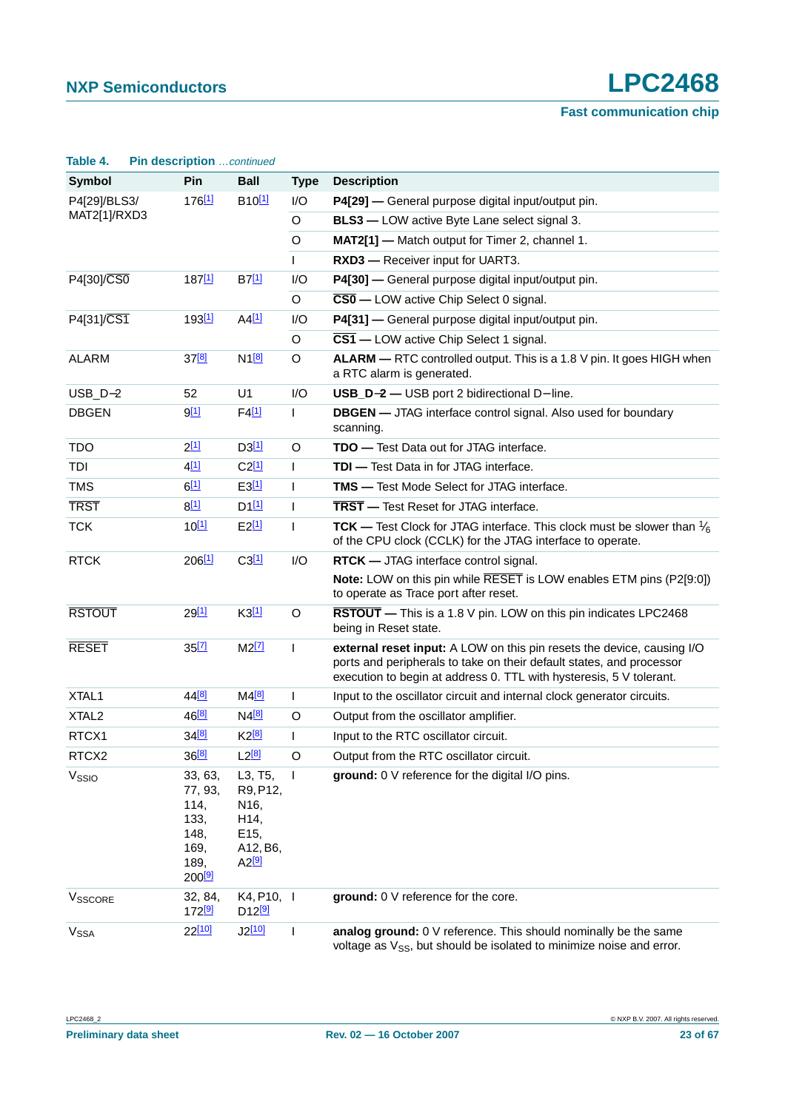| Table 4.               | Pin description  continued                                                       |                                                                                    |                |                                                                                                                                                                                                                       |
|------------------------|----------------------------------------------------------------------------------|------------------------------------------------------------------------------------|----------------|-----------------------------------------------------------------------------------------------------------------------------------------------------------------------------------------------------------------------|
| <b>Symbol</b>          | Pin                                                                              | <b>Ball</b>                                                                        | <b>Type</b>    | <b>Description</b>                                                                                                                                                                                                    |
| P4[29]/BLS3/           | 176 <sup>[1]</sup>                                                               | B <sub>10[1]</sub>                                                                 | 1/O            | P4[29] — General purpose digital input/output pin.                                                                                                                                                                    |
| MAT2[1]/RXD3           |                                                                                  |                                                                                    | O              | <b>BLS3</b> - LOW active Byte Lane select signal 3.                                                                                                                                                                   |
|                        |                                                                                  |                                                                                    | O              | MAT2[1] - Match output for Timer 2, channel 1.                                                                                                                                                                        |
|                        |                                                                                  |                                                                                    | $\mathsf{L}$   | RXD3 - Receiver input for UART3.                                                                                                                                                                                      |
| P4[30]/CS0             | 187[1]                                                                           | B7[1]                                                                              | I/O            | P4[30] - General purpose digital input/output pin.                                                                                                                                                                    |
|                        |                                                                                  |                                                                                    | O              | $\overline{\text{CS0}}$ - LOW active Chip Select 0 signal.                                                                                                                                                            |
| P4[31]/CS1             | 193 <sup>[1]</sup>                                                               | $A4$ <sup>[1]</sup>                                                                | I/O            | P4[31] - General purpose digital input/output pin.                                                                                                                                                                    |
|                        |                                                                                  |                                                                                    | O              | $\overline{\text{CS1}}$ - LOW active Chip Select 1 signal.                                                                                                                                                            |
| <b>ALARM</b>           | $37^{[8]}$                                                                       | $N1^{[8]}$                                                                         | O              | ALARM - RTC controlled output. This is a 1.8 V pin. It goes HIGH when<br>a RTC alarm is generated.                                                                                                                    |
| $USB_D-2$              | 52                                                                               | U1                                                                                 | I/O            | USB_D-2 - USB port 2 bidirectional D- line.                                                                                                                                                                           |
| <b>DBGEN</b>           | 9[1]                                                                             | $F4$ <sup>[1]</sup>                                                                | L              | <b>DBGEN</b> - JTAG interface control signal. Also used for boundary<br>scanning.                                                                                                                                     |
| <b>TDO</b>             | $2^{[1]}$                                                                        | D3[1]                                                                              | O              | <b>TDO</b> - Test Data out for JTAG interface.                                                                                                                                                                        |
| TDI                    | 4 <sup>[1]</sup>                                                                 | $C2^{[1]}$                                                                         | L              | TDI - Test Data in for JTAG interface.                                                                                                                                                                                |
| <b>TMS</b>             | $6^{[1]}$                                                                        | E3[1]                                                                              | $\mathsf{L}$   | <b>TMS</b> - Test Mode Select for JTAG interface.                                                                                                                                                                     |
| <b>TRST</b>            | 8[1]                                                                             | $D1$ <sup>[1]</sup>                                                                | $\mathsf{I}$   | TRST - Test Reset for JTAG interface.                                                                                                                                                                                 |
| <b>TCK</b>             | $10^{[1]}$                                                                       | $E2^{[1]}$                                                                         | $\mathsf{I}$   | <b>TCK</b> — Test Clock for JTAG interface. This clock must be slower than $\frac{1}{6}$<br>of the CPU clock (CCLK) for the JTAG interface to operate.                                                                |
| <b>RTCK</b>            | 206[1]                                                                           | C3[1]                                                                              | I/O            | <b>RTCK</b> — JTAG interface control signal.                                                                                                                                                                          |
|                        |                                                                                  |                                                                                    |                | Note: LOW on this pin while RESET is LOW enables ETM pins (P2[9:0])<br>to operate as Trace port after reset.                                                                                                          |
| <b>RSTOUT</b>          | $29^{[1]}$                                                                       | K3[1]                                                                              | O              | RSTOUT - This is a 1.8 V pin. LOW on this pin indicates LPC2468<br>being in Reset state.                                                                                                                              |
| <b>RESET</b>           | $35$ <sup>[7]</sup>                                                              | $M2$ <sup>[7]</sup>                                                                | $\overline{1}$ | external reset input: A LOW on this pin resets the device, causing I/O<br>ports and peripherals to take on their default states, and processor<br>execution to begin at address 0. TTL with hysteresis, 5 V tolerant. |
| XTAL1                  | 44 <sup>[8]</sup>                                                                | M4 <sup>[8]</sup>                                                                  | L              | Input to the oscillator circuit and internal clock generator circuits.                                                                                                                                                |
| XTAL <sub>2</sub>      | 46 <sup>[8]</sup>                                                                | N4 <sup>[8]</sup>                                                                  | O              | Output from the oscillator amplifier.                                                                                                                                                                                 |
| RTCX1                  | 34 <sup>[8]</sup>                                                                | $K2^{[8]}$                                                                         | $\mathsf{I}$   | Input to the RTC oscillator circuit.                                                                                                                                                                                  |
| RTCX2                  | 36[8]                                                                            | $L2^{[8]}$                                                                         | O              | Output from the RTC oscillator circuit.                                                                                                                                                                               |
| V <sub>SSIO</sub>      | 33, 63,<br>77, 93,<br>114,<br>133,<br>148,<br>169,<br>189,<br>200 <sup>[9]</sup> | L3, T5,<br>R9, P12,<br>N <sub>16</sub> ,<br>H14,<br>E15,<br>A12, B6,<br>$A2^{[9]}$ | $\mathbf{I}$   | ground: 0 V reference for the digital I/O pins.                                                                                                                                                                       |
| VSSCORE                | 32, 84,<br>172 <sup>[9]</sup>                                                    | K4, P10, I<br>$D12^{[9]}$                                                          |                | ground: 0 V reference for the core.                                                                                                                                                                                   |
| <b>V<sub>SSA</sub></b> | $22^{[10]}$                                                                      | $J2^{[10]}$                                                                        | I              | analog ground: 0 V reference. This should nominally be the same<br>voltage as V <sub>SS</sub> , but should be isolated to minimize noise and error.                                                                   |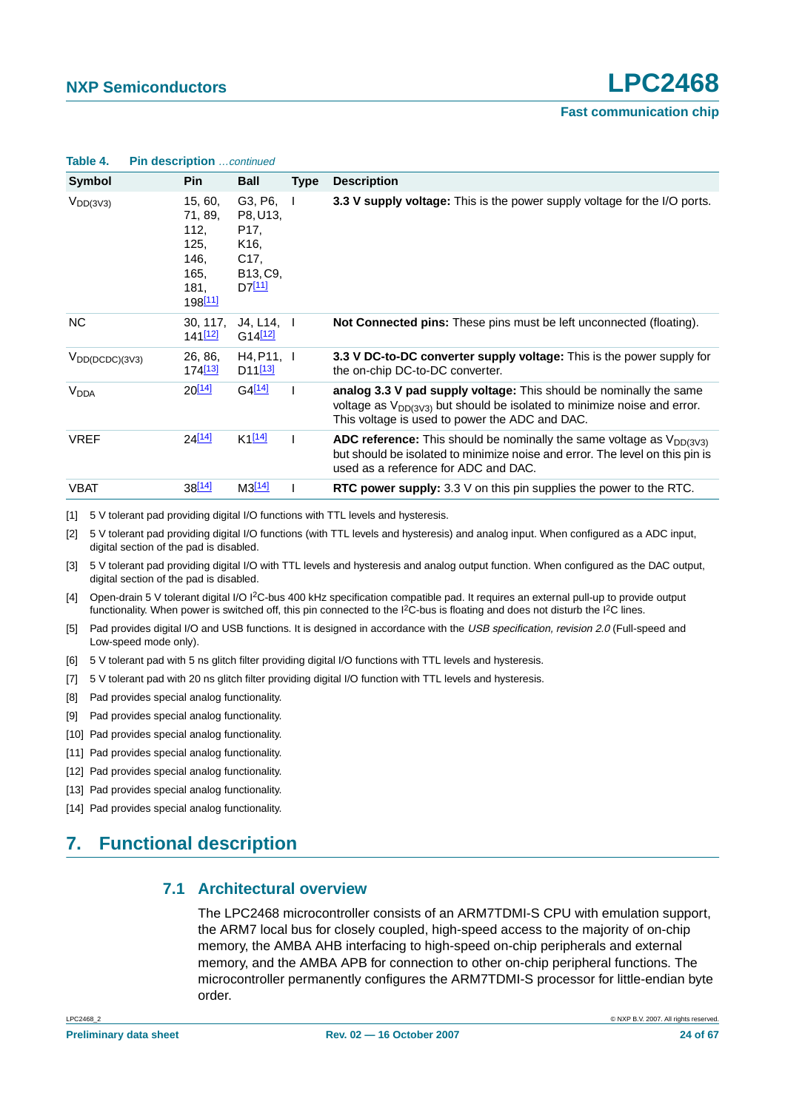| IUNIV TI               | <b>THE GUOVERNIUM</b> COMMODU                                                     |                                                                                                                                    |             |                                                                                                                                                                                                      |
|------------------------|-----------------------------------------------------------------------------------|------------------------------------------------------------------------------------------------------------------------------------|-------------|------------------------------------------------------------------------------------------------------------------------------------------------------------------------------------------------------|
| Symbol                 | <b>Pin</b>                                                                        | <b>Ball</b>                                                                                                                        | <b>Type</b> | <b>Description</b>                                                                                                                                                                                   |
| $V_{DD(3V3)}$          | 15, 60,<br>71, 89,<br>112,<br>125,<br>146,<br>165.<br>181,<br>198 <sup>[11]</sup> | G3, P6,<br>P8, U13,<br>P <sub>17</sub> ,<br>K <sub>16</sub> ,<br>C <sub>17</sub> ,<br>B <sub>13</sub> , C <sub>9</sub> ,<br>D7[11] |             | 3.3 V supply voltage: This is the power supply voltage for the I/O ports.                                                                                                                            |
| NC.                    | 30, 117,<br>141 <sup>[12]</sup>                                                   | JA, L14, I<br>G14 <sup>[12]</sup>                                                                                                  |             | <b>Not Connected pins:</b> These pins must be left unconnected (floating).                                                                                                                           |
| $V_{DD(DCDC)(3V3)}$    | 26, 86,<br>174 <mark>[13]</mark>                                                  | H4, P11, I<br>D <sub>11</sub> [13]                                                                                                 |             | 3.3 V DC-to-DC converter supply voltage: This is the power supply for<br>the on-chip DC-to-DC converter.                                                                                             |
| <b>V<sub>DDA</sub></b> | $20^{[14]}$                                                                       | $G4$ <sup>[14]</sup>                                                                                                               |             | analog 3.3 V pad supply voltage: This should be nominally the same<br>voltage as $V_{DD(3V3)}$ but should be isolated to minimize noise and error.<br>This voltage is used to power the ADC and DAC. |
| <b>VREF</b>            | $24^{[14]}$                                                                       | $K1^{[14]}$                                                                                                                        |             | ADC reference: This should be nominally the same voltage as $V_{DD(3V3)}$<br>but should be isolated to minimize noise and error. The level on this pin is<br>used as a reference for ADC and DAC.    |
| <b>VBAT</b>            | $38^{[14]}$                                                                       | M3 <sup>[14]</sup>                                                                                                                 |             | RTC power supply: $3.3$ V on this pin supplies the power to the RTC.                                                                                                                                 |

**Table 4. Pin description** continued

<span id="page-23-0"></span>[1] 5 V tolerant pad providing digital I/O functions with TTL levels and hysteresis.

<span id="page-23-1"></span>[2] 5 V tolerant pad providing digital I/O functions (with TTL levels and hysteresis) and analog input. When configured as a ADC input, digital section of the pad is disabled.

<span id="page-23-2"></span>[3] 5 V tolerant pad providing digital I/O with TTL levels and hysteresis and analog output function. When configured as the DAC output, digital section of the pad is disabled.

<span id="page-23-3"></span>[4] Open-drain 5 V tolerant digital I/O I2C-bus 400 kHz specification compatible pad. It requires an external pull-up to provide output functionality. When power is switched off, this pin connected to the I<sup>2</sup>C-bus is floating and does not disturb the I<sup>2</sup>C lines.

- <span id="page-23-4"></span>[5] Pad provides digital I/O and USB functions. It is designed in accordance with the USB specification, revision 2.0 (Full-speed and Low-speed mode only).
- <span id="page-23-5"></span>[6] 5 V tolerant pad with 5 ns glitch filter providing digital I/O functions with TTL levels and hysteresis.
- <span id="page-23-7"></span>[7] 5 V tolerant pad with 20 ns glitch filter providing digital I/O function with TTL levels and hysteresis.
- <span id="page-23-6"></span>[8] Pad provides special analog functionality.
- <span id="page-23-8"></span>[9] Pad provides special analog functionality.
- <span id="page-23-9"></span>[10] Pad provides special analog functionality.
- <span id="page-23-10"></span>[11] Pad provides special analog functionality.
- <span id="page-23-11"></span>[12] Pad provides special analog functionality.
- <span id="page-23-12"></span>[13] Pad provides special analog functionality.

<span id="page-23-13"></span>[14] Pad provides special analog functionality.

## <span id="page-23-15"></span><span id="page-23-14"></span>**7. Functional description**

#### **7.1 Architectural overview**

The LPC2468 microcontroller consists of an ARM7TDMI-S CPU with emulation support, the ARM7 local bus for closely coupled, high-speed access to the majority of on-chip memory, the AMBA AHB interfacing to high-speed on-chip peripherals and external memory, and the AMBA APB for connection to other on-chip peripheral functions. The microcontroller permanently configures the ARM7TDMI-S processor for little-endian byte order.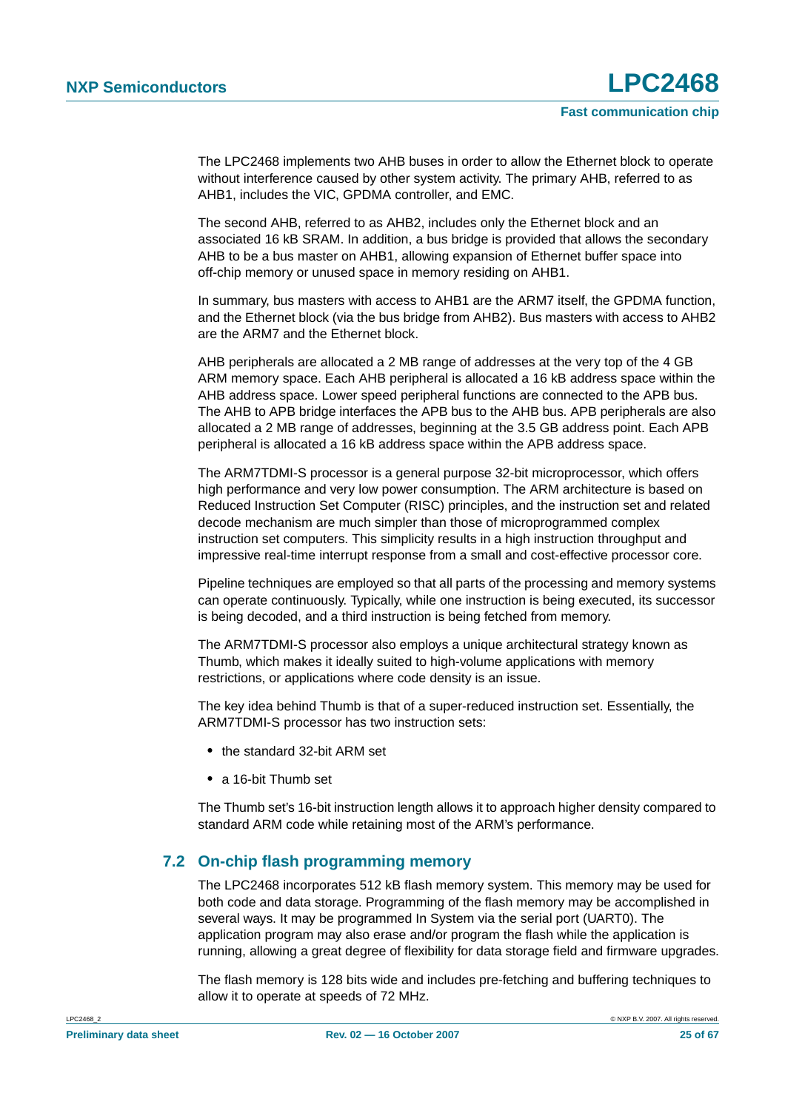The LPC2468 implements two AHB buses in order to allow the Ethernet block to operate without interference caused by other system activity. The primary AHB, referred to as AHB1, includes the VIC, GPDMA controller, and EMC.

The second AHB, referred to as AHB2, includes only the Ethernet block and an associated 16 kB SRAM. In addition, a bus bridge is provided that allows the secondary AHB to be a bus master on AHB1, allowing expansion of Ethernet buffer space into off-chip memory or unused space in memory residing on AHB1.

In summary, bus masters with access to AHB1 are the ARM7 itself, the GPDMA function, and the Ethernet block (via the bus bridge from AHB2). Bus masters with access to AHB2 are the ARM7 and the Ethernet block.

AHB peripherals are allocated a 2 MB range of addresses at the very top of the 4 GB ARM memory space. Each AHB peripheral is allocated a 16 kB address space within the AHB address space. Lower speed peripheral functions are connected to the APB bus. The AHB to APB bridge interfaces the APB bus to the AHB bus. APB peripherals are also allocated a 2 MB range of addresses, beginning at the 3.5 GB address point. Each APB peripheral is allocated a 16 kB address space within the APB address space.

The ARM7TDMI-S processor is a general purpose 32-bit microprocessor, which offers high performance and very low power consumption. The ARM architecture is based on Reduced Instruction Set Computer (RISC) principles, and the instruction set and related decode mechanism are much simpler than those of microprogrammed complex instruction set computers. This simplicity results in a high instruction throughput and impressive real-time interrupt response from a small and cost-effective processor core.

Pipeline techniques are employed so that all parts of the processing and memory systems can operate continuously. Typically, while one instruction is being executed, its successor is being decoded, and a third instruction is being fetched from memory.

The ARM7TDMI-S processor also employs a unique architectural strategy known as Thumb, which makes it ideally suited to high-volume applications with memory restrictions, or applications where code density is an issue.

The key idea behind Thumb is that of a super-reduced instruction set. Essentially, the ARM7TDMI-S processor has two instruction sets:

- **•** the standard 32-bit ARM set
- **•** a 16-bit Thumb set

The Thumb set's 16-bit instruction length allows it to approach higher density compared to standard ARM code while retaining most of the ARM's performance.

### <span id="page-24-0"></span>**7.2 On-chip flash programming memory**

The LPC2468 incorporates 512 kB flash memory system. This memory may be used for both code and data storage. Programming of the flash memory may be accomplished in several ways. It may be programmed In System via the serial port (UART0). The application program may also erase and/or program the flash while the application is running, allowing a great degree of flexibility for data storage field and firmware upgrades.

The flash memory is 128 bits wide and includes pre-fetching and buffering techniques to allow it to operate at speeds of 72 MHz.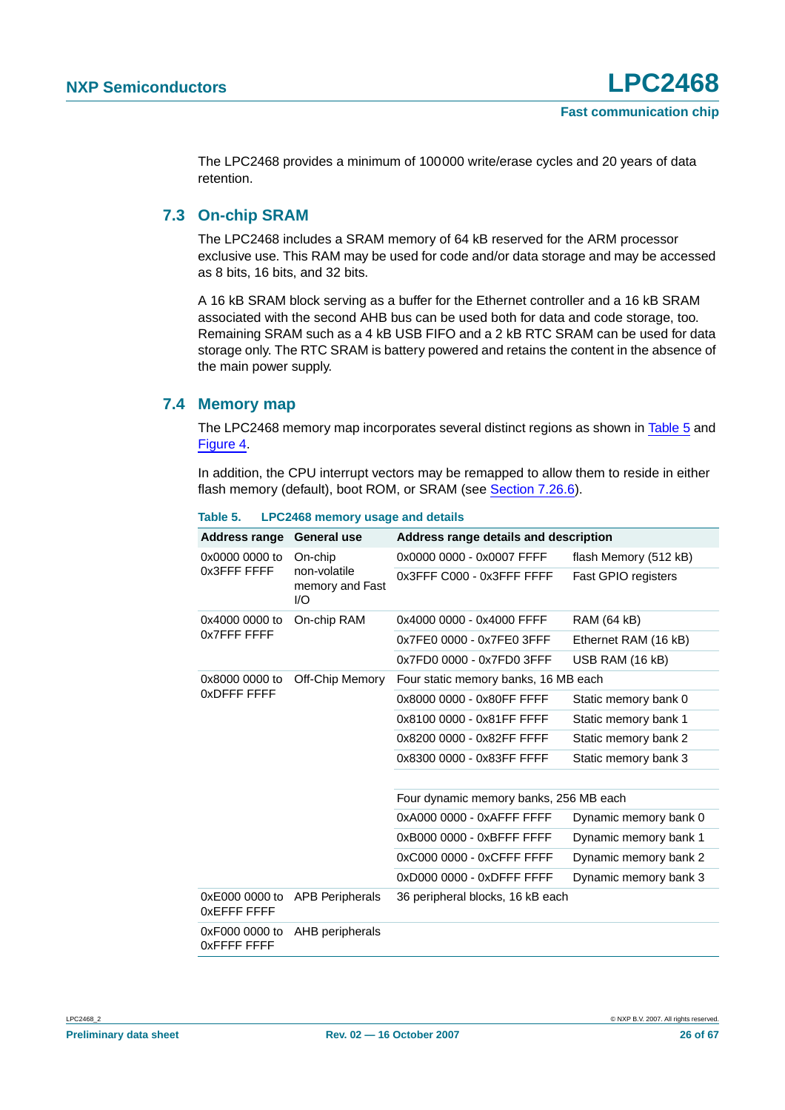The LPC2468 provides a minimum of 100000 write/erase cycles and 20 years of data retention.

#### <span id="page-25-1"></span>**7.3 On-chip SRAM**

The LPC2468 includes a SRAM memory of 64 kB reserved for the ARM processor exclusive use. This RAM may be used for code and/or data storage and may be accessed as 8 bits, 16 bits, and 32 bits.

A 16 kB SRAM block serving as a buffer for the Ethernet controller and a 16 kB SRAM associated with the second AHB bus can be used both for data and code storage, too. Remaining SRAM such as a 4 kB USB FIFO and a 2 kB RTC SRAM can be used for data storage only. The RTC SRAM is battery powered and retains the content in the absence of the main power supply.

#### <span id="page-25-2"></span>**7.4 Memory map**

The LPC2468 memory map incorporates several distinct regions as shown in [Table](#page-25-0) 5 and [Figure](#page-26-0) 4.

In addition, the CPU interrupt vectors may be remapped to allow them to reside in either flash memory (default), boot ROM, or SRAM (see [Section](#page-44-0) 7.26.6).

| <b>Address range</b>          | <b>General use</b>                     | Address range details and description  |                            |  |  |
|-------------------------------|----------------------------------------|----------------------------------------|----------------------------|--|--|
| 0x0000 0000 to                | On-chip                                | 0x0000 0000 - 0x0007 FFFF              | flash Memory (512 kB)      |  |  |
| 0x3FFF FFFF                   | non-volatile<br>memory and Fast<br>1/O | $0x3$ FFF $C000 - 0x3$ FFF FFFF        | <b>Fast GPIO registers</b> |  |  |
| 0x4000 0000 to                | On-chip RAM                            | 0x4000 0000 - 0x4000 FFFF              | <b>RAM (64 kB)</b>         |  |  |
| 0x7FFF FFFF                   |                                        | 0x7FE0 0000 - 0x7FE0 3FFF              | Ethernet RAM (16 kB)       |  |  |
|                               |                                        | 0x7FD0 0000 - 0x7FD0 3FFF              | USB RAM (16 kB)            |  |  |
| 0x8000 0000 to<br>0xDFFF FFFF | Off-Chip Memory                        | Four static memory banks, 16 MB each   |                            |  |  |
|                               |                                        | 0x8000 0000 - 0x80FF FFFF              | Static memory bank 0       |  |  |
|                               |                                        | 0x8100 0000 - 0x81FF FFFF              | Static memory bank 1       |  |  |
|                               |                                        | 0x8200 0000 - 0x82FF FFFF              | Static memory bank 2       |  |  |
|                               |                                        | 0x8300 0000 - 0x83FF FFFF              | Static memory bank 3       |  |  |
|                               |                                        |                                        |                            |  |  |
|                               |                                        | Four dynamic memory banks, 256 MB each |                            |  |  |
|                               |                                        | 0xA000 0000 - 0xAFFF FFFF              | Dynamic memory bank 0      |  |  |
|                               |                                        | 0xB000 0000 - 0xBFFF FFFF              | Dynamic memory bank 1      |  |  |
|                               |                                        | 0xC000 0000 - 0xCFFF FFFF              | Dynamic memory bank 2      |  |  |
|                               |                                        | 0xD000 0000 - 0xDFFF FFFF              | Dynamic memory bank 3      |  |  |
| 0xE000 0000 to<br>OxEFFF FFFF | <b>APB Peripherals</b>                 | 36 peripheral blocks, 16 kB each       |                            |  |  |
| 0xF000 0000 to<br>OXFFFF FFFF | AHB peripherals                        |                                        |                            |  |  |

<span id="page-25-0"></span>**Table 5. LPC2468 memory usage and details**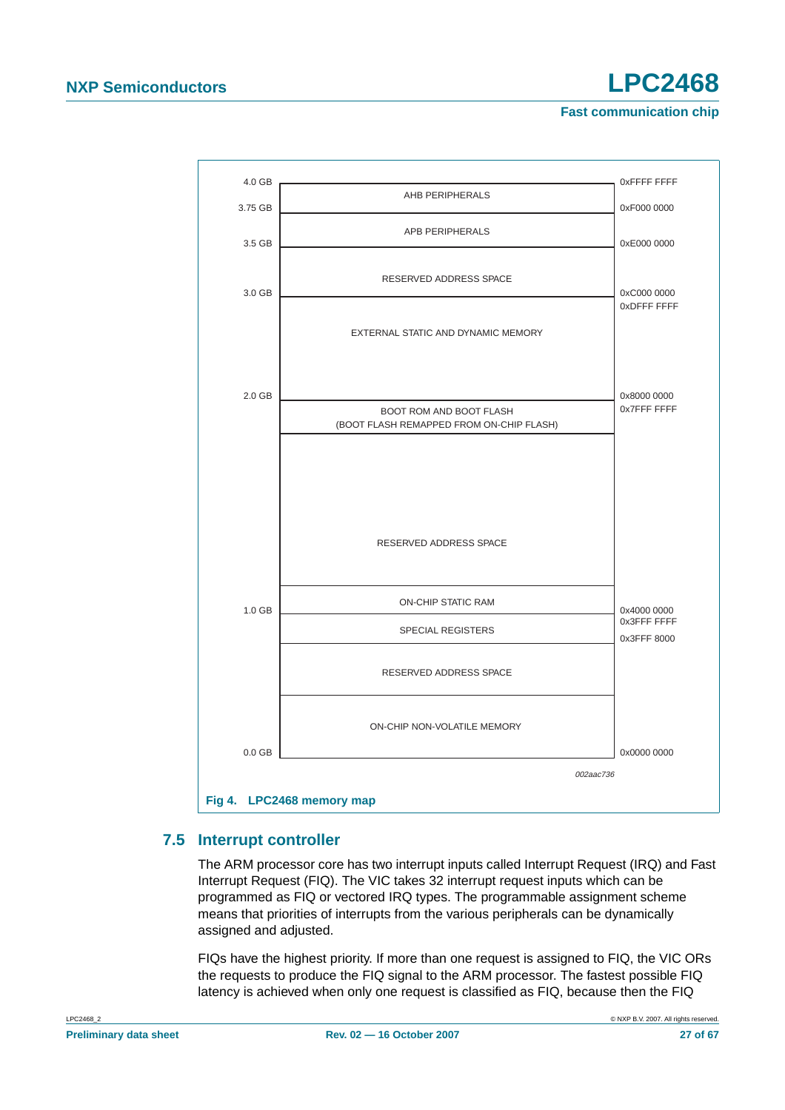

### <span id="page-26-1"></span><span id="page-26-0"></span>**7.5 Interrupt controller**

The ARM processor core has two interrupt inputs called Interrupt Request (IRQ) and Fast Interrupt Request (FIQ). The VIC takes 32 interrupt request inputs which can be programmed as FIQ or vectored IRQ types. The programmable assignment scheme means that priorities of interrupts from the various peripherals can be dynamically assigned and adjusted.

FIQs have the highest priority. If more than one request is assigned to FIQ, the VIC ORs the requests to produce the FIQ signal to the ARM processor. The fastest possible FIQ latency is achieved when only one request is classified as FIQ, because then the FIQ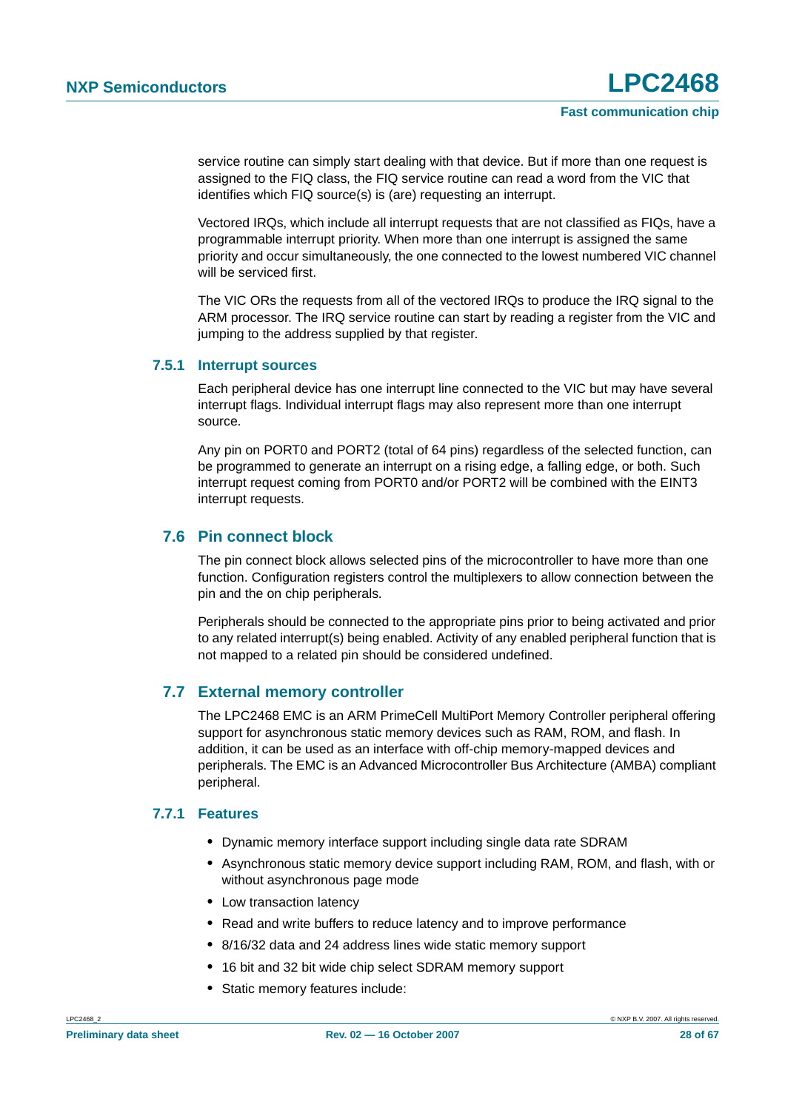service routine can simply start dealing with that device. But if more than one request is assigned to the FIQ class, the FIQ service routine can read a word from the VIC that identifies which FIQ source(s) is (are) requesting an interrupt.

Vectored IRQs, which include all interrupt requests that are not classified as FIQs, have a programmable interrupt priority. When more than one interrupt is assigned the same priority and occur simultaneously, the one connected to the lowest numbered VIC channel will be serviced first.

The VIC ORs the requests from all of the vectored IRQs to produce the IRQ signal to the ARM processor. The IRQ service routine can start by reading a register from the VIC and jumping to the address supplied by that register.

#### <span id="page-27-0"></span>**7.5.1 Interrupt sources**

Each peripheral device has one interrupt line connected to the VIC but may have several interrupt flags. Individual interrupt flags may also represent more than one interrupt source.

Any pin on PORT0 and PORT2 (total of 64 pins) regardless of the selected function, can be programmed to generate an interrupt on a rising edge, a falling edge, or both. Such interrupt request coming from PORT0 and/or PORT2 will be combined with the EINT3 interrupt requests.

### <span id="page-27-1"></span>**7.6 Pin connect block**

The pin connect block allows selected pins of the microcontroller to have more than one function. Configuration registers control the multiplexers to allow connection between the pin and the on chip peripherals.

Peripherals should be connected to the appropriate pins prior to being activated and prior to any related interrupt(s) being enabled. Activity of any enabled peripheral function that is not mapped to a related pin should be considered undefined.

### <span id="page-27-2"></span>**7.7 External memory controller**

The LPC2468 EMC is an ARM PrimeCell MultiPort Memory Controller peripheral offering support for asynchronous static memory devices such as RAM, ROM, and flash. In addition, it can be used as an interface with off-chip memory-mapped devices and peripherals. The EMC is an Advanced Microcontroller Bus Architecture (AMBA) compliant peripheral.

#### <span id="page-27-3"></span>**7.7.1 Features**

- **•** Dynamic memory interface support including single data rate SDRAM
- **•** Asynchronous static memory device support including RAM, ROM, and flash, with or without asynchronous page mode
- **•** Low transaction latency
- **•** Read and write buffers to reduce latency and to improve performance
- **•** 8/16/32 data and 24 address lines wide static memory support
- **•** 16 bit and 32 bit wide chip select SDRAM memory support
- **•** Static memory features include: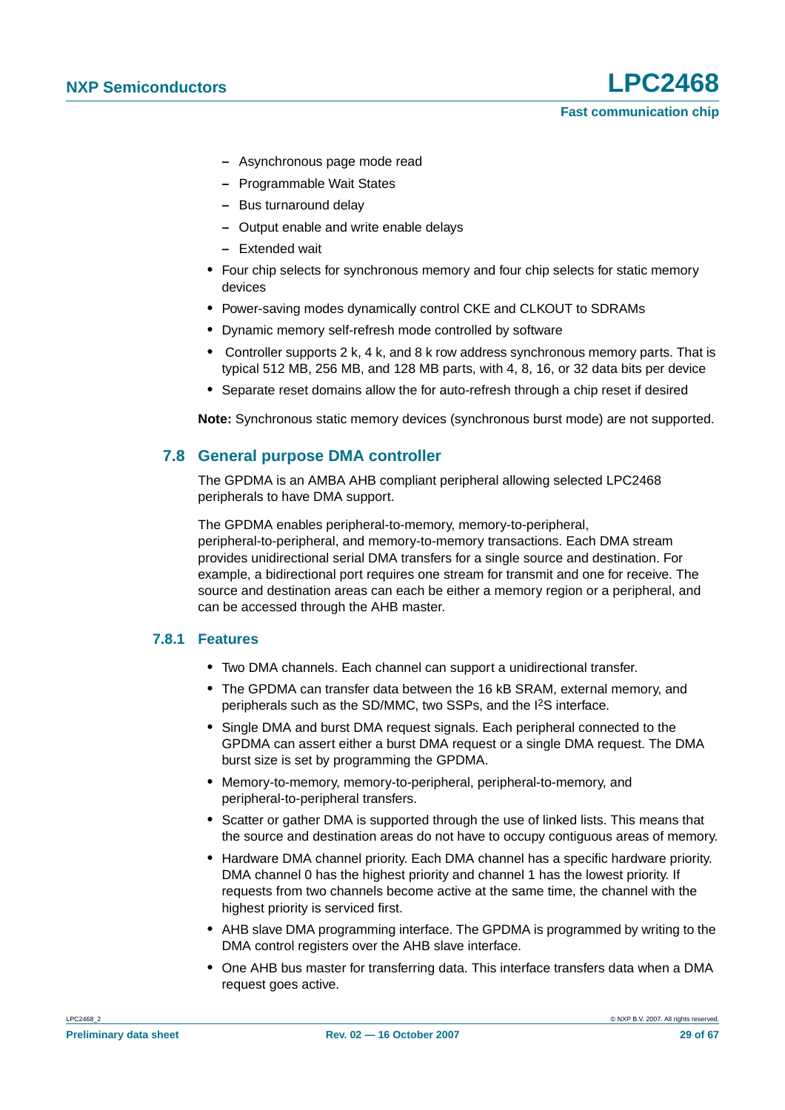- **–** Asynchronous page mode read
- **–** Programmable Wait States
- **–** Bus turnaround delay
- **–** Output enable and write enable delays
- **–** Extended wait
- **•** Four chip selects for synchronous memory and four chip selects for static memory devices
- **•** Power-saving modes dynamically control CKE and CLKOUT to SDRAMs
- **•** Dynamic memory self-refresh mode controlled by software
- **•** Controller supports 2 k, 4 k, and 8 k row address synchronous memory parts. That is typical 512 MB, 256 MB, and 128 MB parts, with 4, 8, 16, or 32 data bits per device
- **•** Separate reset domains allow the for auto-refresh through a chip reset if desired

**Note:** Synchronous static memory devices (synchronous burst mode) are not supported.

### <span id="page-28-0"></span>**7.8 General purpose DMA controller**

The GPDMA is an AMBA AHB compliant peripheral allowing selected LPC2468 peripherals to have DMA support.

The GPDMA enables peripheral-to-memory, memory-to-peripheral, peripheral-to-peripheral, and memory-to-memory transactions. Each DMA stream provides unidirectional serial DMA transfers for a single source and destination. For example, a bidirectional port requires one stream for transmit and one for receive. The source and destination areas can each be either a memory region or a peripheral, and can be accessed through the AHB master.

#### <span id="page-28-1"></span>**7.8.1 Features**

- **•** Two DMA channels. Each channel can support a unidirectional transfer.
- **•** The GPDMA can transfer data between the 16 kB SRAM, external memory, and peripherals such as the SD/MMC, two SSPs, and the I2S interface.
- **•** Single DMA and burst DMA request signals. Each peripheral connected to the GPDMA can assert either a burst DMA request or a single DMA request. The DMA burst size is set by programming the GPDMA.
- **•** Memory-to-memory, memory-to-peripheral, peripheral-to-memory, and peripheral-to-peripheral transfers.
- **•** Scatter or gather DMA is supported through the use of linked lists. This means that the source and destination areas do not have to occupy contiguous areas of memory.
- **•** Hardware DMA channel priority. Each DMA channel has a specific hardware priority. DMA channel 0 has the highest priority and channel 1 has the lowest priority. If requests from two channels become active at the same time, the channel with the highest priority is serviced first.
- **•** AHB slave DMA programming interface. The GPDMA is programmed by writing to the DMA control registers over the AHB slave interface.
- **•** One AHB bus master for transferring data. This interface transfers data when a DMA request goes active.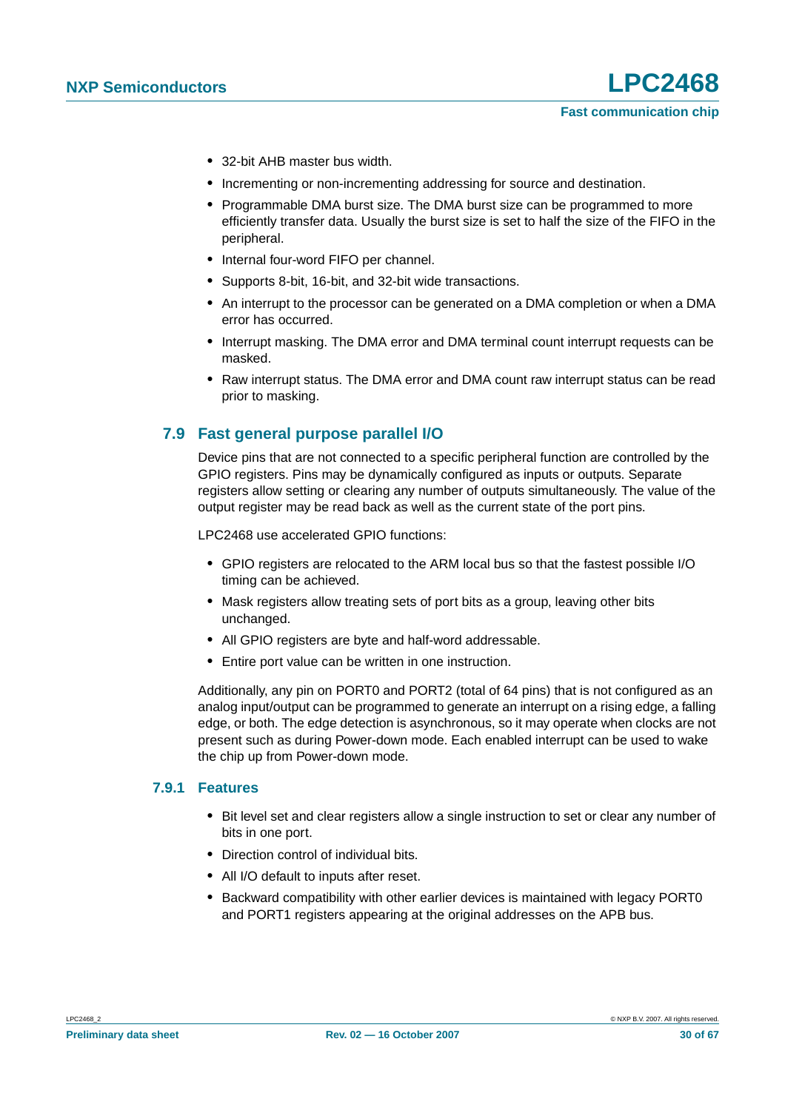- **•** 32-bit AHB master bus width.
- **•** Incrementing or non-incrementing addressing for source and destination.
- **•** Programmable DMA burst size. The DMA burst size can be programmed to more efficiently transfer data. Usually the burst size is set to half the size of the FIFO in the peripheral.
- **•** Internal four-word FIFO per channel.
- **•** Supports 8-bit, 16-bit, and 32-bit wide transactions.
- **•** An interrupt to the processor can be generated on a DMA completion or when a DMA error has occurred.
- **•** Interrupt masking. The DMA error and DMA terminal count interrupt requests can be masked.
- **•** Raw interrupt status. The DMA error and DMA count raw interrupt status can be read prior to masking.

### <span id="page-29-0"></span>**7.9 Fast general purpose parallel I/O**

Device pins that are not connected to a specific peripheral function are controlled by the GPIO registers. Pins may be dynamically configured as inputs or outputs. Separate registers allow setting or clearing any number of outputs simultaneously. The value of the output register may be read back as well as the current state of the port pins.

LPC2468 use accelerated GPIO functions:

- **•** GPIO registers are relocated to the ARM local bus so that the fastest possible I/O timing can be achieved.
- **•** Mask registers allow treating sets of port bits as a group, leaving other bits unchanged.
- **•** All GPIO registers are byte and half-word addressable.
- **•** Entire port value can be written in one instruction.

Additionally, any pin on PORT0 and PORT2 (total of 64 pins) that is not configured as an analog input/output can be programmed to generate an interrupt on a rising edge, a falling edge, or both. The edge detection is asynchronous, so it may operate when clocks are not present such as during Power-down mode. Each enabled interrupt can be used to wake the chip up from Power-down mode.

#### <span id="page-29-1"></span>**7.9.1 Features**

- **•** Bit level set and clear registers allow a single instruction to set or clear any number of bits in one port.
- **•** Direction control of individual bits.
- **•** All I/O default to inputs after reset.
- **•** Backward compatibility with other earlier devices is maintained with legacy PORT0 and PORT1 registers appearing at the original addresses on the APB bus.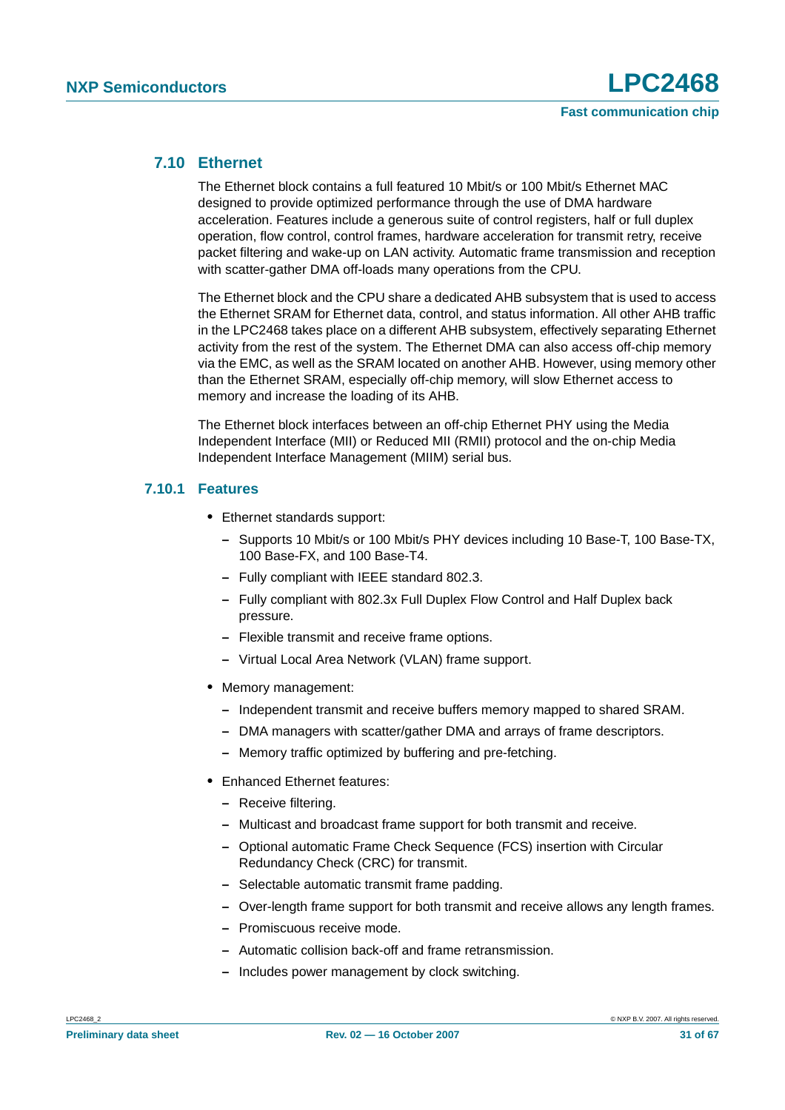#### <span id="page-30-0"></span>**7.10 Ethernet**

The Ethernet block contains a full featured 10 Mbit/s or 100 Mbit/s Ethernet MAC designed to provide optimized performance through the use of DMA hardware acceleration. Features include a generous suite of control registers, half or full duplex operation, flow control, control frames, hardware acceleration for transmit retry, receive packet filtering and wake-up on LAN activity. Automatic frame transmission and reception with scatter-gather DMA off-loads many operations from the CPU.

The Ethernet block and the CPU share a dedicated AHB subsystem that is used to access the Ethernet SRAM for Ethernet data, control, and status information. All other AHB traffic in the LPC2468 takes place on a different AHB subsystem, effectively separating Ethernet activity from the rest of the system. The Ethernet DMA can also access off-chip memory via the EMC, as well as the SRAM located on another AHB. However, using memory other than the Ethernet SRAM, especially off-chip memory, will slow Ethernet access to memory and increase the loading of its AHB.

The Ethernet block interfaces between an off-chip Ethernet PHY using the Media Independent Interface (MII) or Reduced MII (RMII) protocol and the on-chip Media Independent Interface Management (MIIM) serial bus.

#### <span id="page-30-1"></span>**7.10.1 Features**

- **•** Ethernet standards support:
	- **–** Supports 10 Mbit/s or 100 Mbit/s PHY devices including 10 Base-T, 100 Base-TX, 100 Base-FX, and 100 Base-T4.
	- **–** Fully compliant with IEEE standard 802.3.
	- **–** Fully compliant with 802.3x Full Duplex Flow Control and Half Duplex back pressure.
	- **–** Flexible transmit and receive frame options.
	- **–** Virtual Local Area Network (VLAN) frame support.
- **•** Memory management:
	- **–** Independent transmit and receive buffers memory mapped to shared SRAM.
	- **–** DMA managers with scatter/gather DMA and arrays of frame descriptors.
	- **–** Memory traffic optimized by buffering and pre-fetching.
- **•** Enhanced Ethernet features:
	- **–** Receive filtering.
	- **–** Multicast and broadcast frame support for both transmit and receive.
	- **–** Optional automatic Frame Check Sequence (FCS) insertion with Circular Redundancy Check (CRC) for transmit.
	- **–** Selectable automatic transmit frame padding.
	- **–** Over-length frame support for both transmit and receive allows any length frames.
	- **–** Promiscuous receive mode.
	- **–** Automatic collision back-off and frame retransmission.
	- **–** Includes power management by clock switching.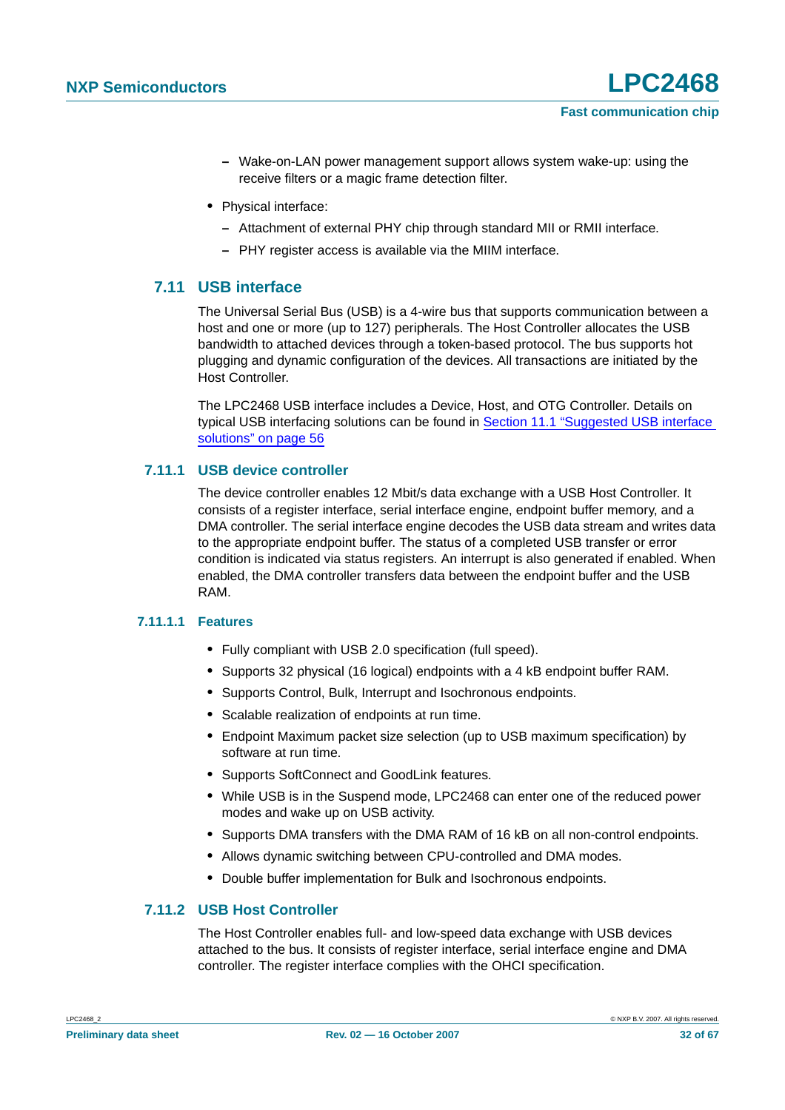- **–** Wake-on-LAN power management support allows system wake-up: using the receive filters or a magic frame detection filter.
- **•** Physical interface:
	- **–** Attachment of external PHY chip through standard MII or RMII interface.
	- **–** PHY register access is available via the MIIM interface.

### <span id="page-31-0"></span>**7.11 USB interface**

The Universal Serial Bus (USB) is a 4-wire bus that supports communication between a host and one or more (up to 127) peripherals. The Host Controller allocates the USB bandwidth to attached devices through a token-based protocol. The bus supports hot plugging and dynamic configuration of the devices. All transactions are initiated by the Host Controller.

The LPC2468 USB interface includes a Device, Host, and OTG Controller. Details on typical USB interfacing solutions can be found in [Section 11.1 "Suggested USB interface](#page-55-0) [solutions" on page 56](#page-55-0)

#### <span id="page-31-1"></span>**7.11.1 USB device controller**

The device controller enables 12 Mbit/s data exchange with a USB Host Controller. It consists of a register interface, serial interface engine, endpoint buffer memory, and a DMA controller. The serial interface engine decodes the USB data stream and writes data to the appropriate endpoint buffer. The status of a completed USB transfer or error condition is indicated via status registers. An interrupt is also generated if enabled. When enabled, the DMA controller transfers data between the endpoint buffer and the USB RAM.

#### <span id="page-31-2"></span>**7.11.1.1 Features**

- **•** Fully compliant with USB 2.0 specification (full speed).
- **•** Supports 32 physical (16 logical) endpoints with a 4 kB endpoint buffer RAM.
- **•** Supports Control, Bulk, Interrupt and Isochronous endpoints.
- **•** Scalable realization of endpoints at run time.
- **•** Endpoint Maximum packet size selection (up to USB maximum specification) by software at run time.
- **•** Supports SoftConnect and GoodLink features.
- **•** While USB is in the Suspend mode, LPC2468 can enter one of the reduced power modes and wake up on USB activity.
- **•** Supports DMA transfers with the DMA RAM of 16 kB on all non-control endpoints.
- **•** Allows dynamic switching between CPU-controlled and DMA modes.
- **•** Double buffer implementation for Bulk and Isochronous endpoints.

#### <span id="page-31-3"></span>**7.11.2 USB Host Controller**

The Host Controller enables full- and low-speed data exchange with USB devices attached to the bus. It consists of register interface, serial interface engine and DMA controller. The register interface complies with the OHCI specification.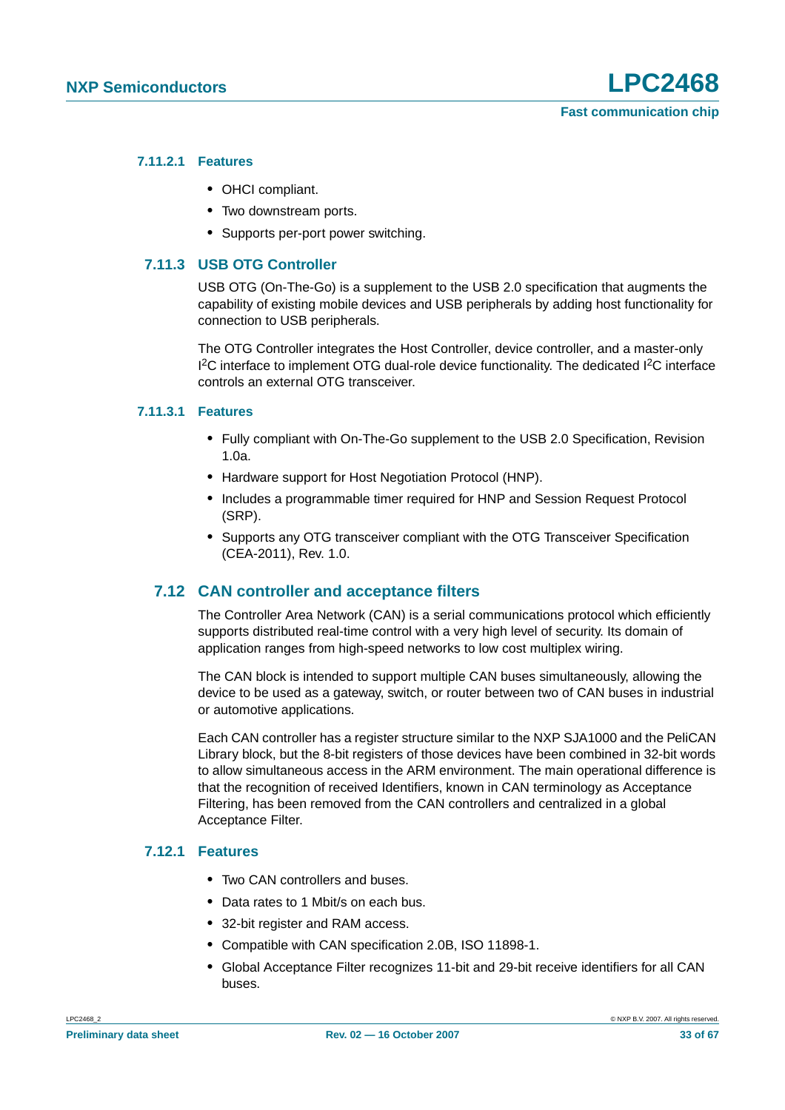#### <span id="page-32-0"></span>**7.11.2.1 Features**

- **•** OHCI compliant.
- **•** Two downstream ports.
- **•** Supports per-port power switching.

#### <span id="page-32-1"></span>**7.11.3 USB OTG Controller**

USB OTG (On-The-Go) is a supplement to the USB 2.0 specification that augments the capability of existing mobile devices and USB peripherals by adding host functionality for connection to USB peripherals.

The OTG Controller integrates the Host Controller, device controller, and a master-only <sup>12</sup>C interface to implement OTG dual-role device functionality. The dedicated <sup>12</sup>C interface controls an external OTG transceiver.

#### <span id="page-32-2"></span>**7.11.3.1 Features**

- **•** Fully compliant with On-The-Go supplement to the USB 2.0 Specification, Revision 1.0a.
- **•** Hardware support for Host Negotiation Protocol (HNP).
- **•** Includes a programmable timer required for HNP and Session Request Protocol (SRP).
- **•** Supports any OTG transceiver compliant with the OTG Transceiver Specification (CEA-2011), Rev. 1.0.

#### <span id="page-32-3"></span>**7.12 CAN controller and acceptance filters**

The Controller Area Network (CAN) is a serial communications protocol which efficiently supports distributed real-time control with a very high level of security. Its domain of application ranges from high-speed networks to low cost multiplex wiring.

The CAN block is intended to support multiple CAN buses simultaneously, allowing the device to be used as a gateway, switch, or router between two of CAN buses in industrial or automotive applications.

Each CAN controller has a register structure similar to the NXP SJA1000 and the PeliCAN Library block, but the 8-bit registers of those devices have been combined in 32-bit words to allow simultaneous access in the ARM environment. The main operational difference is that the recognition of received Identifiers, known in CAN terminology as Acceptance Filtering, has been removed from the CAN controllers and centralized in a global Acceptance Filter.

#### <span id="page-32-4"></span>**7.12.1 Features**

- **•** Two CAN controllers and buses.
- **•** Data rates to 1 Mbit/s on each bus.
- **•** 32-bit register and RAM access.
- **•** Compatible with CAN specification 2.0B, ISO 11898-1.
- **•** Global Acceptance Filter recognizes 11-bit and 29-bit receive identifiers for all CAN buses.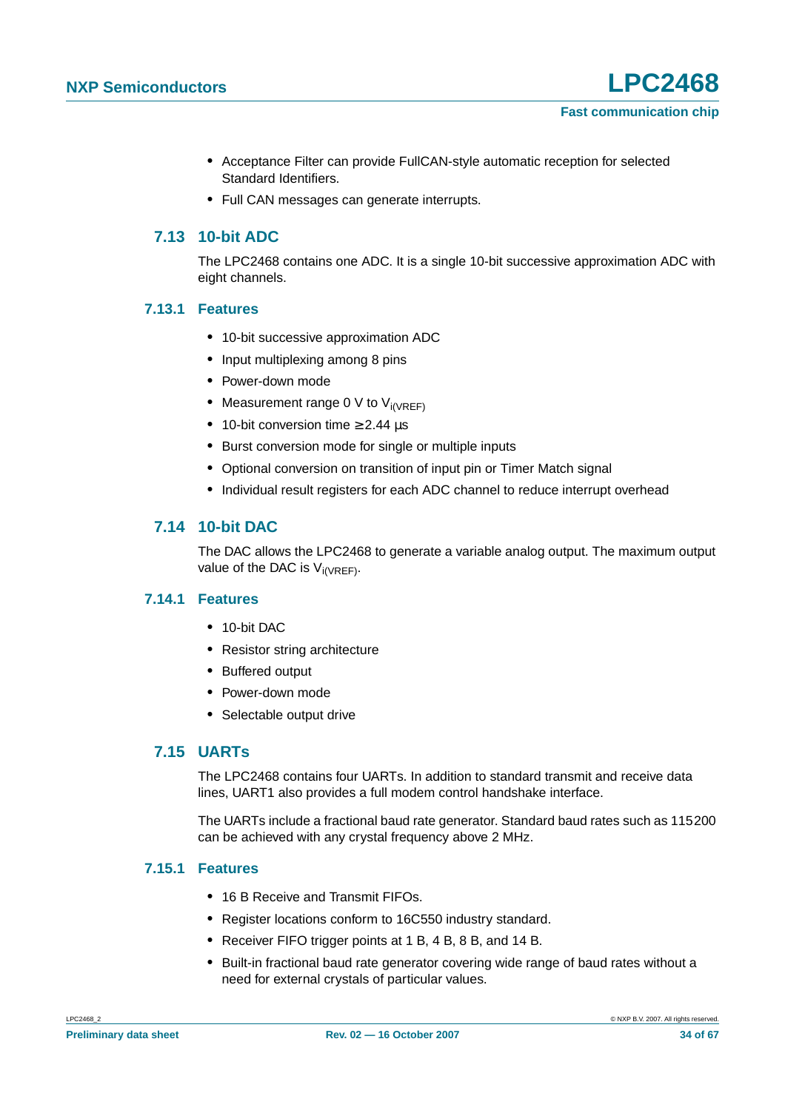- **•** Acceptance Filter can provide FullCAN-style automatic reception for selected Standard Identifiers.
- **•** Full CAN messages can generate interrupts.

### <span id="page-33-0"></span>**7.13 10-bit ADC**

The LPC2468 contains one ADC. It is a single 10-bit successive approximation ADC with eight channels.

#### <span id="page-33-1"></span>**7.13.1 Features**

- **•** 10-bit successive approximation ADC
- **•** Input multiplexing among 8 pins
- **•** Power-down mode
- Measurement range 0 V to V<sub>i(VREF)</sub>
- **•** 10-bit conversion time ≥ 2.44 µs
- **•** Burst conversion mode for single or multiple inputs
- **•** Optional conversion on transition of input pin or Timer Match signal
- **•** Individual result registers for each ADC channel to reduce interrupt overhead

### <span id="page-33-2"></span>**7.14 10-bit DAC**

The DAC allows the LPC2468 to generate a variable analog output. The maximum output value of the DAC is  $V_{i(VREF)}$ .

### <span id="page-33-3"></span>**7.14.1 Features**

- **•** 10-bit DAC
- **•** Resistor string architecture
- **•** Buffered output
- **•** Power-down mode
- **•** Selectable output drive

### <span id="page-33-4"></span>**7.15 UARTs**

The LPC2468 contains four UARTs. In addition to standard transmit and receive data lines, UART1 also provides a full modem control handshake interface.

The UARTs include a fractional baud rate generator. Standard baud rates such as 115200 can be achieved with any crystal frequency above 2 MHz.

#### <span id="page-33-5"></span>**7.15.1 Features**

- **•** 16 B Receive and Transmit FIFOs.
- **•** Register locations conform to 16C550 industry standard.
- **•** Receiver FIFO trigger points at 1 B, 4 B, 8 B, and 14 B.
- **•** Built-in fractional baud rate generator covering wide range of baud rates without a need for external crystals of particular values.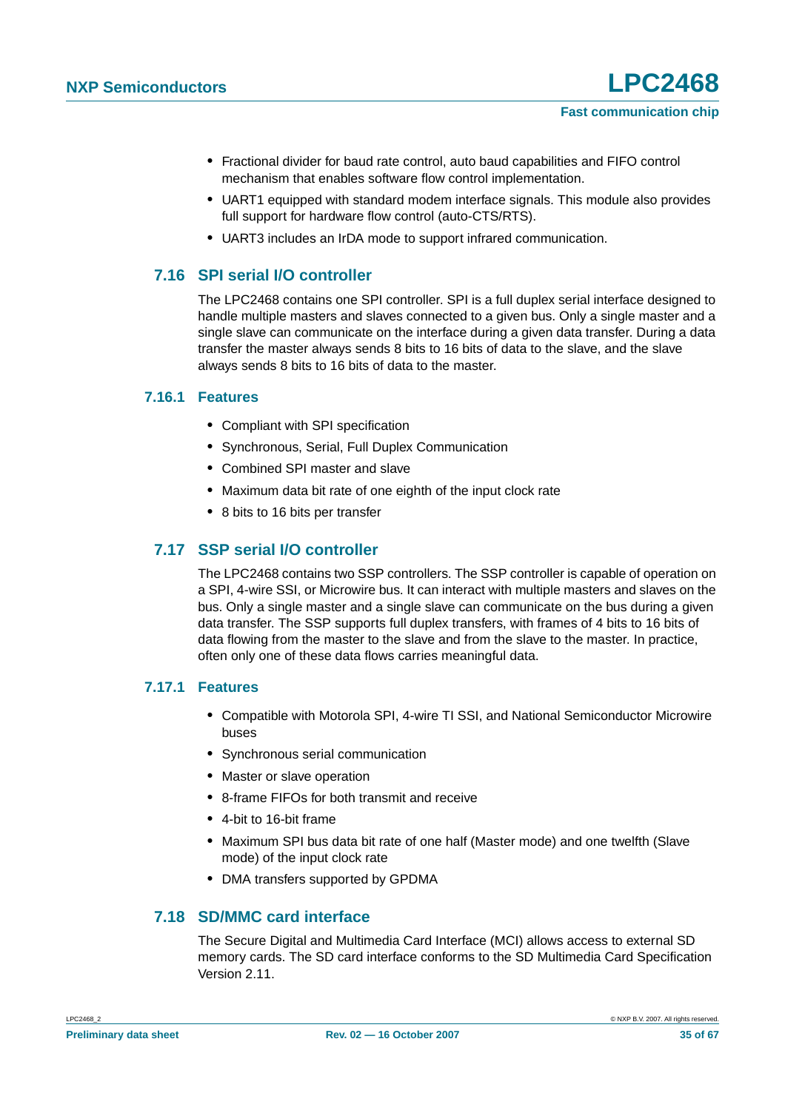- **•** Fractional divider for baud rate control, auto baud capabilities and FIFO control mechanism that enables software flow control implementation.
- **•** UART1 equipped with standard modem interface signals. This module also provides full support for hardware flow control (auto-CTS/RTS).
- **•** UART3 includes an IrDA mode to support infrared communication.

#### <span id="page-34-0"></span>**7.16 SPI serial I/O controller**

The LPC2468 contains one SPI controller. SPI is a full duplex serial interface designed to handle multiple masters and slaves connected to a given bus. Only a single master and a single slave can communicate on the interface during a given data transfer. During a data transfer the master always sends 8 bits to 16 bits of data to the slave, and the slave always sends 8 bits to 16 bits of data to the master.

#### <span id="page-34-1"></span>**7.16.1 Features**

- **•** Compliant with SPI specification
- **•** Synchronous, Serial, Full Duplex Communication
- **•** Combined SPI master and slave
- **•** Maximum data bit rate of one eighth of the input clock rate
- **•** 8 bits to 16 bits per transfer

### <span id="page-34-2"></span>**7.17 SSP serial I/O controller**

The LPC2468 contains two SSP controllers. The SSP controller is capable of operation on a SPI, 4-wire SSI, or Microwire bus. It can interact with multiple masters and slaves on the bus. Only a single master and a single slave can communicate on the bus during a given data transfer. The SSP supports full duplex transfers, with frames of 4 bits to 16 bits of data flowing from the master to the slave and from the slave to the master. In practice, often only one of these data flows carries meaningful data.

#### <span id="page-34-3"></span>**7.17.1 Features**

- **•** Compatible with Motorola SPI, 4-wire TI SSI, and National Semiconductor Microwire buses
- **•** Synchronous serial communication
- **•** Master or slave operation
- **•** 8-frame FIFOs for both transmit and receive
- **•** 4-bit to 16-bit frame
- **•** Maximum SPI bus data bit rate of one half (Master mode) and one twelfth (Slave mode) of the input clock rate
- **•** DMA transfers supported by GPDMA

#### <span id="page-34-4"></span>**7.18 SD/MMC card interface**

The Secure Digital and Multimedia Card Interface (MCI) allows access to external SD memory cards. The SD card interface conforms to the SD Multimedia Card Specification Version 2.11.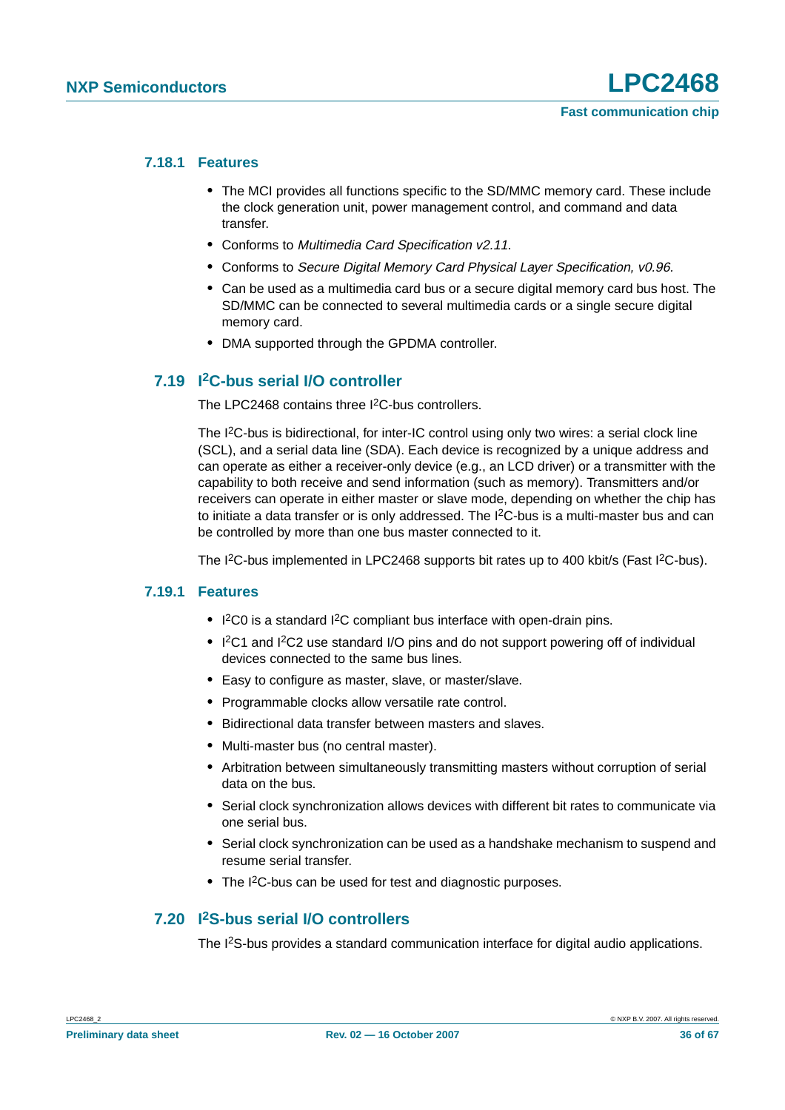#### <span id="page-35-0"></span>**7.18.1 Features**

- **•** The MCI provides all functions specific to the SD/MMC memory card. These include the clock generation unit, power management control, and command and data transfer.
- **•** Conforms to Multimedia Card Specification v2.11.
- **•** Conforms to Secure Digital Memory Card Physical Layer Specification, v0.96.
- **•** Can be used as a multimedia card bus or a secure digital memory card bus host. The SD/MMC can be connected to several multimedia cards or a single secure digital memory card.
- **•** DMA supported through the GPDMA controller.

#### <span id="page-35-1"></span>**7.19 I2C-bus serial I/O controller**

The LPC2468 contains three I<sup>2</sup>C-bus controllers.

The I<sup>2</sup>C-bus is bidirectional, for inter-IC control using only two wires: a serial clock line (SCL), and a serial data line (SDA). Each device is recognized by a unique address and can operate as either a receiver-only device (e.g., an LCD driver) or a transmitter with the capability to both receive and send information (such as memory). Transmitters and/or receivers can operate in either master or slave mode, depending on whether the chip has to initiate a data transfer or is only addressed. The  $1<sup>2</sup>C$ -bus is a multi-master bus and can be controlled by more than one bus master connected to it.

The I<sup>2</sup>C-bus implemented in LPC2468 supports bit rates up to 400 kbit/s (Fast I<sup>2</sup>C-bus).

#### <span id="page-35-2"></span>**7.19.1 Features**

- **•** I 2C0 is a standard I2C compliant bus interface with open-drain pins.
- I<sup>2</sup>C1 and I<sup>2</sup>C2 use standard I/O pins and do not support powering off of individual devices connected to the same bus lines.
- **•** Easy to configure as master, slave, or master/slave.
- **•** Programmable clocks allow versatile rate control.
- **•** Bidirectional data transfer between masters and slaves.
- **•** Multi-master bus (no central master).
- **•** Arbitration between simultaneously transmitting masters without corruption of serial data on the bus.
- **•** Serial clock synchronization allows devices with different bit rates to communicate via one serial bus.
- **•** Serial clock synchronization can be used as a handshake mechanism to suspend and resume serial transfer.
- **•** The I2C-bus can be used for test and diagnostic purposes.

#### <span id="page-35-3"></span>**7.20 I2S-bus serial I/O controllers**

The I<sup>2</sup>S-bus provides a standard communication interface for digital audio applications.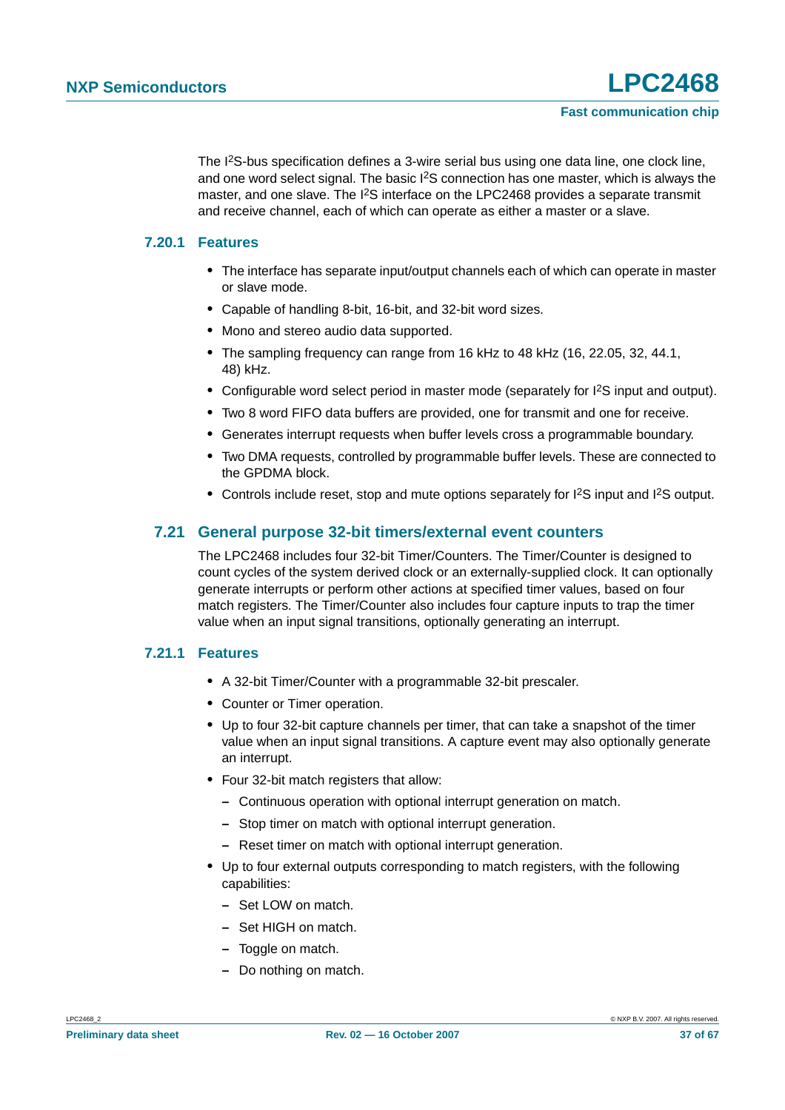The I2S-bus specification defines a 3-wire serial bus using one data line, one clock line, and one word select signal. The basic  $1<sup>2</sup>S$  connection has one master, which is always the master, and one slave. The <sup>12</sup>S interface on the LPC2468 provides a separate transmit and receive channel, each of which can operate as either a master or a slave.

#### <span id="page-36-0"></span>**7.20.1 Features**

- **•** The interface has separate input/output channels each of which can operate in master or slave mode.
- **•** Capable of handling 8-bit, 16-bit, and 32-bit word sizes.
- **•** Mono and stereo audio data supported.
- **•** The sampling frequency can range from 16 kHz to 48 kHz (16, 22.05, 32, 44.1, 48) kHz.
- Configurable word select period in master mode (separately for  $l^2S$  input and output).
- **•** Two 8 word FIFO data buffers are provided, one for transmit and one for receive.
- **•** Generates interrupt requests when buffer levels cross a programmable boundary.
- **•** Two DMA requests, controlled by programmable buffer levels. These are connected to the GPDMA block.
- Controls include reset, stop and mute options separately for I<sup>2</sup>S input and I<sup>2</sup>S output.

#### <span id="page-36-1"></span>**7.21 General purpose 32-bit timers/external event counters**

The LPC2468 includes four 32-bit Timer/Counters. The Timer/Counter is designed to count cycles of the system derived clock or an externally-supplied clock. It can optionally generate interrupts or perform other actions at specified timer values, based on four match registers. The Timer/Counter also includes four capture inputs to trap the timer value when an input signal transitions, optionally generating an interrupt.

#### <span id="page-36-2"></span>**7.21.1 Features**

- **•** A 32-bit Timer/Counter with a programmable 32-bit prescaler.
- **•** Counter or Timer operation.
- **•** Up to four 32-bit capture channels per timer, that can take a snapshot of the timer value when an input signal transitions. A capture event may also optionally generate an interrupt.
- **•** Four 32-bit match registers that allow:
	- **–** Continuous operation with optional interrupt generation on match.
	- **–** Stop timer on match with optional interrupt generation.
	- **–** Reset timer on match with optional interrupt generation.
- **•** Up to four external outputs corresponding to match registers, with the following capabilities:
	- **–** Set LOW on match.
	- **–** Set HIGH on match.
	- **–** Toggle on match.
	- **–** Do nothing on match.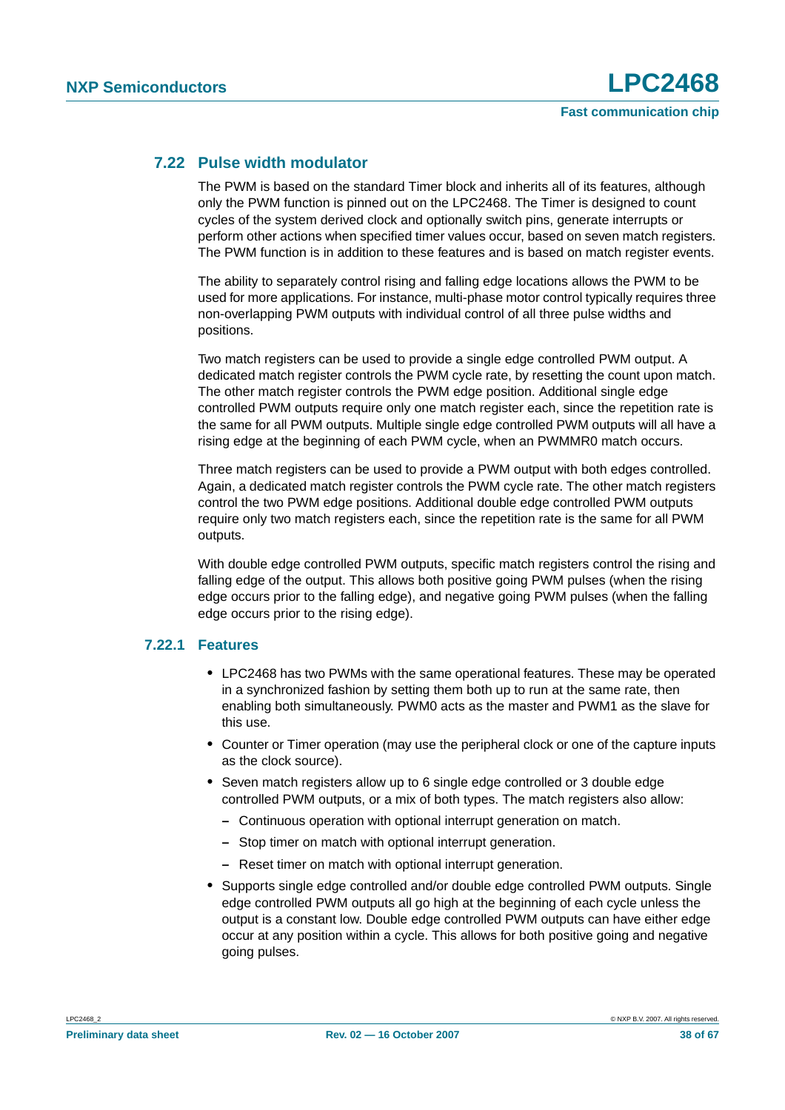#### <span id="page-37-0"></span>**7.22 Pulse width modulator**

The PWM is based on the standard Timer block and inherits all of its features, although only the PWM function is pinned out on the LPC2468. The Timer is designed to count cycles of the system derived clock and optionally switch pins, generate interrupts or perform other actions when specified timer values occur, based on seven match registers. The PWM function is in addition to these features and is based on match register events.

The ability to separately control rising and falling edge locations allows the PWM to be used for more applications. For instance, multi-phase motor control typically requires three non-overlapping PWM outputs with individual control of all three pulse widths and positions.

Two match registers can be used to provide a single edge controlled PWM output. A dedicated match register controls the PWM cycle rate, by resetting the count upon match. The other match register controls the PWM edge position. Additional single edge controlled PWM outputs require only one match register each, since the repetition rate is the same for all PWM outputs. Multiple single edge controlled PWM outputs will all have a rising edge at the beginning of each PWM cycle, when an PWMMR0 match occurs.

Three match registers can be used to provide a PWM output with both edges controlled. Again, a dedicated match register controls the PWM cycle rate. The other match registers control the two PWM edge positions. Additional double edge controlled PWM outputs require only two match registers each, since the repetition rate is the same for all PWM outputs.

With double edge controlled PWM outputs, specific match registers control the rising and falling edge of the output. This allows both positive going PWM pulses (when the rising edge occurs prior to the falling edge), and negative going PWM pulses (when the falling edge occurs prior to the rising edge).

#### <span id="page-37-1"></span>**7.22.1 Features**

- **•** LPC2468 has two PWMs with the same operational features. These may be operated in a synchronized fashion by setting them both up to run at the same rate, then enabling both simultaneously. PWM0 acts as the master and PWM1 as the slave for this use.
- **•** Counter or Timer operation (may use the peripheral clock or one of the capture inputs as the clock source).
- **•** Seven match registers allow up to 6 single edge controlled or 3 double edge controlled PWM outputs, or a mix of both types. The match registers also allow:
	- **–** Continuous operation with optional interrupt generation on match.
	- **–** Stop timer on match with optional interrupt generation.
	- **–** Reset timer on match with optional interrupt generation.
- **•** Supports single edge controlled and/or double edge controlled PWM outputs. Single edge controlled PWM outputs all go high at the beginning of each cycle unless the output is a constant low. Double edge controlled PWM outputs can have either edge occur at any position within a cycle. This allows for both positive going and negative going pulses.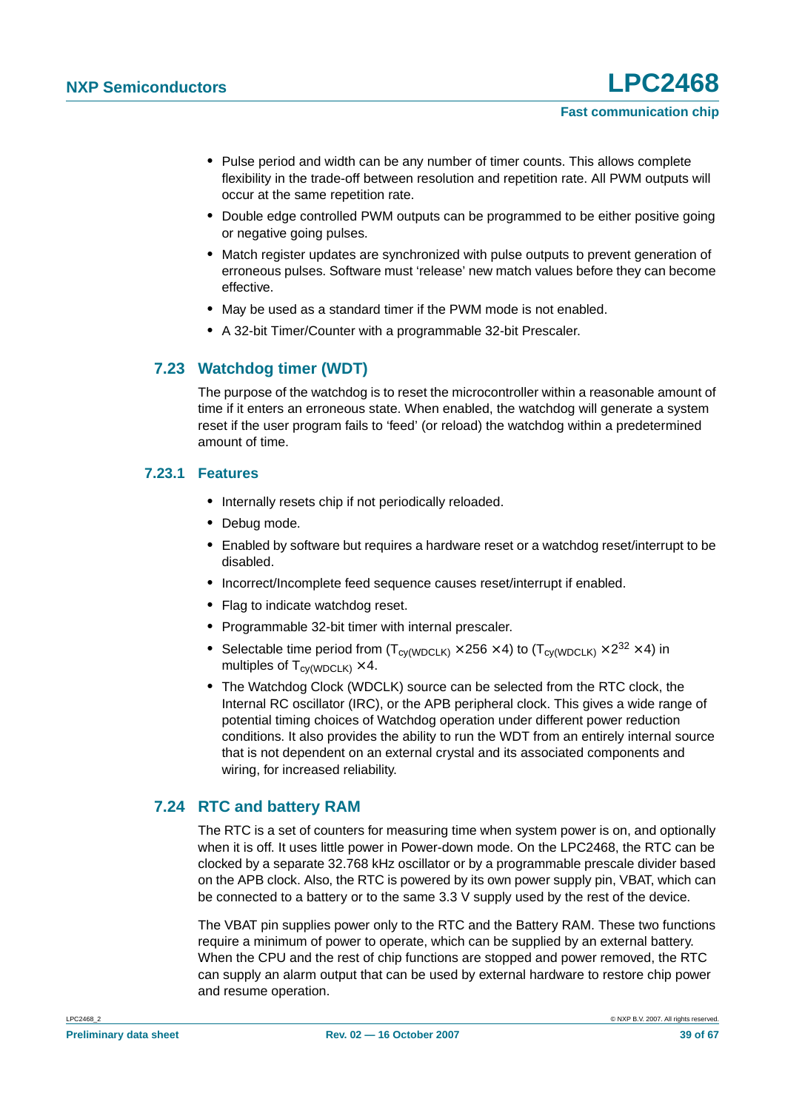- **•** Pulse period and width can be any number of timer counts. This allows complete flexibility in the trade-off between resolution and repetition rate. All PWM outputs will occur at the same repetition rate.
- **•** Double edge controlled PWM outputs can be programmed to be either positive going or negative going pulses.
- **•** Match register updates are synchronized with pulse outputs to prevent generation of erroneous pulses. Software must 'release' new match values before they can become effective.
- **•** May be used as a standard timer if the PWM mode is not enabled.
- **•** A 32-bit Timer/Counter with a programmable 32-bit Prescaler.

### <span id="page-38-0"></span>**7.23 Watchdog timer (WDT)**

The purpose of the watchdog is to reset the microcontroller within a reasonable amount of time if it enters an erroneous state. When enabled, the watchdog will generate a system reset if the user program fails to 'feed' (or reload) the watchdog within a predetermined amount of time.

#### <span id="page-38-1"></span>**7.23.1 Features**

- **•** Internally resets chip if not periodically reloaded.
- **•** Debug mode.
- **•** Enabled by software but requires a hardware reset or a watchdog reset/interrupt to be disabled.
- **•** Incorrect/Incomplete feed sequence causes reset/interrupt if enabled.
- **•** Flag to indicate watchdog reset.
- **•** Programmable 32-bit timer with internal prescaler.
- Selectable time period from  $(T_{\text{cv(WDCLK)}} \times 256 \times 4)$  to  $(T_{\text{cv(WDCLK)}} \times 2^{32} \times 4)$  in multiples of  $T_{\text{cv(WDCLK)}} \times 4$ .
- **•** The Watchdog Clock (WDCLK) source can be selected from the RTC clock, the Internal RC oscillator (IRC), or the APB peripheral clock. This gives a wide range of potential timing choices of Watchdog operation under different power reduction conditions. It also provides the ability to run the WDT from an entirely internal source that is not dependent on an external crystal and its associated components and wiring, for increased reliability.

#### <span id="page-38-2"></span>**7.24 RTC and battery RAM**

The RTC is a set of counters for measuring time when system power is on, and optionally when it is off. It uses little power in Power-down mode. On the LPC2468, the RTC can be clocked by a separate 32.768 kHz oscillator or by a programmable prescale divider based on the APB clock. Also, the RTC is powered by its own power supply pin, VBAT, which can be connected to a battery or to the same 3.3 V supply used by the rest of the device.

The VBAT pin supplies power only to the RTC and the Battery RAM. These two functions require a minimum of power to operate, which can be supplied by an external battery. When the CPU and the rest of chip functions are stopped and power removed, the RTC can supply an alarm output that can be used by external hardware to restore chip power and resume operation.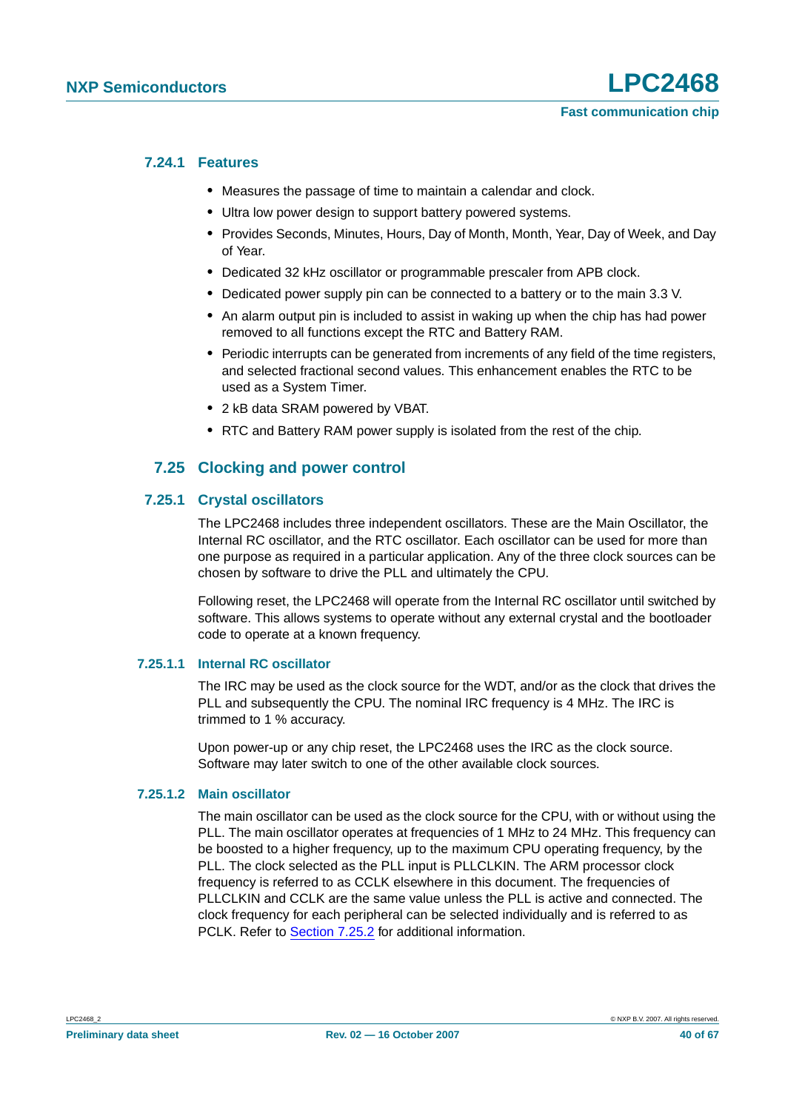#### <span id="page-39-0"></span>**7.24.1 Features**

- **•** Measures the passage of time to maintain a calendar and clock.
- **•** Ultra low power design to support battery powered systems.
- **•** Provides Seconds, Minutes, Hours, Day of Month, Month, Year, Day of Week, and Day of Year.
- **•** Dedicated 32 kHz oscillator or programmable prescaler from APB clock.
- **•** Dedicated power supply pin can be connected to a battery or to the main 3.3 V.
- **•** An alarm output pin is included to assist in waking up when the chip has had power removed to all functions except the RTC and Battery RAM.
- **•** Periodic interrupts can be generated from increments of any field of the time registers, and selected fractional second values. This enhancement enables the RTC to be used as a System Timer.
- **•** 2 kB data SRAM powered by VBAT.
- **•** RTC and Battery RAM power supply is isolated from the rest of the chip.

### **7.25 Clocking and power control**

#### <span id="page-39-2"></span><span id="page-39-1"></span>**7.25.1 Crystal oscillators**

The LPC2468 includes three independent oscillators. These are the Main Oscillator, the Internal RC oscillator, and the RTC oscillator. Each oscillator can be used for more than one purpose as required in a particular application. Any of the three clock sources can be chosen by software to drive the PLL and ultimately the CPU.

Following reset, the LPC2468 will operate from the Internal RC oscillator until switched by software. This allows systems to operate without any external crystal and the bootloader code to operate at a known frequency.

#### <span id="page-39-3"></span>**7.25.1.1 Internal RC oscillator**

The IRC may be used as the clock source for the WDT, and/or as the clock that drives the PLL and subsequently the CPU. The nominal IRC frequency is 4 MHz. The IRC is trimmed to 1 % accuracy.

Upon power-up or any chip reset, the LPC2468 uses the IRC as the clock source. Software may later switch to one of the other available clock sources.

#### <span id="page-39-4"></span>**7.25.1.2 Main oscillator**

The main oscillator can be used as the clock source for the CPU, with or without using the PLL. The main oscillator operates at frequencies of 1 MHz to 24 MHz. This frequency can be boosted to a higher frequency, up to the maximum CPU operating frequency, by the PLL. The clock selected as the PLL input is PLLCLKIN. The ARM processor clock frequency is referred to as CCLK elsewhere in this document. The frequencies of PLLCLKIN and CCLK are the same value unless the PLL is active and connected. The clock frequency for each peripheral can be selected individually and is referred to as PCLK. Refer to [Section](#page-40-0) 7.25.2 for additional information.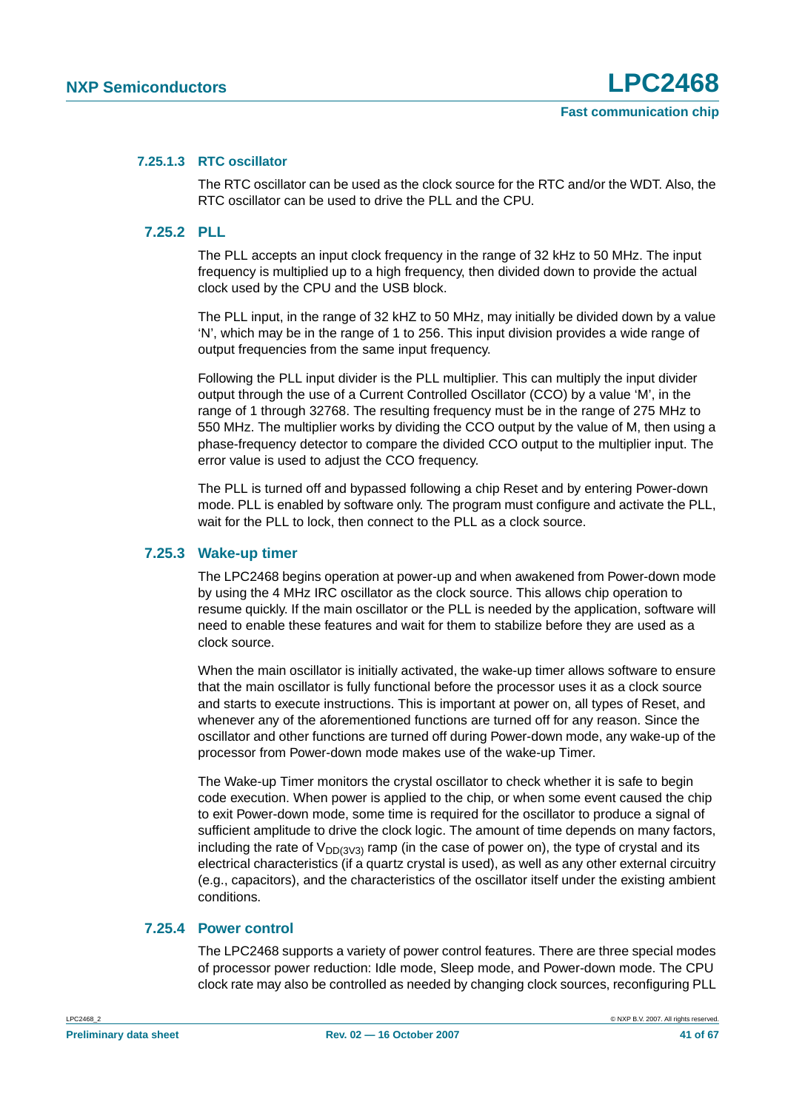#### <span id="page-40-2"></span>**7.25.1.3 RTC oscillator**

The RTC oscillator can be used as the clock source for the RTC and/or the WDT. Also, the RTC oscillator can be used to drive the PLL and the CPU.

#### <span id="page-40-0"></span>**7.25.2 PLL**

The PLL accepts an input clock frequency in the range of 32 kHz to 50 MHz. The input frequency is multiplied up to a high frequency, then divided down to provide the actual clock used by the CPU and the USB block.

The PLL input, in the range of 32 kHZ to 50 MHz, may initially be divided down by a value 'N', which may be in the range of 1 to 256. This input division provides a wide range of output frequencies from the same input frequency.

Following the PLL input divider is the PLL multiplier. This can multiply the input divider output through the use of a Current Controlled Oscillator (CCO) by a value 'M', in the range of 1 through 32768. The resulting frequency must be in the range of 275 MHz to 550 MHz. The multiplier works by dividing the CCO output by the value of M, then using a phase-frequency detector to compare the divided CCO output to the multiplier input. The error value is used to adjust the CCO frequency.

The PLL is turned off and bypassed following a chip Reset and by entering Power-down mode. PLL is enabled by software only. The program must configure and activate the PLL, wait for the PLL to lock, then connect to the PLL as a clock source.

#### <span id="page-40-1"></span>**7.25.3 Wake-up timer**

The LPC2468 begins operation at power-up and when awakened from Power-down mode by using the 4 MHz IRC oscillator as the clock source. This allows chip operation to resume quickly. If the main oscillator or the PLL is needed by the application, software will need to enable these features and wait for them to stabilize before they are used as a clock source.

When the main oscillator is initially activated, the wake-up timer allows software to ensure that the main oscillator is fully functional before the processor uses it as a clock source and starts to execute instructions. This is important at power on, all types of Reset, and whenever any of the aforementioned functions are turned off for any reason. Since the oscillator and other functions are turned off during Power-down mode, any wake-up of the processor from Power-down mode makes use of the wake-up Timer.

The Wake-up Timer monitors the crystal oscillator to check whether it is safe to begin code execution. When power is applied to the chip, or when some event caused the chip to exit Power-down mode, some time is required for the oscillator to produce a signal of sufficient amplitude to drive the clock logic. The amount of time depends on many factors, including the rate of  $V_{DD(3)/3}$  ramp (in the case of power on), the type of crystal and its electrical characteristics (if a quartz crystal is used), as well as any other external circuitry (e.g., capacitors), and the characteristics of the oscillator itself under the existing ambient conditions.

#### <span id="page-40-3"></span>**7.25.4 Power control**

The LPC2468 supports a variety of power control features. There are three special modes of processor power reduction: Idle mode, Sleep mode, and Power-down mode. The CPU clock rate may also be controlled as needed by changing clock sources, reconfiguring PLL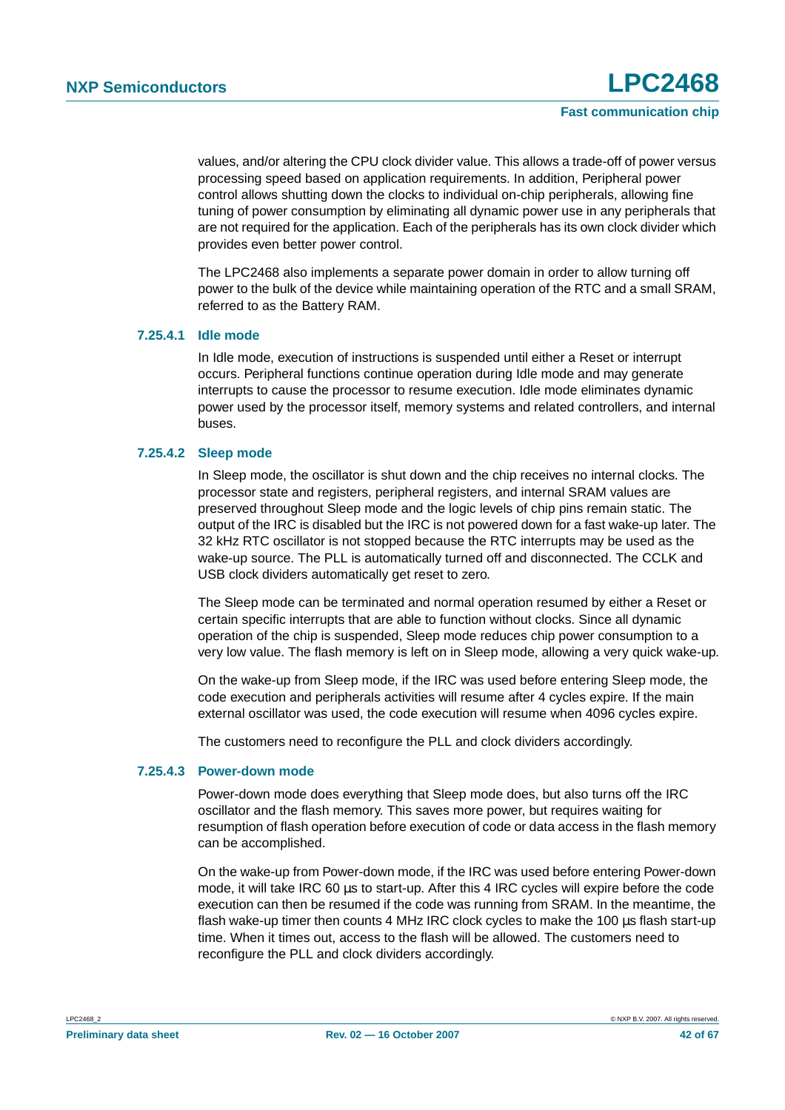values, and/or altering the CPU clock divider value. This allows a trade-off of power versus processing speed based on application requirements. In addition, Peripheral power control allows shutting down the clocks to individual on-chip peripherals, allowing fine tuning of power consumption by eliminating all dynamic power use in any peripherals that are not required for the application. Each of the peripherals has its own clock divider which provides even better power control.

The LPC2468 also implements a separate power domain in order to allow turning off power to the bulk of the device while maintaining operation of the RTC and a small SRAM, referred to as the Battery RAM.

#### <span id="page-41-0"></span>**7.25.4.1 Idle mode**

In Idle mode, execution of instructions is suspended until either a Reset or interrupt occurs. Peripheral functions continue operation during Idle mode and may generate interrupts to cause the processor to resume execution. Idle mode eliminates dynamic power used by the processor itself, memory systems and related controllers, and internal buses.

#### <span id="page-41-1"></span>**7.25.4.2 Sleep mode**

In Sleep mode, the oscillator is shut down and the chip receives no internal clocks. The processor state and registers, peripheral registers, and internal SRAM values are preserved throughout Sleep mode and the logic levels of chip pins remain static. The output of the IRC is disabled but the IRC is not powered down for a fast wake-up later. The 32 kHz RTC oscillator is not stopped because the RTC interrupts may be used as the wake-up source. The PLL is automatically turned off and disconnected. The CCLK and USB clock dividers automatically get reset to zero.

The Sleep mode can be terminated and normal operation resumed by either a Reset or certain specific interrupts that are able to function without clocks. Since all dynamic operation of the chip is suspended, Sleep mode reduces chip power consumption to a very low value. The flash memory is left on in Sleep mode, allowing a very quick wake-up.

On the wake-up from Sleep mode, if the IRC was used before entering Sleep mode, the code execution and peripherals activities will resume after 4 cycles expire. If the main external oscillator was used, the code execution will resume when 4096 cycles expire.

The customers need to reconfigure the PLL and clock dividers accordingly.

#### <span id="page-41-2"></span>**7.25.4.3 Power-down mode**

Power-down mode does everything that Sleep mode does, but also turns off the IRC oscillator and the flash memory. This saves more power, but requires waiting for resumption of flash operation before execution of code or data access in the flash memory can be accomplished.

On the wake-up from Power-down mode, if the IRC was used before entering Power-down mode, it will take IRC 60 us to start-up. After this 4 IRC cycles will expire before the code execution can then be resumed if the code was running from SRAM. In the meantime, the flash wake-up timer then counts 4 MHz IRC clock cycles to make the 100 µs flash start-up time. When it times out, access to the flash will be allowed. The customers need to reconfigure the PLL and clock dividers accordingly.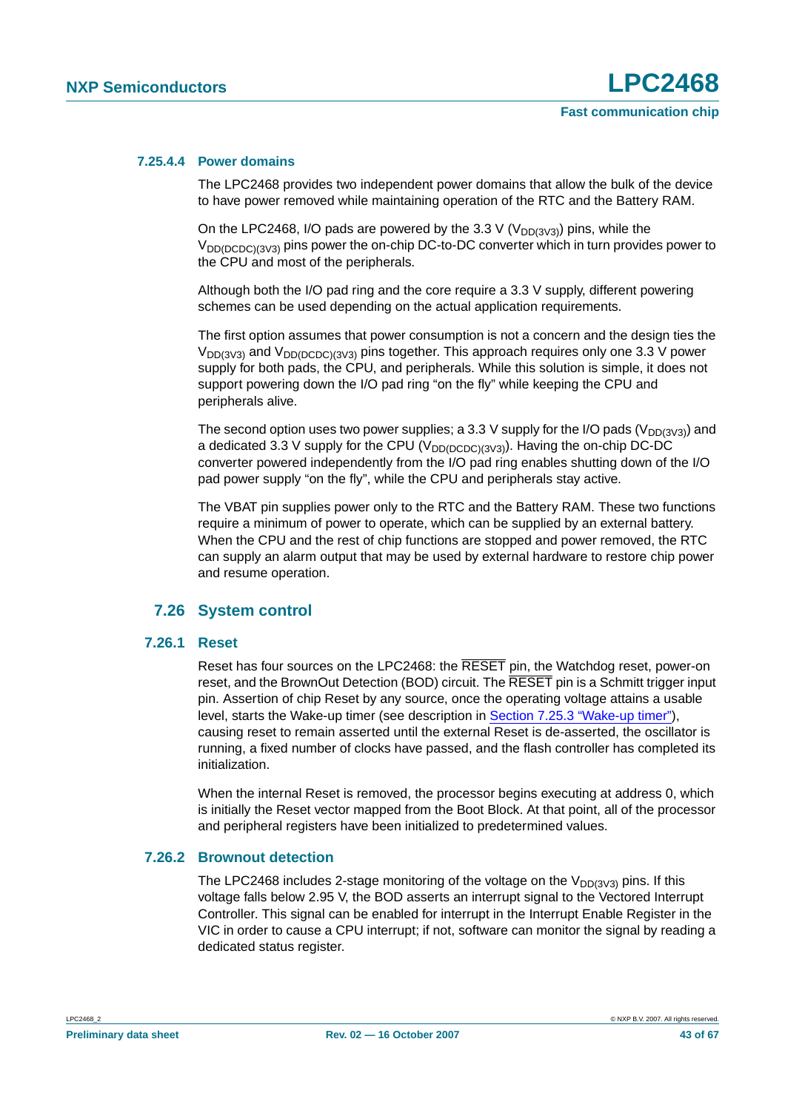#### <span id="page-42-0"></span>**7.25.4.4 Power domains**

The LPC2468 provides two independent power domains that allow the bulk of the device to have power removed while maintaining operation of the RTC and the Battery RAM.

On the LPC2468, I/O pads are powered by the 3.3 V ( $V_{DD(3\vee3)}$ ) pins, while the  $V_{DD(DCDC)(3V3)}$  pins power the on-chip DC-to-DC converter which in turn provides power to the CPU and most of the peripherals.

Although both the I/O pad ring and the core require a 3.3 V supply, different powering schemes can be used depending on the actual application requirements.

The first option assumes that power consumption is not a concern and the design ties the  $V_{DD(3V3)}$  and  $V_{DD(DCDC)(3V3)}$  pins together. This approach requires only one 3.3 V power supply for both pads, the CPU, and peripherals. While this solution is simple, it does not support powering down the I/O pad ring "on the fly" while keeping the CPU and peripherals alive.

The second option uses two power supplies; a 3.3 V supply for the I/O pads ( $V_{DD(3\vee3)}$ ) and a dedicated 3.3 V supply for the CPU ( $V_{DD(DCDC)(3V3)}$ ). Having the on-chip DC-DC converter powered independently from the I/O pad ring enables shutting down of the I/O pad power supply "on the fly", while the CPU and peripherals stay active.

The VBAT pin supplies power only to the RTC and the Battery RAM. These two functions require a minimum of power to operate, which can be supplied by an external battery. When the CPU and the rest of chip functions are stopped and power removed, the RTC can supply an alarm output that may be used by external hardware to restore chip power and resume operation.

#### **7.26 System control**

#### <span id="page-42-2"></span><span id="page-42-1"></span>**7.26.1 Reset**

Reset has four sources on the LPC2468: the RESET pin, the Watchdog reset, power-on reset, and the BrownOut Detection (BOD) circuit. The RESET pin is a Schmitt trigger input pin. Assertion of chip Reset by any source, once the operating voltage attains a usable level, starts the Wake-up timer (see description in [Section 7.25.3 "Wake-up timer"](#page-40-1)), causing reset to remain asserted until the external Reset is de-asserted, the oscillator is running, a fixed number of clocks have passed, and the flash controller has completed its initialization.

When the internal Reset is removed, the processor begins executing at address 0, which is initially the Reset vector mapped from the Boot Block. At that point, all of the processor and peripheral registers have been initialized to predetermined values.

#### <span id="page-42-3"></span>**7.26.2 Brownout detection**

The LPC2468 includes 2-stage monitoring of the voltage on the  $V_{DD(3V3)}$  pins. If this voltage falls below 2.95 V, the BOD asserts an interrupt signal to the Vectored Interrupt Controller. This signal can be enabled for interrupt in the Interrupt Enable Register in the VIC in order to cause a CPU interrupt; if not, software can monitor the signal by reading a dedicated status register.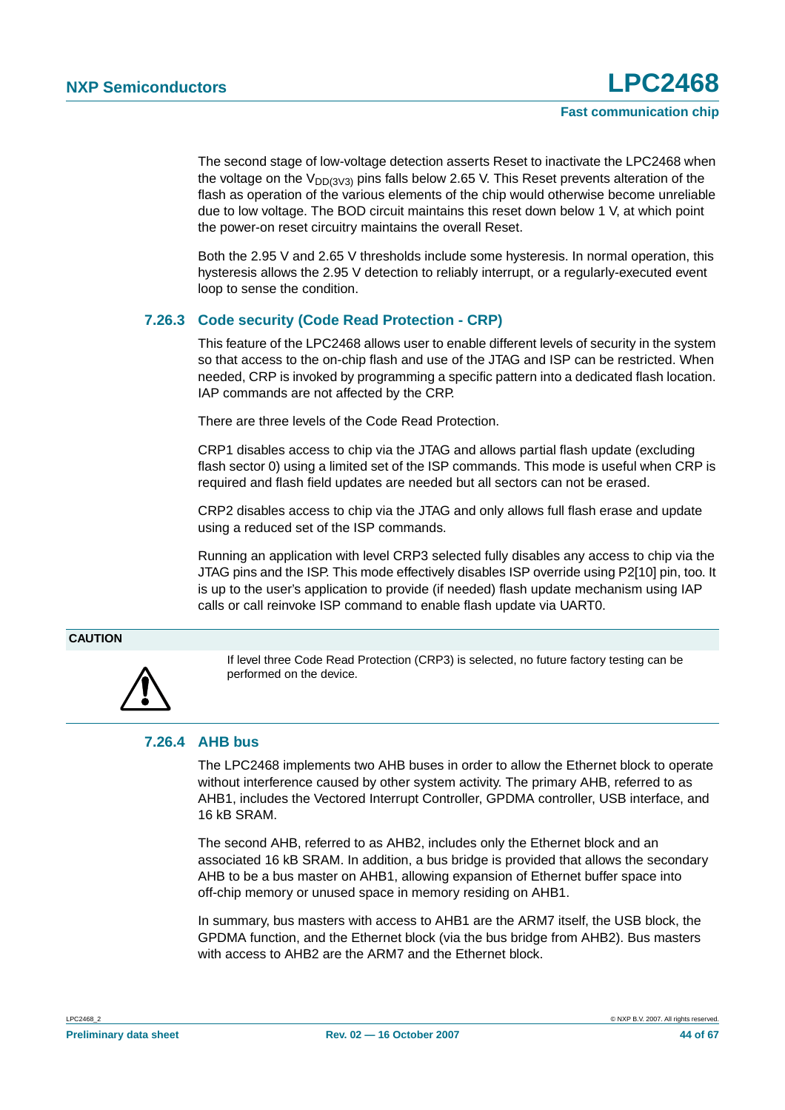The second stage of low-voltage detection asserts Reset to inactivate the LPC2468 when the voltage on the  $V_{DD(3\vee3)}$  pins falls below 2.65 V. This Reset prevents alteration of the flash as operation of the various elements of the chip would otherwise become unreliable due to low voltage. The BOD circuit maintains this reset down below 1 V, at which point the power-on reset circuitry maintains the overall Reset.

Both the 2.95 V and 2.65 V thresholds include some hysteresis. In normal operation, this hysteresis allows the 2.95 V detection to reliably interrupt, or a regularly-executed event loop to sense the condition.

#### <span id="page-43-0"></span>**7.26.3 Code security (Code Read Protection - CRP)**

This feature of the LPC2468 allows user to enable different levels of security in the system so that access to the on-chip flash and use of the JTAG and ISP can be restricted. When needed, CRP is invoked by programming a specific pattern into a dedicated flash location. IAP commands are not affected by the CRP.

There are three levels of the Code Read Protection.

CRP1 disables access to chip via the JTAG and allows partial flash update (excluding flash sector 0) using a limited set of the ISP commands. This mode is useful when CRP is required and flash field updates are needed but all sectors can not be erased.

CRP2 disables access to chip via the JTAG and only allows full flash erase and update using a reduced set of the ISP commands.

Running an application with level CRP3 selected fully disables any access to chip via the JTAG pins and the ISP. This mode effectively disables ISP override using P2[10] pin, too. It is up to the user's application to provide (if needed) flash update mechanism using IAP calls or call reinvoke ISP command to enable flash update via UART0.

#### **CAUTION**



If level three Code Read Protection (CRP3) is selected, no future factory testing can be performed on the device.

#### <span id="page-43-1"></span>**7.26.4 AHB bus**

The LPC2468 implements two AHB buses in order to allow the Ethernet block to operate without interference caused by other system activity. The primary AHB, referred to as AHB1, includes the Vectored Interrupt Controller, GPDMA controller, USB interface, and 16 kB SRAM.

The second AHB, referred to as AHB2, includes only the Ethernet block and an associated 16 kB SRAM. In addition, a bus bridge is provided that allows the secondary AHB to be a bus master on AHB1, allowing expansion of Ethernet buffer space into off-chip memory or unused space in memory residing on AHB1.

In summary, bus masters with access to AHB1 are the ARM7 itself, the USB block, the GPDMA function, and the Ethernet block (via the bus bridge from AHB2). Bus masters with access to AHB2 are the ARM7 and the Ethernet block.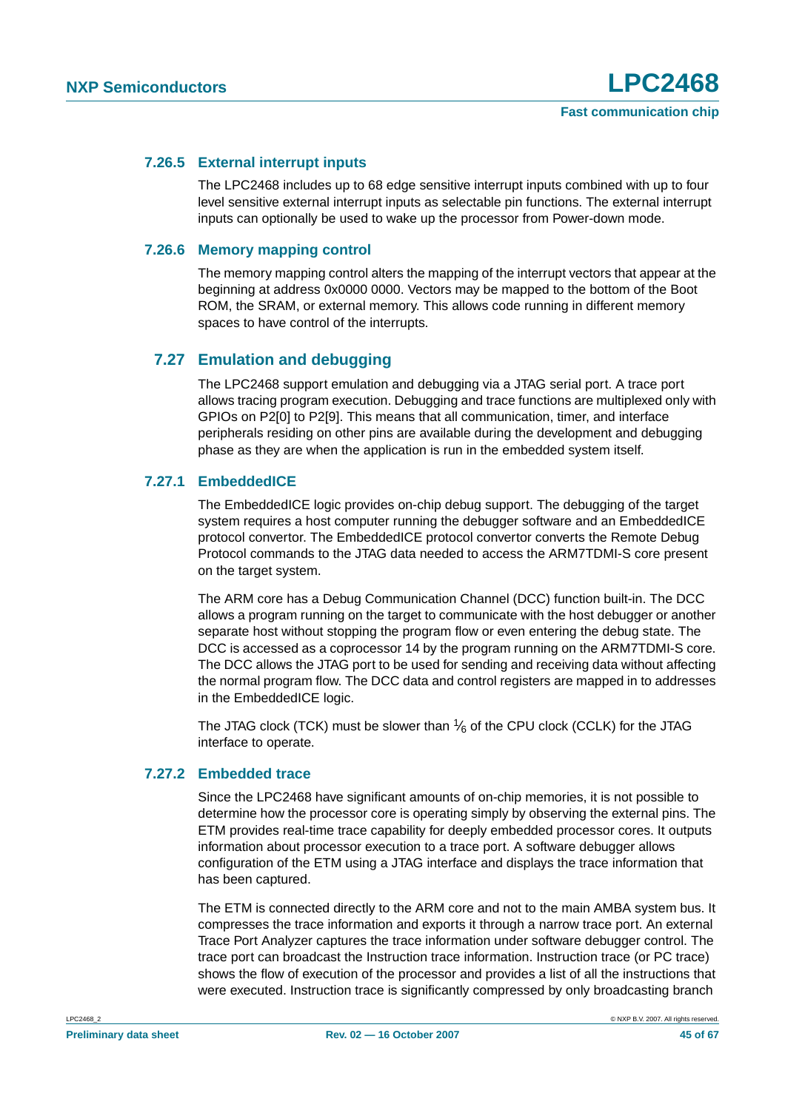#### <span id="page-44-1"></span>**7.26.5 External interrupt inputs**

The LPC2468 includes up to 68 edge sensitive interrupt inputs combined with up to four level sensitive external interrupt inputs as selectable pin functions. The external interrupt inputs can optionally be used to wake up the processor from Power-down mode.

#### <span id="page-44-0"></span>**7.26.6 Memory mapping control**

The memory mapping control alters the mapping of the interrupt vectors that appear at the beginning at address 0x0000 0000. Vectors may be mapped to the bottom of the Boot ROM, the SRAM, or external memory. This allows code running in different memory spaces to have control of the interrupts.

### <span id="page-44-2"></span>**7.27 Emulation and debugging**

The LPC2468 support emulation and debugging via a JTAG serial port. A trace port allows tracing program execution. Debugging and trace functions are multiplexed only with GPIOs on P2[0] to P2[9]. This means that all communication, timer, and interface peripherals residing on other pins are available during the development and debugging phase as they are when the application is run in the embedded system itself.

#### <span id="page-44-3"></span>**7.27.1 EmbeddedICE**

The EmbeddedICE logic provides on-chip debug support. The debugging of the target system requires a host computer running the debugger software and an EmbeddedICE protocol convertor. The EmbeddedICE protocol convertor converts the Remote Debug Protocol commands to the JTAG data needed to access the ARM7TDMI-S core present on the target system.

The ARM core has a Debug Communication Channel (DCC) function built-in. The DCC allows a program running on the target to communicate with the host debugger or another separate host without stopping the program flow or even entering the debug state. The DCC is accessed as a coprocessor 14 by the program running on the ARM7TDMI-S core. The DCC allows the JTAG port to be used for sending and receiving data without affecting the normal program flow. The DCC data and control registers are mapped in to addresses in the EmbeddedICE logic.

The JTAG clock (TCK) must be slower than  $\frac{1}{6}$  of the CPU clock (CCLK) for the JTAG interface to operate.

#### <span id="page-44-4"></span>**7.27.2 Embedded trace**

Since the LPC2468 have significant amounts of on-chip memories, it is not possible to determine how the processor core is operating simply by observing the external pins. The ETM provides real-time trace capability for deeply embedded processor cores. It outputs information about processor execution to a trace port. A software debugger allows configuration of the ETM using a JTAG interface and displays the trace information that has been captured.

The ETM is connected directly to the ARM core and not to the main AMBA system bus. It compresses the trace information and exports it through a narrow trace port. An external Trace Port Analyzer captures the trace information under software debugger control. The trace port can broadcast the Instruction trace information. Instruction trace (or PC trace) shows the flow of execution of the processor and provides a list of all the instructions that were executed. Instruction trace is significantly compressed by only broadcasting branch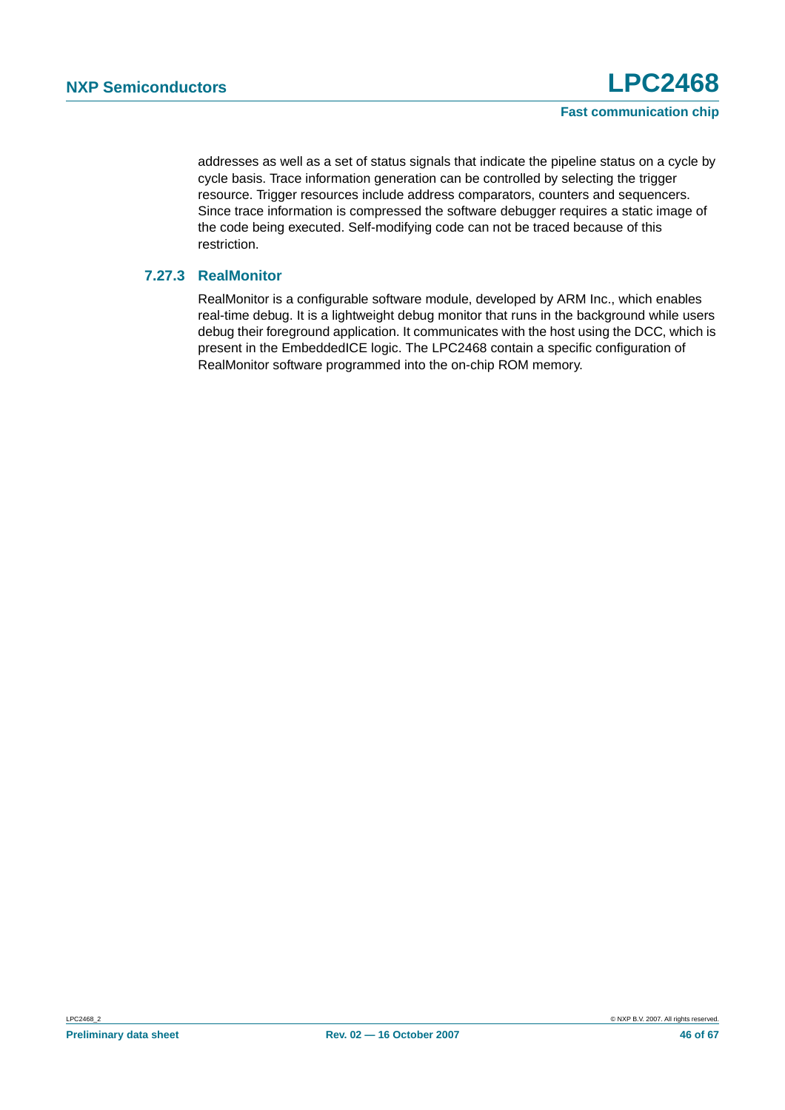addresses as well as a set of status signals that indicate the pipeline status on a cycle by cycle basis. Trace information generation can be controlled by selecting the trigger resource. Trigger resources include address comparators, counters and sequencers. Since trace information is compressed the software debugger requires a static image of the code being executed. Self-modifying code can not be traced because of this restriction.

#### <span id="page-45-0"></span>**7.27.3 RealMonitor**

RealMonitor is a configurable software module, developed by ARM Inc., which enables real-time debug. It is a lightweight debug monitor that runs in the background while users debug their foreground application. It communicates with the host using the DCC, which is present in the EmbeddedICE logic. The LPC2468 contain a specific configuration of RealMonitor software programmed into the on-chip ROM memory.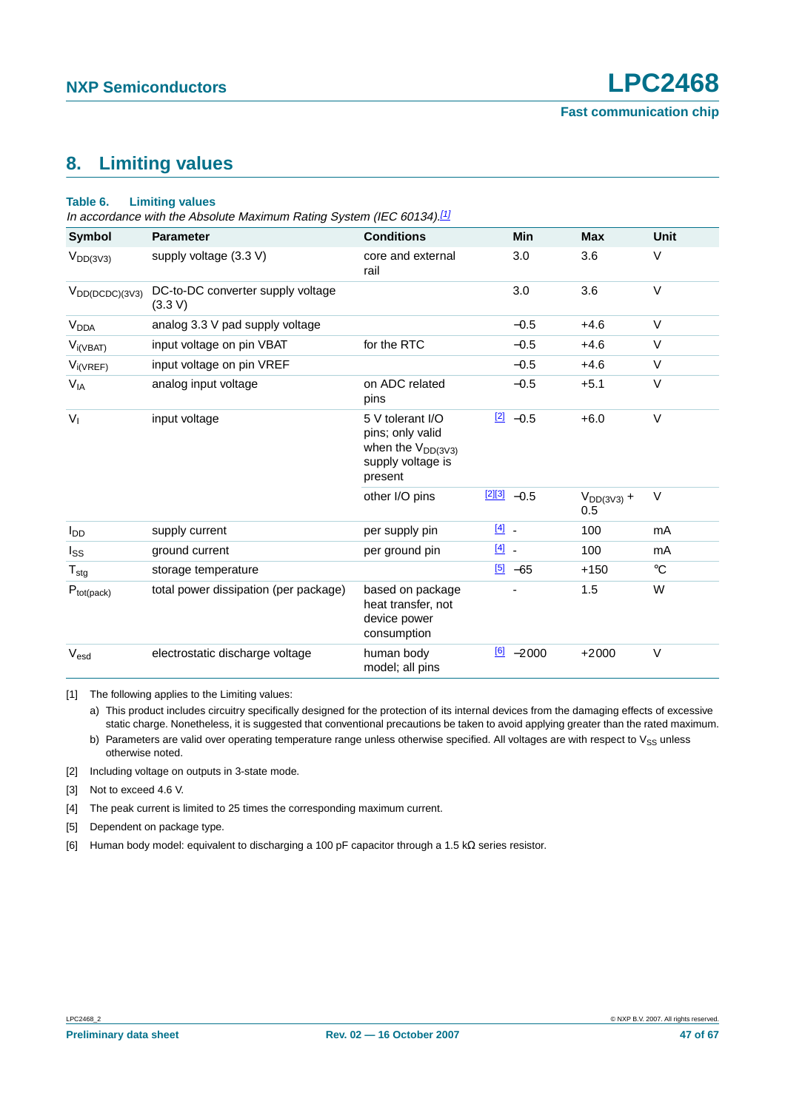## <span id="page-46-6"></span>**8. Limiting values**

#### **Table 6. Limiting values**

In accordance with the Absolute Maximum Rating System (IEC 60134).<sup>[\[1\]](#page-46-0)</sup>

| Symbol                 | <b>Parameter</b>                             | <b>Conditions</b>                                                                              | Min                 | <b>Max</b>             | <b>Unit</b> |
|------------------------|----------------------------------------------|------------------------------------------------------------------------------------------------|---------------------|------------------------|-------------|
| $V_{DD(3V3)}$          | supply voltage (3.3 V)                       | core and external<br>rail                                                                      | 3.0                 | 3.6                    | V           |
| $V_{DD(DCDC)(3V3)}$    | DC-to-DC converter supply voltage<br>(3.3 V) |                                                                                                | 3.0                 | 3.6                    | $\vee$      |
| V <sub>DDA</sub>       | analog 3.3 V pad supply voltage              |                                                                                                | $-0.5$              | $+4.6$                 | $\vee$      |
| $V_{i(VBAT)}$          | input voltage on pin VBAT                    | for the RTC                                                                                    | $-0.5$              | $+4.6$                 | $\vee$      |
| $V_{i(VREF)}$          | input voltage on pin VREF                    |                                                                                                | $-0.5$              | $+4.6$                 | V           |
| $V_{IA}$               | analog input voltage                         | on ADC related<br>pins                                                                         | $-0.5$              | $+5.1$                 | V           |
| V <sub>1</sub>         | input voltage                                | 5 V tolerant I/O<br>pins; only valid<br>when the $V_{DD(3V3)}$<br>supply voltage is<br>present | $[2] -0.5$          | $+6.0$                 | $\vee$      |
|                        |                                              | other I/O pins                                                                                 | $[2][3] -0.5$       | $V_{DD(3V3)} +$<br>0.5 | $\vee$      |
| <b>I</b> <sub>DD</sub> | supply current                               | per supply pin                                                                                 | $\boxed{4}$ -       | 100                    | mA          |
| $I_{SS}$               | ground current                               | per ground pin                                                                                 | $\boxed{4}$ -       | 100                    | mA          |
| $T_{\text{stg}}$       | storage temperature                          |                                                                                                | $\boxed{5}$ -65     | $+150$                 | $^{\circ}C$ |
| $P_{tot(pack)}$        | total power dissipation (per package)        | based on package<br>heat transfer, not<br>device power<br>consumption                          |                     | 1.5                    | W           |
| V <sub>esd</sub>       | electrostatic discharge voltage              | human body<br>model; all pins                                                                  | $\frac{6}{2}$ -2000 | $+2000$                | $\vee$      |

<span id="page-46-0"></span>[1] The following applies to the Limiting values:

a) This product includes circuitry specifically designed for the protection of its internal devices from the damaging effects of excessive static charge. Nonetheless, it is suggested that conventional precautions be taken to avoid applying greater than the rated maximum.

b) Parameters are valid over operating temperature range unless otherwise specified. All voltages are with respect to  $V_{SS}$  unless otherwise noted.

<span id="page-46-1"></span>[2] Including voltage on outputs in 3-state mode.

<span id="page-46-2"></span>[3] Not to exceed 4.6 V.

<span id="page-46-3"></span>[4] The peak current is limited to 25 times the corresponding maximum current.

<span id="page-46-4"></span>[5] Dependent on package type.

<span id="page-46-5"></span>[6] Human body model: equivalent to discharging a 100 pF capacitor through a 1.5 kΩ series resistor.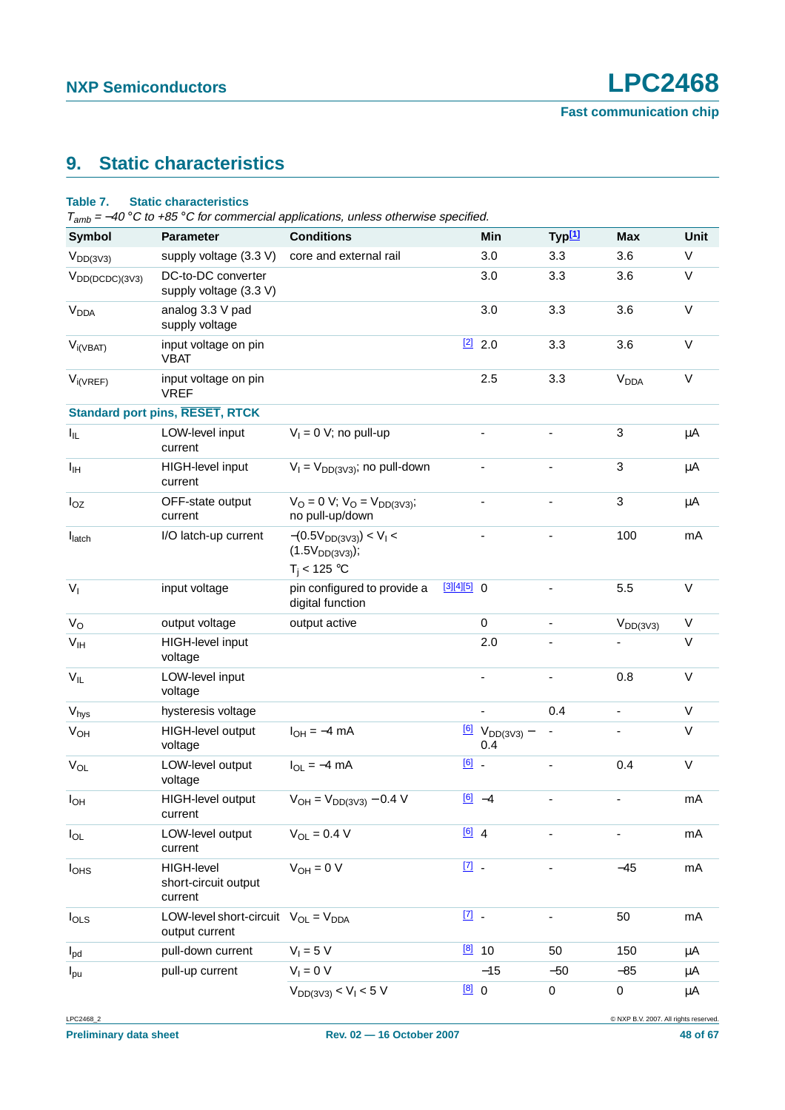## <span id="page-47-0"></span>**9. Static characteristics**

#### **Table 7. Static characteristics**

 $T_{amb} = -40 °C$  to +85 °C for commercial applications, unless otherwise specified.

| <b>Symbol</b>              | <b>Parameter</b>                                             | <b>Conditions</b>                                                  |                     | Min                                           | Typ <sup>[1]</sup>       | <b>Max</b>                   | Unit        |
|----------------------------|--------------------------------------------------------------|--------------------------------------------------------------------|---------------------|-----------------------------------------------|--------------------------|------------------------------|-------------|
| $V_{DD(3V3)}$              | supply voltage (3.3 V)                                       | core and external rail                                             |                     | 3.0                                           | 3.3                      | 3.6                          | V           |
| $V_{DD(DCDC)(3V3)}$        | DC-to-DC converter<br>supply voltage (3.3 V)                 |                                                                    |                     | 3.0                                           | 3.3                      | 3.6                          | $\vee$      |
| <b>V<sub>DDA</sub></b>     | analog 3.3 V pad<br>supply voltage                           |                                                                    |                     | 3.0                                           | 3.3                      | 3.6                          | $\vee$      |
| $V_{i(VBAT)}$              | input voltage on pin<br><b>VBAT</b>                          |                                                                    |                     | $[2]$ 2.0                                     | 3.3                      | 3.6                          | $\vee$      |
| $V_{i(VREF)}$              | input voltage on pin<br><b>VREF</b>                          |                                                                    |                     | 2.5                                           | 3.3                      | <b>V<sub>DDA</sub></b>       | $\vee$      |
|                            | <b>Standard port pins, RESET, RTCK</b>                       |                                                                    |                     |                                               |                          |                              |             |
| $I_{IL}$                   | LOW-level input<br>current                                   | $V_1 = 0$ V; no pull-up                                            |                     | $\frac{1}{2}$                                 |                          | $\sqrt{3}$                   | μA          |
| $I_{\text{IH}}$            | HIGH-level input<br>current                                  | $V_1 = V_{DD(3V3)}$ ; no pull-down                                 |                     | ä,                                            | $\overline{\phantom{0}}$ | $\sqrt{3}$                   | $\mu$ A     |
| $I_{OZ}$                   | OFF-state output<br>current                                  | $V_O = 0$ V; $V_O = V_{DD(3V3)}$ ;<br>no pull-up/down              |                     |                                               | $\overline{\phantom{0}}$ | $\mathbf{3}$                 | μA          |
| $I_{\text{latch}}$         | I/O latch-up current                                         | $-(0.5V_{DD(3V3)}) < V_1 <$<br>$(1.5VDD(3V3))$ ;<br>$T_i < 125$ °C |                     |                                               |                          | 100                          | mA          |
| V <sub>1</sub>             | input voltage                                                | pin configured to provide a<br>digital function                    | $[3][4][5]$ 0       |                                               |                          | 5.5                          | $\mathsf V$ |
| $V_{\rm O}$                | output voltage                                               | output active                                                      |                     | $\pmb{0}$                                     | $\overline{\phantom{a}}$ | $V_{DD(3V3)}$                | $\vee$      |
| V <sub>IH</sub>            | HIGH-level input<br>voltage                                  |                                                                    |                     | 2.0                                           |                          |                              | $\vee$      |
| $\mathsf{V}_{\mathsf{IL}}$ | LOW-level input<br>voltage                                   |                                                                    |                     |                                               | $\blacksquare$           | 0.8                          | $\vee$      |
| $V_{\text{hys}}$           | hysteresis voltage                                           |                                                                    |                     | $\sim$                                        | 0.4                      | $\blacksquare$               | $\vee$      |
| $V_{OH}$                   | HIGH-level output<br>voltage                                 | $I_{OH} = -4$ mA                                                   |                     | $\frac{[6]}{2}$ V <sub>DD(3V3)</sub> –<br>0.4 |                          |                              | V           |
| $V_{OL}$                   | LOW-level output<br>voltage                                  | $I_{OL} = -4$ mA                                                   | $\boxed{6}$ .       |                                               | $\overline{\phantom{a}}$ | 0.4                          | $\vee$      |
| $I_{OH}$                   | HIGH-level output<br>current                                 | $V_{OH} = V_{DD(3V3)} - 0.4 V$                                     |                     | $[6]$ $-4$                                    | $\overline{\phantom{a}}$ | ä,                           | mA          |
| $I_{OL}$                   | LOW-level output<br>current                                  | $V_{OL} = 0.4 V$                                                   | $[6]$ 4             |                                               |                          | $\qquad \qquad \blacksquare$ | mA          |
| <b>l</b> <sub>OHS</sub>    | HIGH-level<br>short-circuit output<br>current                | $V_{OH} = 0 V$                                                     | $\boxed{7}$ .       |                                               | $\blacksquare$           | $-45$                        | mA          |
| $I_{OLS}$                  | LOW-level short-circuit $V_{OL} = V_{DDA}$<br>output current |                                                                    | $\underline{[7]}$ . |                                               | $\blacksquare$           | 50                           | mA          |
| $I_{\text{pd}}$            | pull-down current                                            | $V_1 = 5 V$                                                        |                     | [8] 10                                        | 50                       | 150                          | μA          |
| $I_{\text{pu}}$            | pull-up current                                              | $V_1 = 0 V$                                                        |                     | $-15$                                         | $-50$                    | $-85$                        | μA          |
|                            |                                                              | $V_{DD(3V3)} < V_1 < 5 V$                                          | [8]0                |                                               | $\pmb{0}$                | 0                            | $\mu$ A     |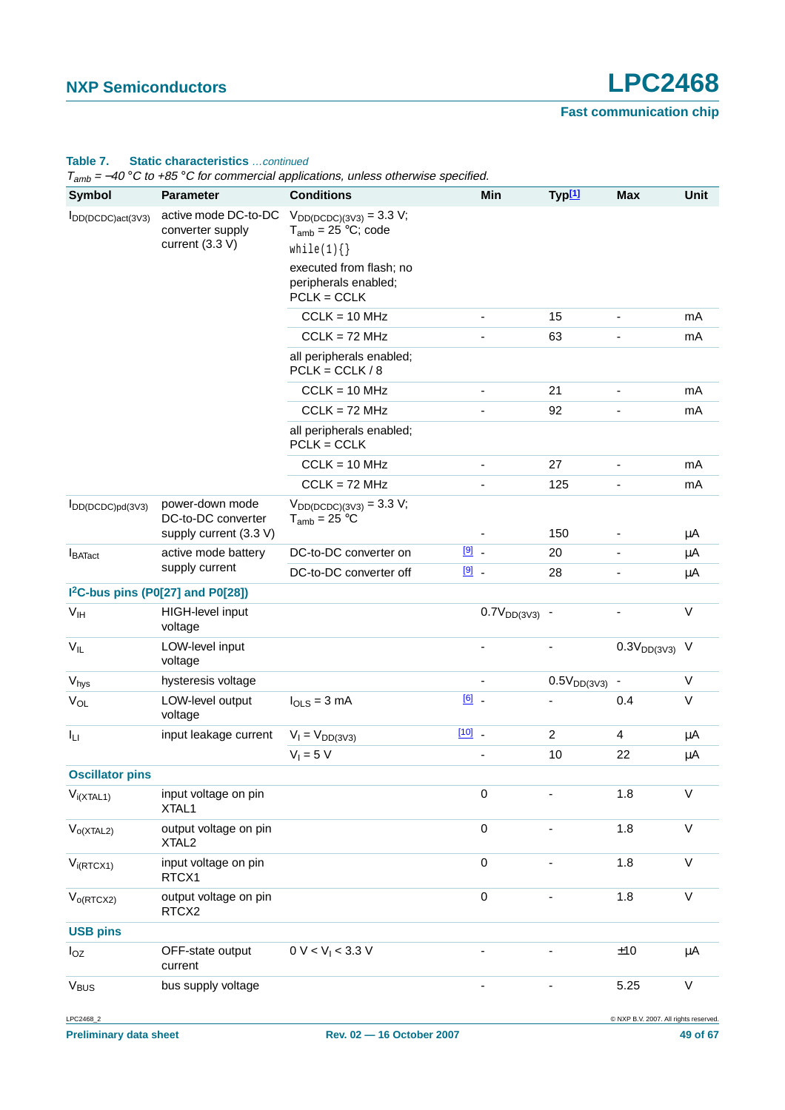#### **Table 7. Static characteristics** …continued

 $T_{amb} = -40 \degree C$  to  $+85 \degree C$  for commercial applications, unless otherwise specified.

| ' amp<br>$\sim$<br><b>Symbol</b> | <b>Parameter</b>                                                | <b>C</b> to 100 C for commonaria applications, annous ether mode operation<br><b>Conditions</b> |               | Min                | Typ[1]           | <b>Max</b>                            | Unit         |
|----------------------------------|-----------------------------------------------------------------|-------------------------------------------------------------------------------------------------|---------------|--------------------|------------------|---------------------------------------|--------------|
| IDD(DCDC)act(3V3)                | active mode DC-to-DC                                            | $V_{DD(DCDC)(3V3)} = 3.3 V;$                                                                    |               |                    |                  |                                       |              |
|                                  | converter supply<br>current (3.3 V)                             | $T_{amb}$ = 25 °C; code<br>while(1) $\{\}$                                                      |               |                    |                  |                                       |              |
|                                  |                                                                 | executed from flash; no                                                                         |               |                    |                  |                                       |              |
|                                  |                                                                 | peripherals enabled;<br>$PCLK = CCLK$                                                           |               |                    |                  |                                       |              |
|                                  |                                                                 | $CCLK = 10 MHz$                                                                                 |               |                    | 15               | $\overline{\phantom{a}}$              | mA           |
|                                  |                                                                 | $CCLK = 72 MHz$                                                                                 |               |                    | 63               |                                       | mA           |
|                                  |                                                                 | all peripherals enabled;<br>$PCLK = CCLK / 8$                                                   |               |                    |                  |                                       |              |
|                                  |                                                                 | $CCLK = 10 MHz$                                                                                 |               |                    | 21               |                                       | mA           |
|                                  |                                                                 | $CCLK = 72 MHz$                                                                                 |               |                    | 92               |                                       | mA           |
|                                  |                                                                 | all peripherals enabled;<br>$PCLK = CCLK$                                                       |               |                    |                  |                                       |              |
|                                  |                                                                 | $CCLK = 10 MHz$                                                                                 |               | $\overline{a}$     | 27               | ä,                                    | mA           |
|                                  |                                                                 | $CCLK = 72 MHz$                                                                                 |               |                    | 125              | $\blacksquare$                        | mA           |
| $I_{DD(DCDC)pd(3V3)}$            | power-down mode<br>DC-to-DC converter<br>supply current (3.3 V) | $V_{DD(DCDC)(3V3)} = 3.3 V;$<br>$T_{amb} = 25 °C$                                               |               |                    | 150              |                                       | $\mu$ A      |
|                                  | active mode battery                                             | DC-to-DC converter on                                                                           | $\boxed{9}$ - |                    | 20               |                                       | $\mu$ A      |
| <b>I</b> BATact                  | supply current                                                  | DC-to-DC converter off                                                                          | $9$ .         |                    | 28               |                                       | μA           |
|                                  | I <sup>2</sup> C-bus pins (P0[27] and P0[28])                   |                                                                                                 |               |                    |                  |                                       |              |
| V <sub>IH</sub>                  | HIGH-level input                                                |                                                                                                 |               | $0.7V_{DD(3V3)}$ - |                  |                                       | $\vee$       |
|                                  | voltage                                                         |                                                                                                 |               |                    |                  |                                       |              |
| $V_{IL}$                         | LOW-level input<br>voltage                                      |                                                                                                 |               |                    |                  | $0.3V_{DD(3V3)}$                      | V            |
| $V_{\text{hys}}$                 | hysteresis voltage                                              |                                                                                                 |               |                    | $0.5V_{DD(3V3)}$ |                                       | V            |
| $V_{OL}$                         | LOW-level output<br>voltage                                     | $I_{OLS} = 3$ mA                                                                                | $\boxed{6}$ . |                    |                  | 0.4                                   | V            |
| Iц                               | input leakage current                                           | $V_1 = V_{DD(3V3)}$                                                                             | $[10]$ _      |                    | $\overline{c}$   | $\overline{\mathbf{4}}$               | $\mu$ A      |
|                                  |                                                                 | $V_1 = 5 V$                                                                                     |               |                    | 10               | 22                                    | μA           |
| <b>Oscillator pins</b>           |                                                                 |                                                                                                 |               |                    |                  |                                       |              |
| $V_{i(XTAL1)}$                   | input voltage on pin<br>XTAL1                                   |                                                                                                 |               | $\mathbf 0$        |                  | 1.8                                   | $\vee$       |
| $V_{O(XTAL2)}$                   | output voltage on pin<br>XTAL <sub>2</sub>                      |                                                                                                 |               | $\mathbf 0$        |                  | 1.8                                   | $\vee$       |
| $V_{i(RTCX1)}$                   | input voltage on pin<br>RTCX1                                   |                                                                                                 |               | $\mathbf 0$        |                  | 1.8                                   | $\vee$       |
| $V_{o(RTCX2)}$                   | output voltage on pin<br>RTCX2                                  |                                                                                                 |               | $\mathbf 0$        |                  | 1.8                                   | $\mathsf{V}$ |
| <b>USB pins</b>                  |                                                                 |                                                                                                 |               |                    |                  |                                       |              |
| $I_{OZ}$                         | OFF-state output<br>current                                     | 0 V < V <sub>1</sub> < 3.3 V                                                                    |               | ÷,                 |                  | ±10                                   | $\mu$ A      |
| <b>V<sub>BUS</sub></b>           | bus supply voltage                                              |                                                                                                 |               |                    |                  | 5.25                                  | $\mathsf{V}$ |
| LPC2468_2                        |                                                                 |                                                                                                 |               |                    |                  | @ NXP B.V. 2007. All rights reserved. |              |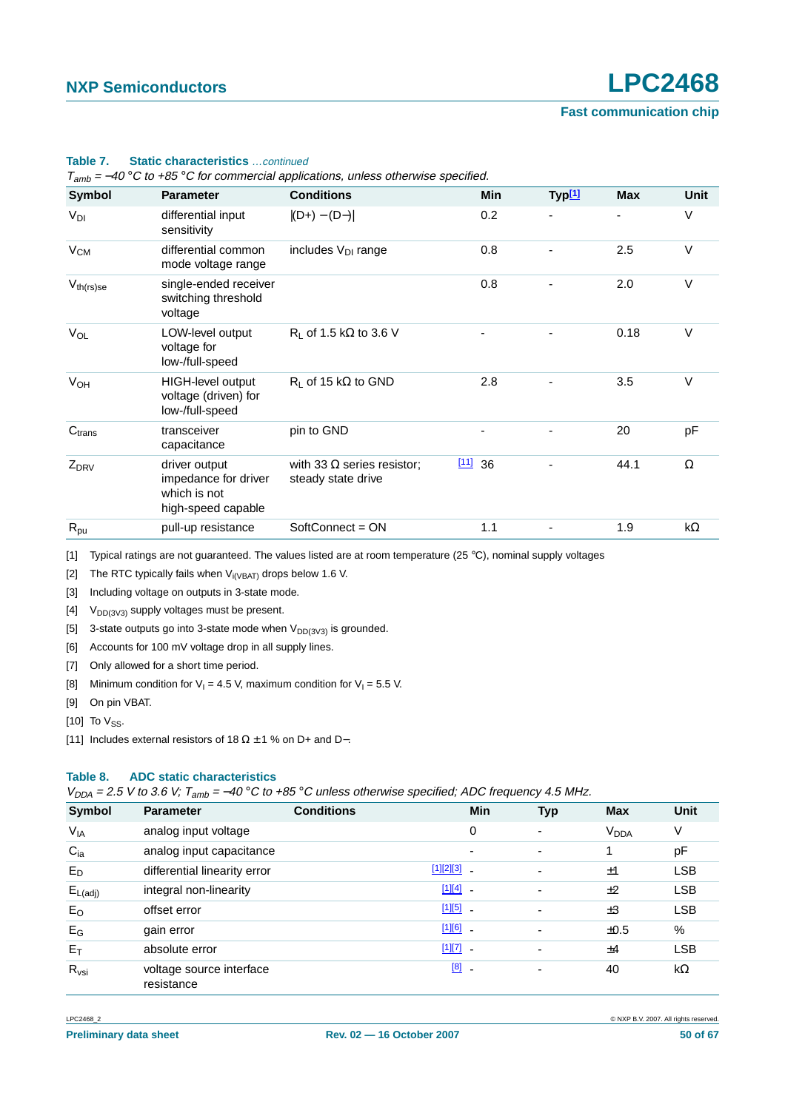| Symbol             | <b>Parameter</b>                                                            | <b>Conditions</b>                                       | Min          | Typ <sup>[1]</sup> | <b>Max</b> | Unit       |
|--------------------|-----------------------------------------------------------------------------|---------------------------------------------------------|--------------|--------------------|------------|------------|
| $V_{DI}$           | differential input<br>sensitivity                                           | $ (D+) - (D-) $                                         | 0.2          |                    |            | $\vee$     |
| $V_{CM}$           | differential common<br>mode voltage range                                   | includes $V_{DI}$ range                                 | 0.8          |                    | 2.5        | $\vee$     |
| $V_{th(rs)se}$     | single-ended receiver<br>switching threshold<br>voltage                     |                                                         | 0.8          |                    | 2.0        | V          |
| $V_{OL}$           | LOW-level output<br>voltage for<br>low-/full-speed                          | R <sub>1</sub> of 1.5 k $\Omega$ to 3.6 V               |              |                    | 0.18       | $\vee$     |
| V <sub>OH</sub>    | HIGH-level output<br>voltage (driven) for<br>low-/full-speed                | $R_1$ of 15 k $\Omega$ to GND                           | 2.8          |                    | 3.5        | $\vee$     |
| C <sub>trans</sub> | transceiver<br>capacitance                                                  | pin to GND                                              |              |                    | 20         | pF         |
| $Z_{DRV}$          | driver output<br>impedance for driver<br>which is not<br>high-speed capable | with 33 $\Omega$ series resistor;<br>steady state drive | $[11]$<br>36 |                    | 44.1       | Ω          |
| $R_{\text{pu}}$    | pull-up resistance                                                          | SoftConnect = ON                                        | 1.1          |                    | 1.9        | k $\Omega$ |

#### **Table 7. Static characteristics** …continued

 $T - 40^\circ$ C to +85 °C for commercial applications, unless otherwise specified.

<span id="page-49-0"></span>[1] Typical ratings are not guaranteed. The values listed are at room temperature (25 °C), nominal supply voltages

<span id="page-49-1"></span>[2] The RTC typically fails when  $V_{i(VBAT)}$  drops below 1.6 V.

<span id="page-49-2"></span>[3] Including voltage on outputs in 3-state mode.

<span id="page-49-3"></span>[4]  $V_{DD(3V3)}$  supply voltages must be present.

<span id="page-49-4"></span>[5] 3-state outputs go into 3-state mode when  $V_{DD(3V3)}$  is grounded.

<span id="page-49-5"></span>[6] Accounts for 100 mV voltage drop in all supply lines.

<span id="page-49-6"></span>[7] Only allowed for a short time period.

<span id="page-49-7"></span>[8] Minimum condition for  $V_1 = 4.5$  V, maximum condition for  $V_1 = 5.5$  V.

<span id="page-49-8"></span>[9] On pin VBAT.

<span id="page-49-9"></span>[10] To  $V_{SS}$ .

<span id="page-49-10"></span>[11] Includes external resistors of 18  $\Omega \pm 1$  % on D+ and D-.

#### **Table 8. ADC static characteristics**

 $V_{DDA}$  = 2.5 V to 3.6 V; T<sub>amb</sub> = -40 °C to +85 °C unless otherwise specified; ADC frequency 4.5 MHz.

| Symbol                | <b>Parameter</b>                       | <b>Conditions</b> | <b>Min</b>               | <b>Typ</b>               | <b>Max</b>             | Unit       |
|-----------------------|----------------------------------------|-------------------|--------------------------|--------------------------|------------------------|------------|
| <b>V<sub>IA</sub></b> | analog input voltage                   |                   | 0                        | $\overline{\phantom{0}}$ | <b>V<sub>DDA</sub></b> | ٧          |
| $C_{ia}$              | analog input capacitance               |                   | ٠                        | $\overline{\phantom{a}}$ | 1                      | pF         |
| $E_D$                 | differential linearity error           | $[1][2][3]$ _     |                          | $\overline{\phantom{0}}$ | ±1                     | <b>LSB</b> |
| $E_{L(\text{adj})}$   | integral non-linearity                 | $[1][4]$ -        |                          | $\overline{\phantom{0}}$ | ±2                     | <b>LSB</b> |
| $E_{O}$               | offset error                           | $[1][5]$ .        |                          |                          | ±3                     | <b>LSB</b> |
| $E_G$                 | gain error                             | $[1][6]$ $-$      |                          |                          | ±0.5                   | %          |
| $E_T$                 | absolute error                         | $[1][7]$ .        |                          |                          | ±4                     | <b>LSB</b> |
| $R_{\text{vsi}}$      | voltage source interface<br>resistance | [8]               | $\overline{\phantom{a}}$ | $\overline{\phantom{0}}$ | 40                     | $k\Omega$  |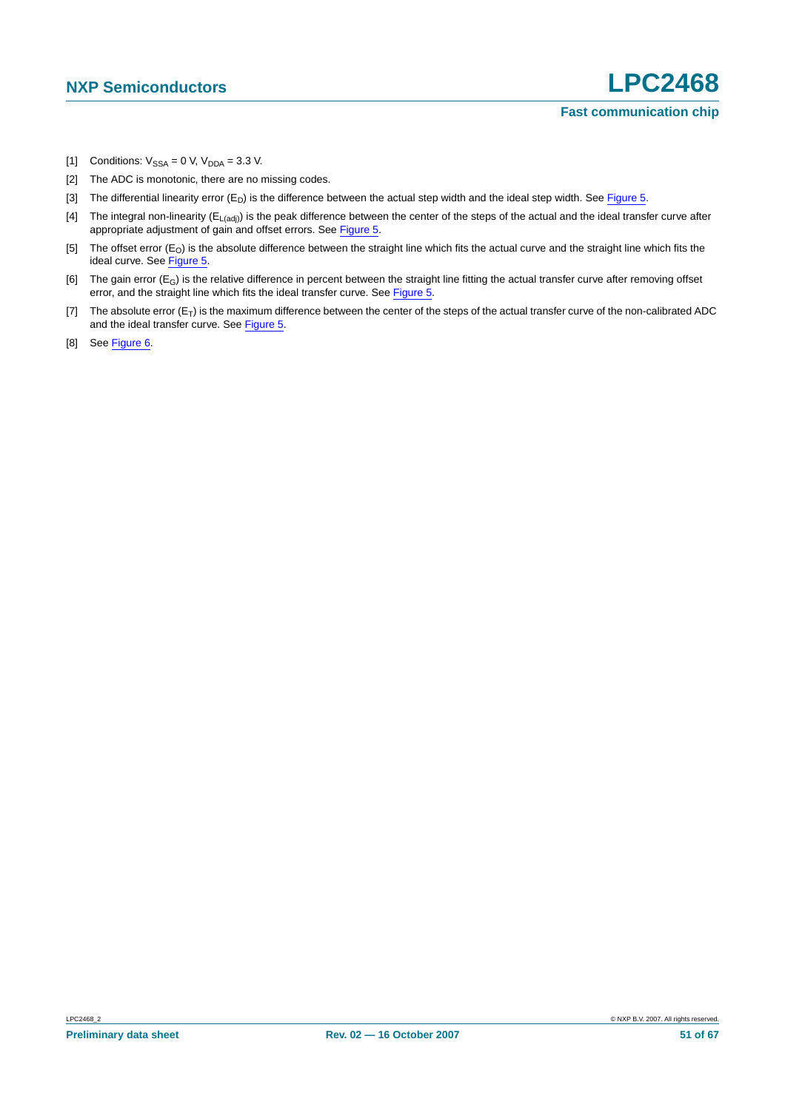- <span id="page-50-0"></span>[1] Conditions:  $V_{SSA} = 0$  V,  $V_{DDA} = 3.3$  V.
- <span id="page-50-1"></span>[2] The ADC is monotonic, there are no missing codes.
- <span id="page-50-2"></span>[3] The differential linearity error  $(E_D)$  is the difference between the actual step width and the ideal step width. See [Figure](#page-51-0) 5.
- <span id="page-50-3"></span>[4] The integral non-linearity  $(E_{L(adj)})$  is the peak difference between the center of the steps of the actual and the ideal transfer curve after appropriate adjustment of gain and offset errors. See [Figure](#page-51-0) 5.
- <span id="page-50-4"></span>[5] The offset error  $(E_0)$  is the absolute difference between the straight line which fits the actual curve and the straight line which fits the ideal curve. See [Figure](#page-51-0) 5.
- <span id="page-50-5"></span>[6] The gain error  $(E_G)$  is the relative difference in percent between the straight line fitting the actual transfer curve after removing offset error, and the straight line which fits the ideal transfer curve. See [Figure](#page-51-0) 5.
- <span id="page-50-6"></span>[7] The absolute error  $(E_T)$  is the maximum difference between the center of the steps of the actual transfer curve of the non-calibrated ADC and the ideal transfer curve. See [Figure](#page-51-0) 5.
- <span id="page-50-7"></span>[8] See [Figure](#page-52-0) 6.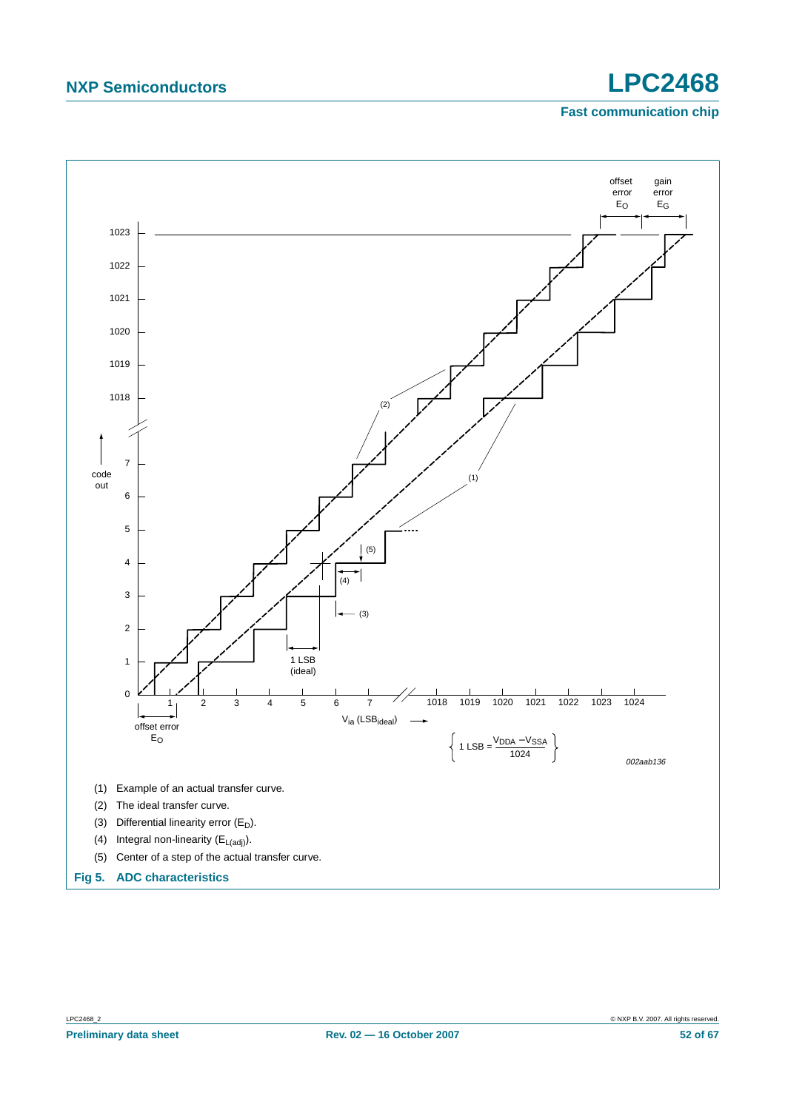<span id="page-51-0"></span>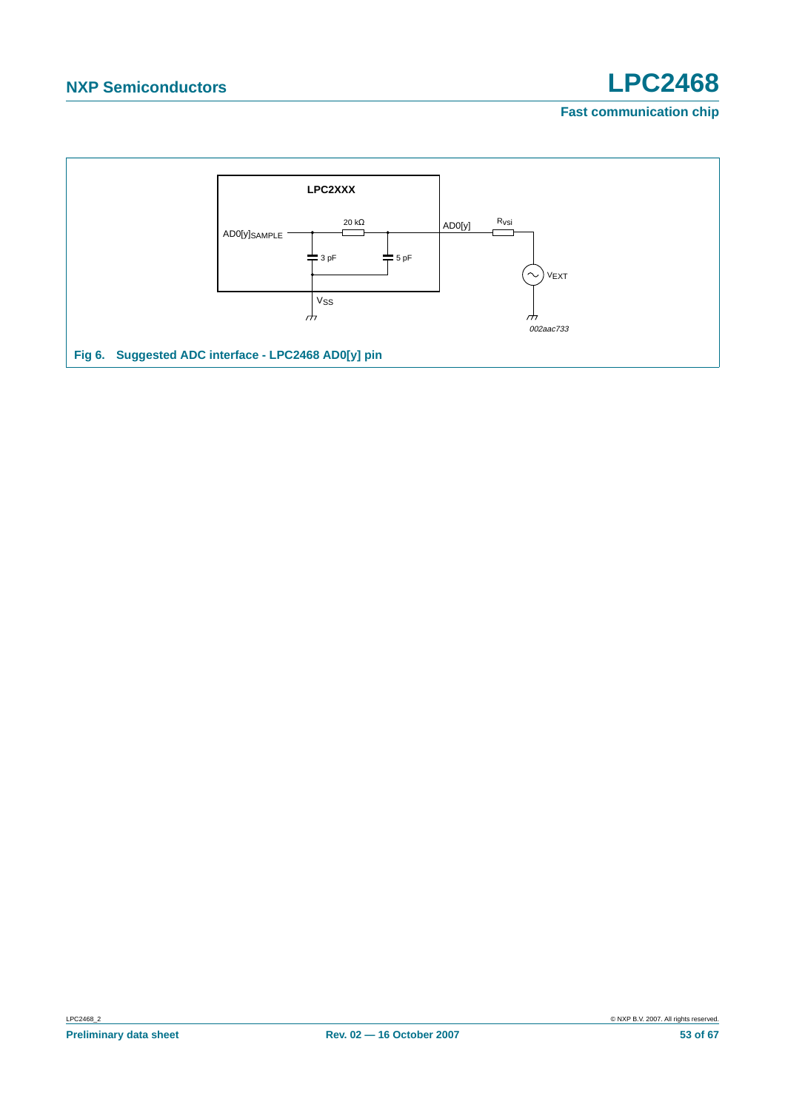<span id="page-52-0"></span>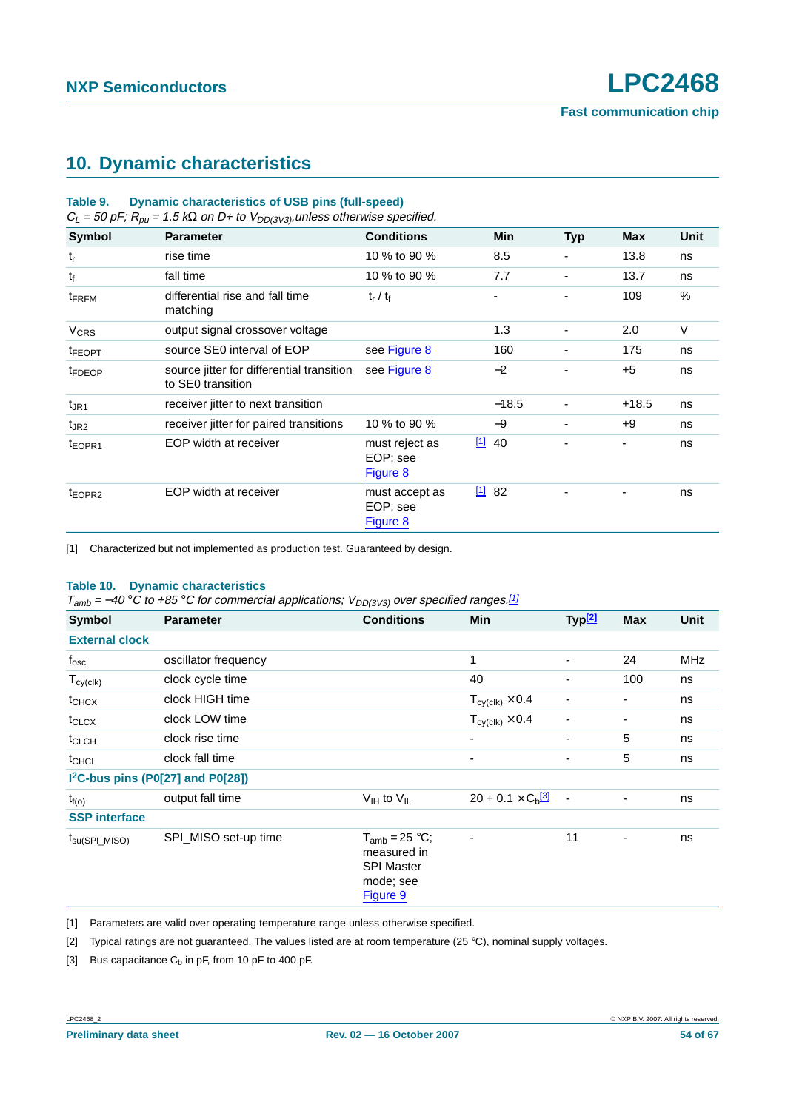## <span id="page-53-4"></span>**10. Dynamic characteristics**

| <b>Dynamic characteristics of USB pins (full-speed)</b><br>Table 9.<br>$C_L$ = 50 pF; $R_{\rho u}$ = 1.5 k $\Omega$ on D+ to $V_{DD(3V3)}$ , unless otherwise specified. |                                                                |                                        |  |          |                          |         |      |
|--------------------------------------------------------------------------------------------------------------------------------------------------------------------------|----------------------------------------------------------------|----------------------------------------|--|----------|--------------------------|---------|------|
| <b>Symbol</b>                                                                                                                                                            | <b>Parameter</b>                                               | <b>Conditions</b>                      |  | Min      | <b>Typ</b>               | Max     | Unit |
| $t_{r}$                                                                                                                                                                  | rise time                                                      | 10 % to 90 %                           |  | 8.5      |                          | 13.8    | ns   |
| $t_f$                                                                                                                                                                    | fall time                                                      | 10 % to 90 %                           |  | 7.7      | ٠                        | 13.7    | ns   |
| t <sub>FRFM</sub>                                                                                                                                                        | differential rise and fall time<br>matching                    | $t_r / t_f$                            |  | ۰        |                          | 109     | $\%$ |
| <b>V<sub>CRS</sub></b>                                                                                                                                                   | output signal crossover voltage                                |                                        |  | 1.3      |                          | 2.0     | V    |
| <sup>t</sup> FEOPT                                                                                                                                                       | source SE0 interval of EOP                                     | see Figure 8                           |  | 160      | $\overline{\phantom{0}}$ | 175     | ns   |
| <sup>t</sup> FDEOP                                                                                                                                                       | source jitter for differential transition<br>to SE0 transition | see Figure 8                           |  | $-2$     |                          | $+5$    | ns   |
| $t_{\text{JR1}}$                                                                                                                                                         | receiver jitter to next transition                             |                                        |  | $-18.5$  | ٠                        | $+18.5$ | ns   |
| $t_{\text{JR2}}$                                                                                                                                                         | receiver jitter for paired transitions                         | 10 % to 90 %                           |  | -9       | $\overline{\phantom{0}}$ | +9      | ns   |
| t <sub>EOPR1</sub>                                                                                                                                                       | EOP width at receiver                                          | must reject as<br>EOP; see<br>Figure 8 |  | $[1]$ 40 |                          | Ξ.      | ns   |
| t <sub>EOPR2</sub>                                                                                                                                                       | EOP width at receiver                                          | must accept as<br>EOP; see<br>Figure 8 |  | 1182     |                          |         | ns   |

<span id="page-53-0"></span>[1] Characterized but not implemented as production test. Guaranteed by design.

#### **Table 10. Dynamic characteristics**

 $T_{amb} = -40 \degree C$  to +85 °C for commercial applications;  $V_{DD(3V3)}$  over specified ranges.<sup>[\[1\]](#page-53-1)</sup>

| <b>Symbol</b>              | <b>Parameter</b>                              | <b>Conditions</b>                                                               | Min                                    | Typ <sup>[2]</sup>       | <b>Max</b>               | Unit |
|----------------------------|-----------------------------------------------|---------------------------------------------------------------------------------|----------------------------------------|--------------------------|--------------------------|------|
| <b>External clock</b>      |                                               |                                                                                 |                                        |                          |                          |      |
| $f_{\rm osc}$              | oscillator frequency                          |                                                                                 | $\mathbf{1}$                           | $\overline{\phantom{0}}$ | 24                       | MHz  |
| $T_{cy(clk)}$              | clock cycle time                              |                                                                                 | 40                                     |                          | 100                      | ns   |
| $t_{CHCX}$                 | clock HIGH time                               |                                                                                 | $T_{\text{cy}(\text{clk})} \times 0.4$ | $\overline{\phantom{0}}$ |                          | ns   |
| $t_{CLCX}$                 | clock LOW time                                |                                                                                 | $T_{cy(clk)} \times 0.4$               | $\overline{\phantom{0}}$ |                          | ns   |
| $t_{CLCH}$                 | clock rise time                               |                                                                                 | -                                      | ٠                        | 5                        | ns   |
| t <sub>CHCL</sub>          | clock fall time                               |                                                                                 | ۰                                      |                          | 5                        | ns   |
|                            | I <sup>2</sup> C-bus pins (P0[27] and P0[28]) |                                                                                 |                                        |                          |                          |      |
| $t_{f(o)}$                 | output fall time                              | $V_{IH}$ to $V_{IL}$                                                            | $20 + 0.1 \times C_{b}$ <sup>[3]</sup> | $\overline{\phantom{a}}$ | ۰                        | ns   |
| <b>SSP</b> interface       |                                               |                                                                                 |                                        |                          |                          |      |
| $t_{\text{su(SPI\_MISO)}}$ | SPI_MISO set-up time                          | $T_{amb} = 25 °C;$<br>measured in<br><b>SPI Master</b><br>mode; see<br>Figure 9 | $\overline{\phantom{0}}$               | 11                       | $\overline{\phantom{0}}$ | ns   |

<span id="page-53-1"></span>[1] Parameters are valid over operating temperature range unless otherwise specified.

<span id="page-53-2"></span>[2] Typical ratings are not guaranteed. The values listed are at room temperature (25 °C), nominal supply voltages.

<span id="page-53-3"></span>[3] Bus capacitance  $C_b$  in pF, from 10 pF to 400 pF.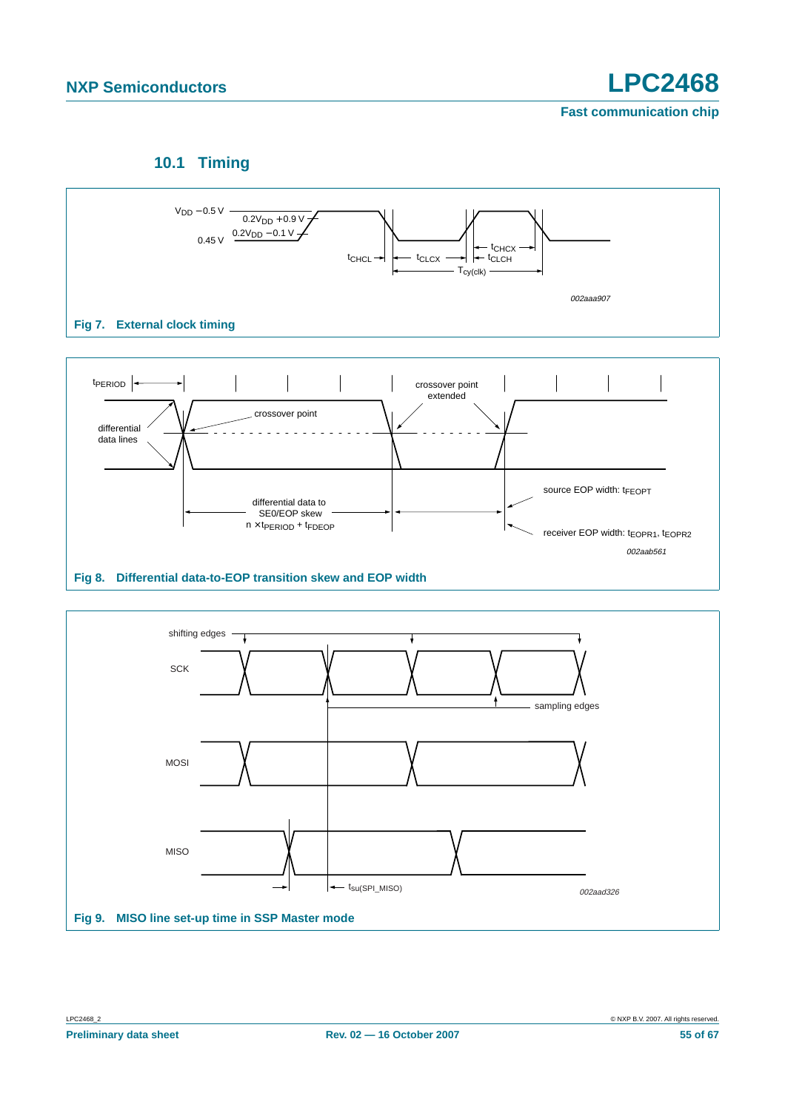## **10.1 Timing**

<span id="page-54-2"></span>

<span id="page-54-1"></span><span id="page-54-0"></span>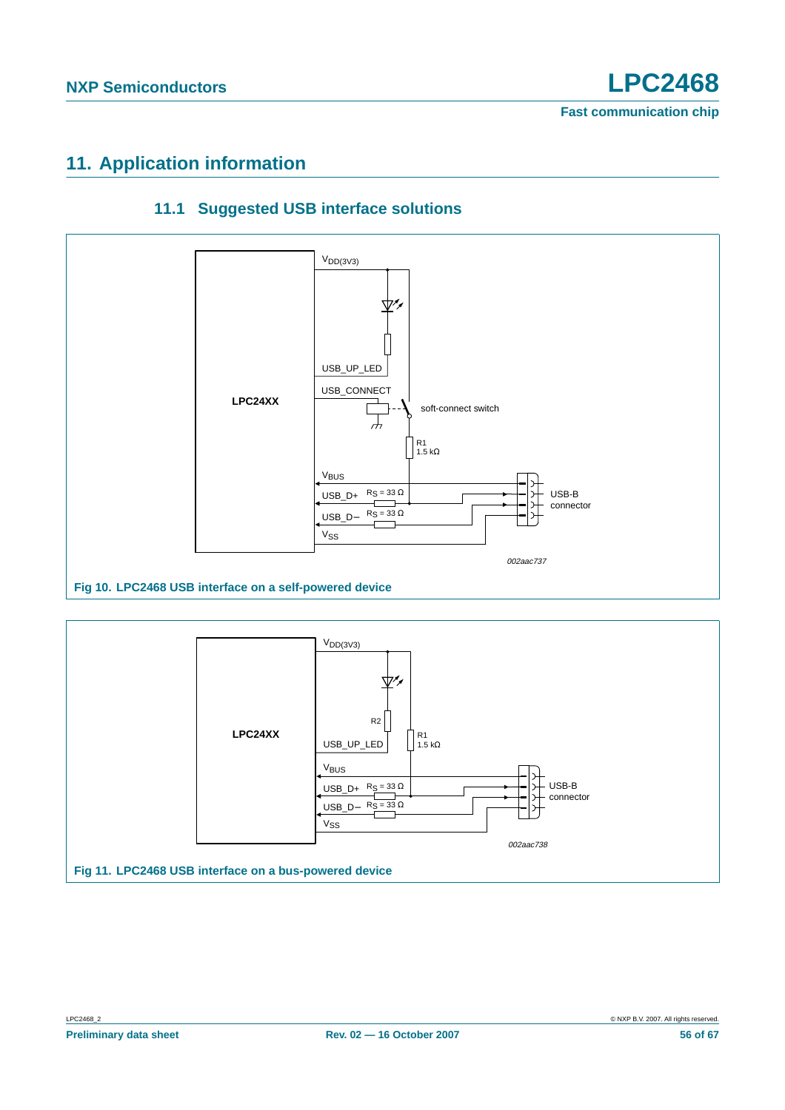## <span id="page-55-1"></span>**11. Application information**

<span id="page-55-0"></span>



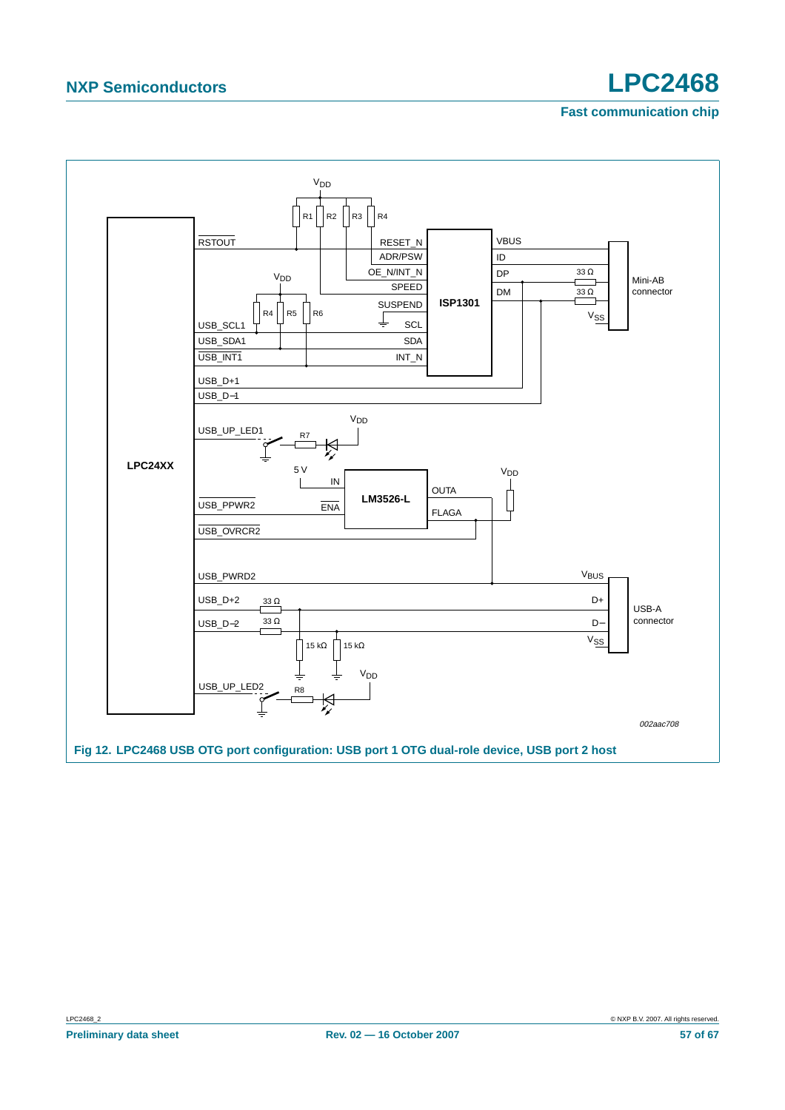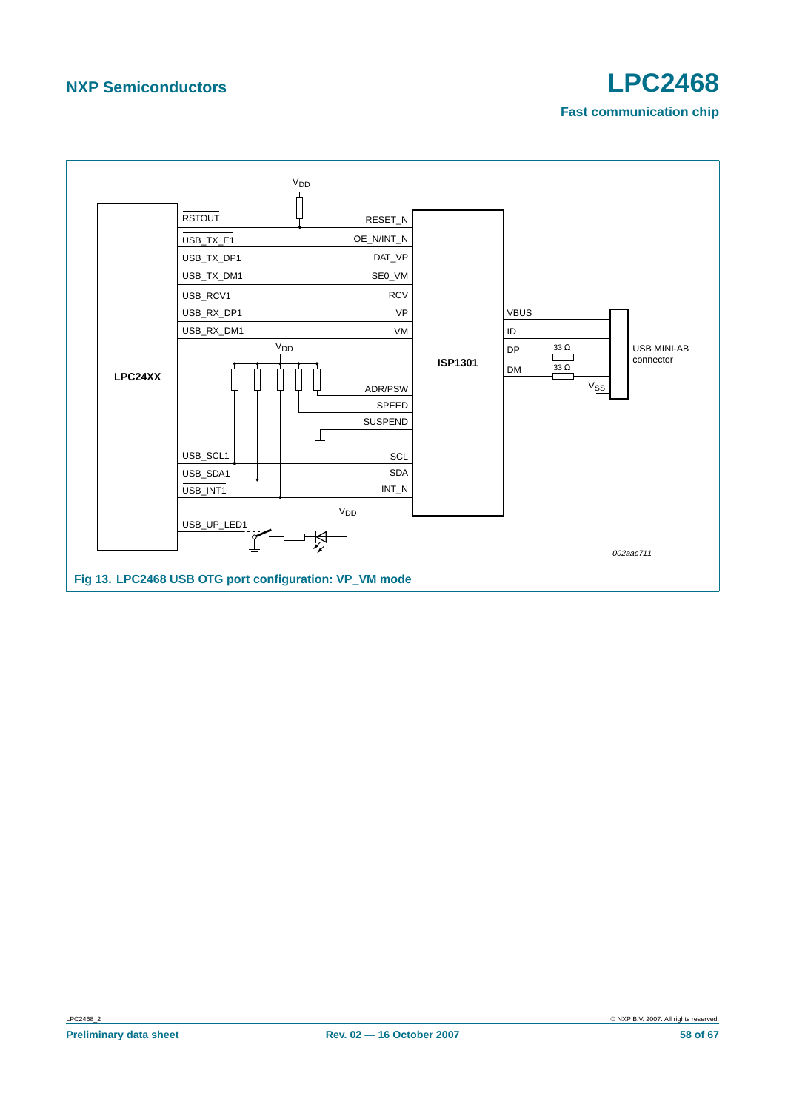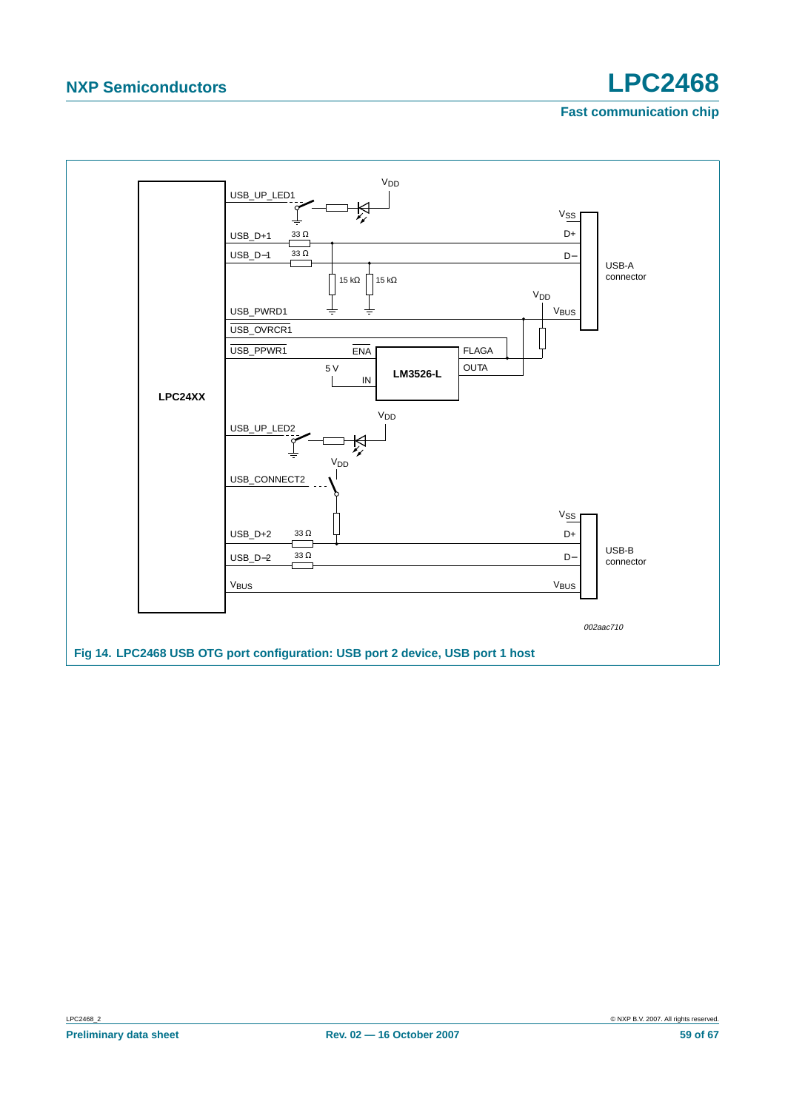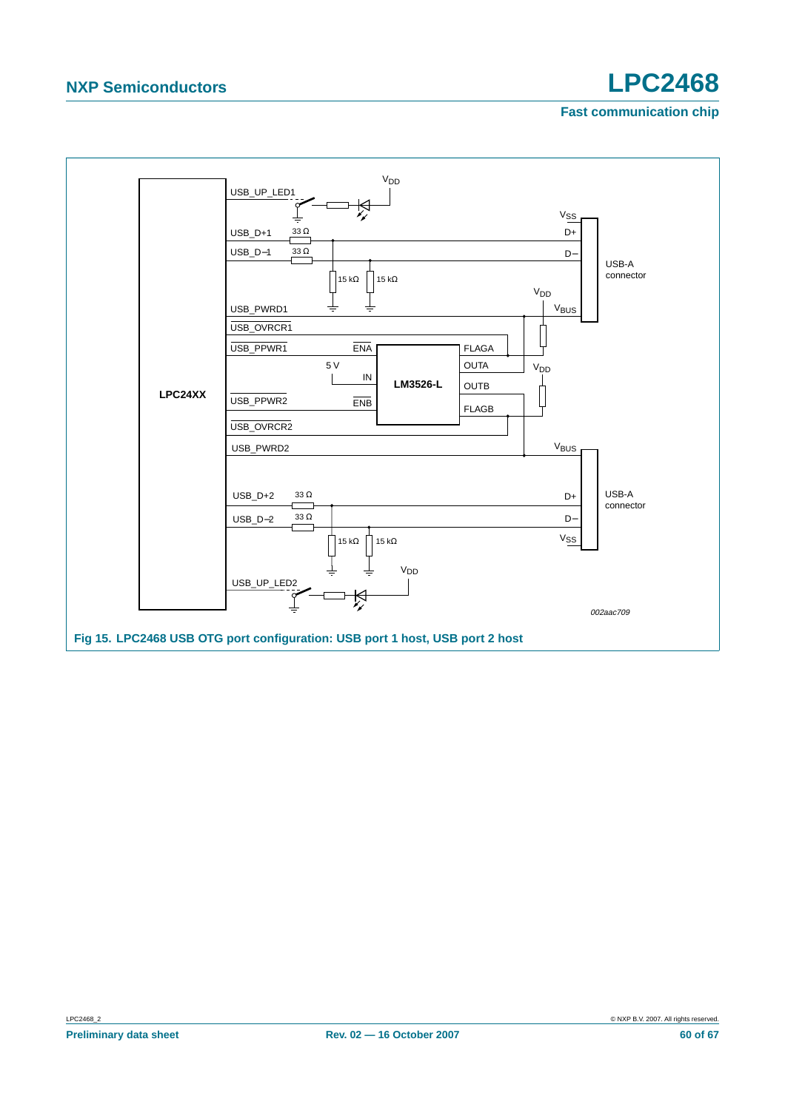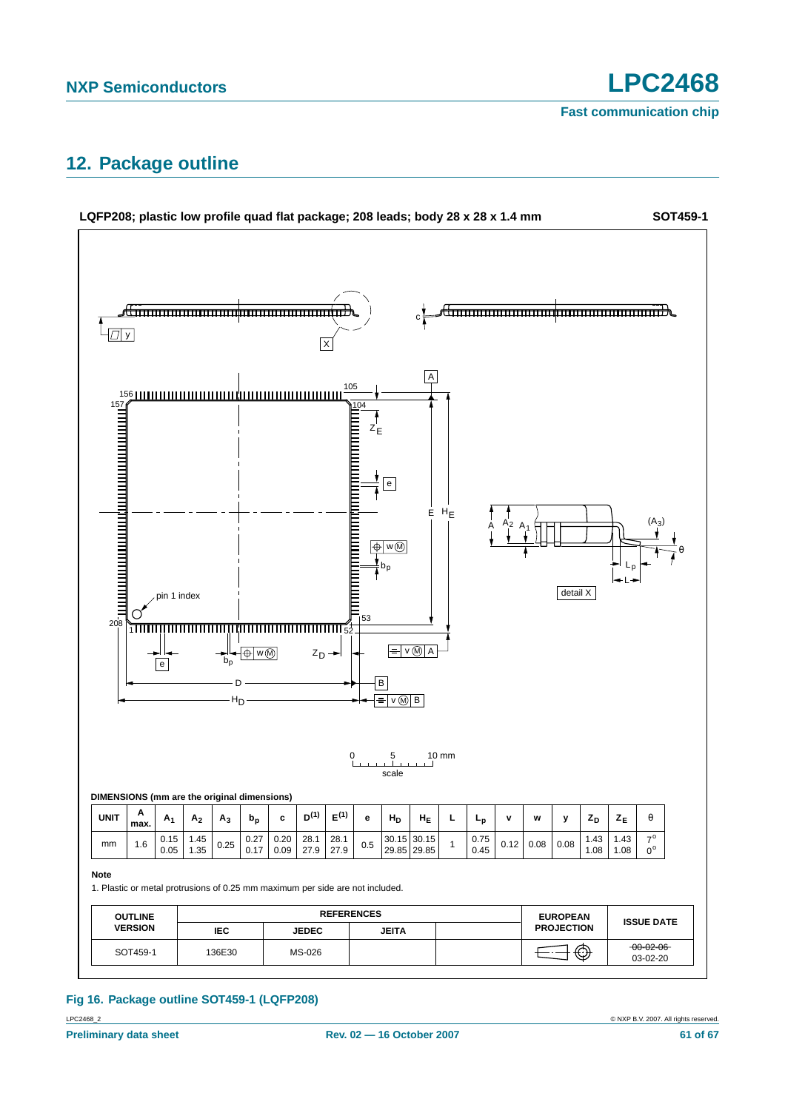## <span id="page-60-0"></span>**12. Package outline**



#### LPC2468\_2 © NXP B.V. 2007. All rights reserved. **Fig 16. Package outline SOT459-1 (LQFP208)**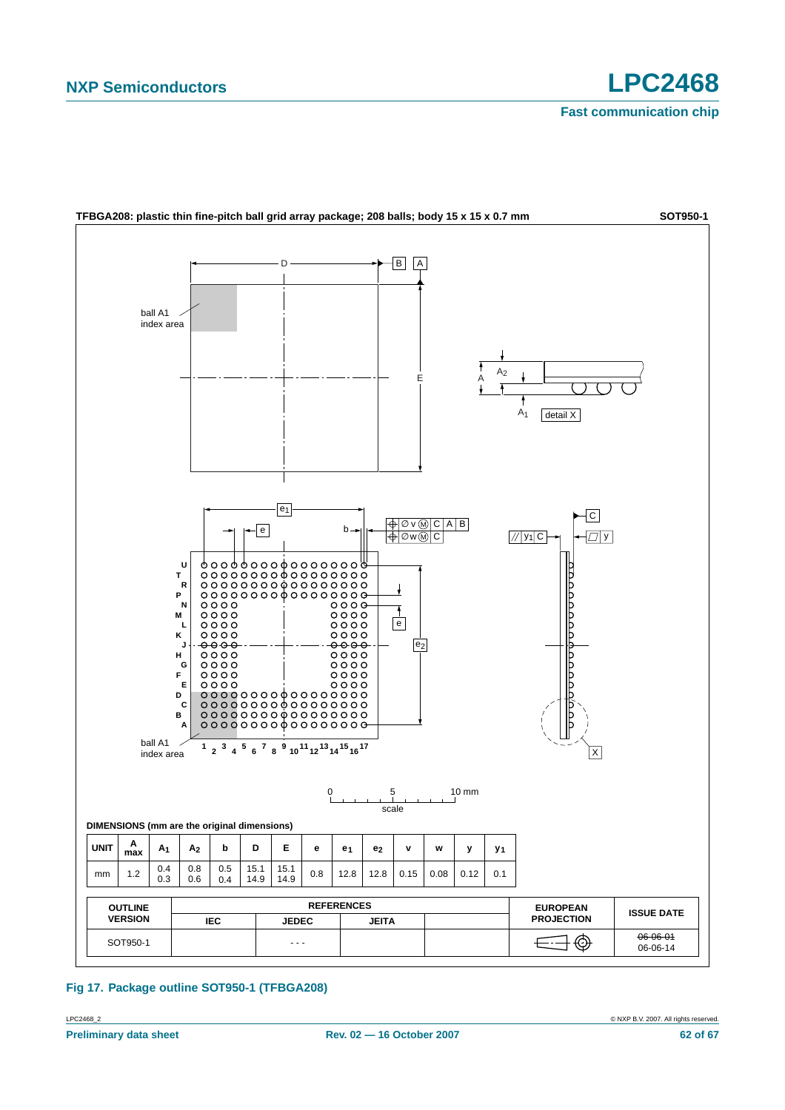**SOT950-1**



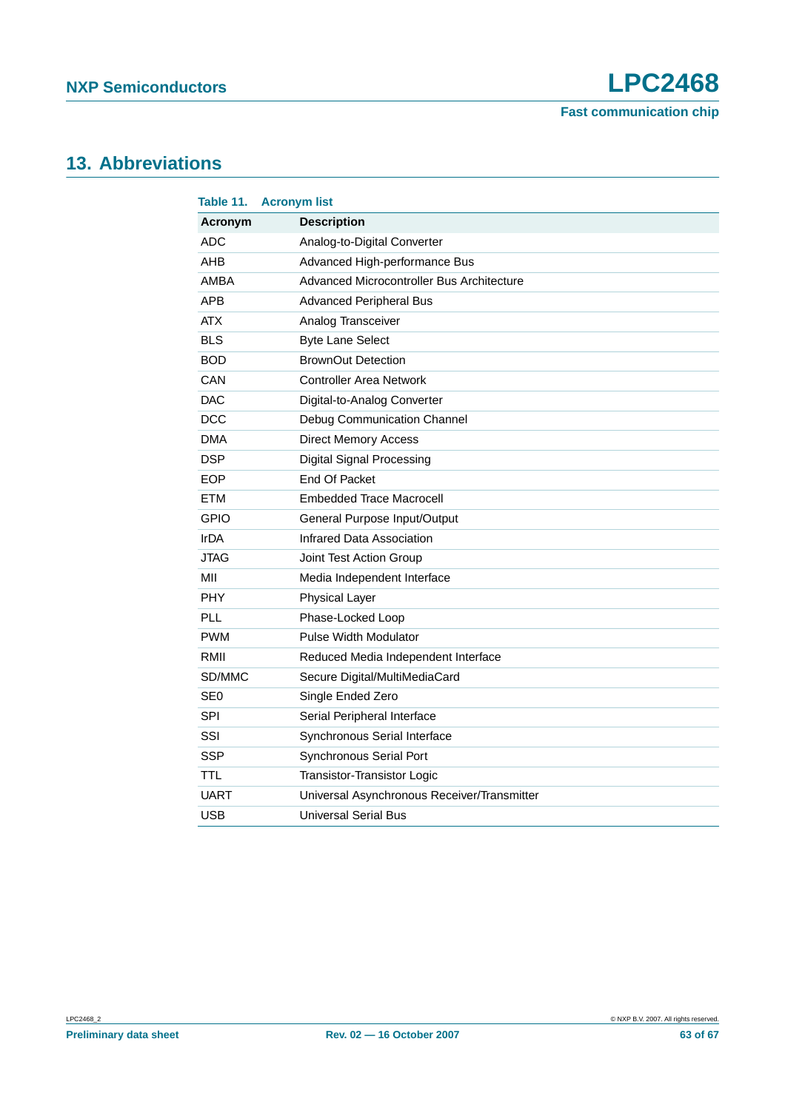## <span id="page-62-0"></span>**13. Abbreviations**

| Table 11.       | <b>Acronym list</b>                         |
|-----------------|---------------------------------------------|
| Acronym         | <b>Description</b>                          |
| ADC             | Analog-to-Digital Converter                 |
| AHB             | Advanced High-performance Bus               |
| <b>AMBA</b>     | Advanced Microcontroller Bus Architecture   |
| <b>APB</b>      | <b>Advanced Peripheral Bus</b>              |
| <b>ATX</b>      | Analog Transceiver                          |
| <b>BLS</b>      | <b>Byte Lane Select</b>                     |
| <b>BOD</b>      | <b>BrownOut Detection</b>                   |
| CAN             | <b>Controller Area Network</b>              |
| <b>DAC</b>      | Digital-to-Analog Converter                 |
| <b>DCC</b>      | Debug Communication Channel                 |
| <b>DMA</b>      | <b>Direct Memory Access</b>                 |
| <b>DSP</b>      | <b>Digital Signal Processing</b>            |
| <b>EOP</b>      | End Of Packet                               |
| <b>ETM</b>      | <b>Embedded Trace Macrocell</b>             |
| <b>GPIO</b>     | General Purpose Input/Output                |
| <b>IrDA</b>     | Infrared Data Association                   |
| <b>JTAG</b>     | Joint Test Action Group                     |
| MII             | Media Independent Interface                 |
| <b>PHY</b>      | <b>Physical Layer</b>                       |
| PLL             | Phase-Locked Loop                           |
| <b>PWM</b>      | Pulse Width Modulator                       |
| RMII            | Reduced Media Independent Interface         |
| SD/MMC          | Secure Digital/MultiMediaCard               |
| SE <sub>0</sub> | Single Ended Zero                           |
| <b>SPI</b>      | Serial Peripheral Interface                 |
| SSI             | Synchronous Serial Interface                |
| <b>SSP</b>      | Synchronous Serial Port                     |
| TTL             | <b>Transistor-Transistor Logic</b>          |
| <b>UART</b>     | Universal Asynchronous Receiver/Transmitter |
| <b>USB</b>      | <b>Universal Serial Bus</b>                 |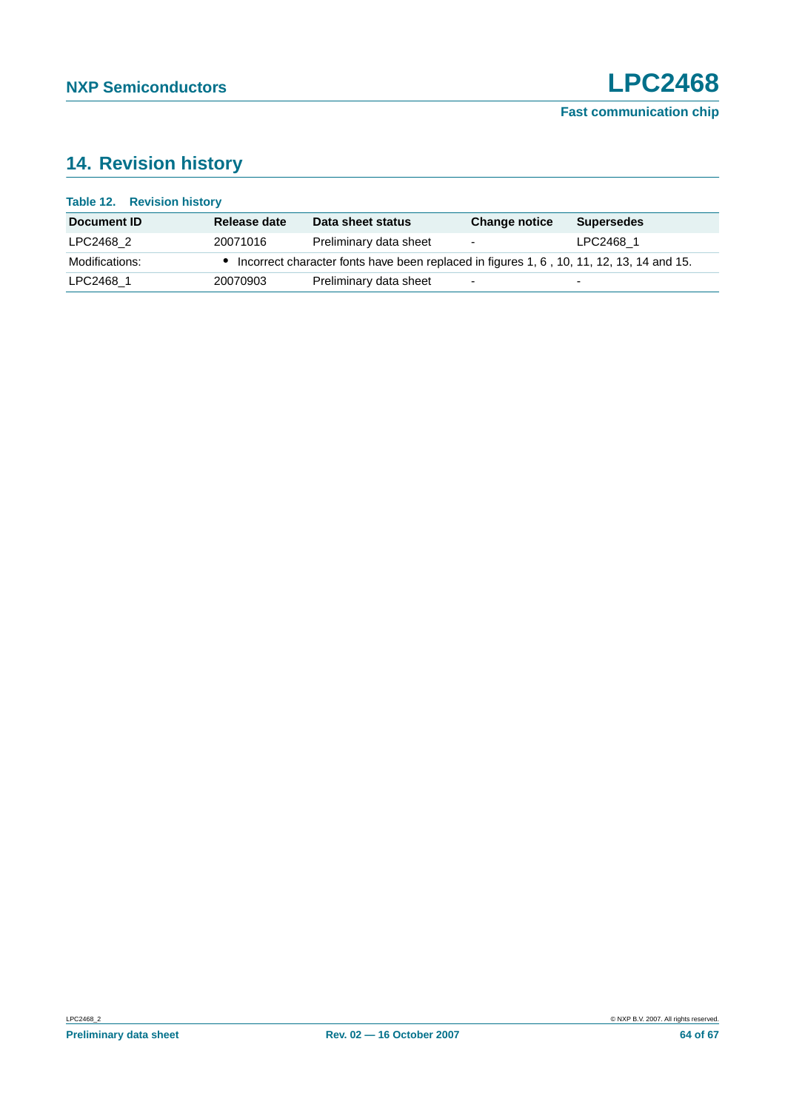## <span id="page-63-0"></span>**14. Revision history**

| <b>Table 12. Revision history</b> |              |                                                                                          |                          |                          |
|-----------------------------------|--------------|------------------------------------------------------------------------------------------|--------------------------|--------------------------|
| Document ID                       | Release date | Data sheet status                                                                        | <b>Change notice</b>     | <b>Supersedes</b>        |
| LPC2468 2                         | 20071016     | Preliminary data sheet                                                                   | $\overline{\phantom{a}}$ | LPC2468 1                |
| Modifications:                    |              | Incorrect character fonts have been replaced in figures 1, 6, 10, 11, 12, 13, 14 and 15. |                          |                          |
| LPC2468 1                         | 20070903     | Preliminary data sheet                                                                   | $\overline{\phantom{0}}$ | $\overline{\phantom{0}}$ |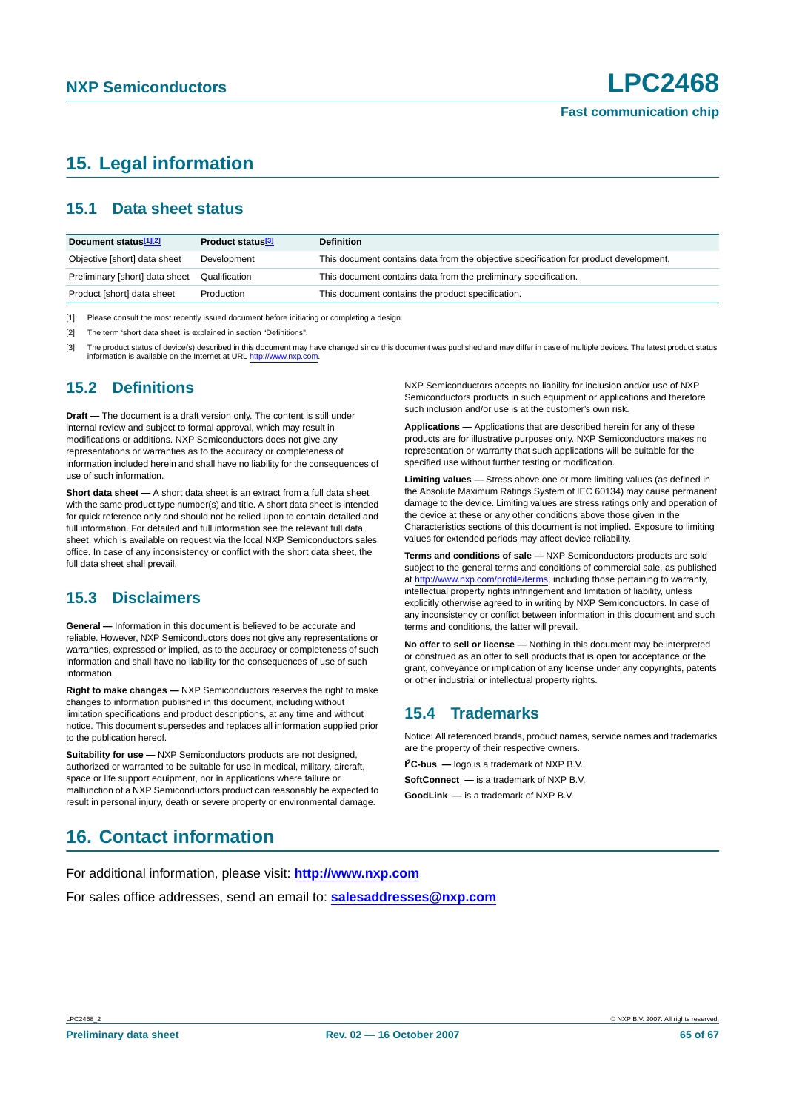## <span id="page-64-0"></span>**15. Legal information**

### <span id="page-64-1"></span>**15.1 Data sheet status**

| Document status <sup>[1][2]</sup> | Product status <sup>[3]</sup> | <b>Definition</b>                                                                     |
|-----------------------------------|-------------------------------|---------------------------------------------------------------------------------------|
| Objective [short] data sheet      | Development                   | This document contains data from the objective specification for product development. |
| Preliminary [short] data sheet    | Qualification                 | This document contains data from the preliminary specification.                       |
| Product [short] data sheet        | Production                    | This document contains the product specification.                                     |

[1] Please consult the most recently issued document before initiating or completing a design.

[2] The term 'short data sheet' is explained in section "Definitions".

[3] The product status of device(s) described in this document may have changed since this document was published and may differ in case of multiple devices. The latest product status information is available on the Internet at URL <http://www.nxp.com>.

#### <span id="page-64-2"></span>**15.2 Definitions**

**Draft —** The document is a draft version only. The content is still under internal review and subject to formal approval, which may result in modifications or additions. NXP Semiconductors does not give any representations or warranties as to the accuracy or completeness of information included herein and shall have no liability for the consequences of use of such information.

**Short data sheet —** A short data sheet is an extract from a full data sheet with the same product type number(s) and title. A short data sheet is intended for quick reference only and should not be relied upon to contain detailed and full information. For detailed and full information see the relevant full data sheet, which is available on request via the local NXP Semiconductors sales office. In case of any inconsistency or conflict with the short data sheet, the full data sheet shall prevail.

### <span id="page-64-3"></span>**15.3 Disclaimers**

**General —** Information in this document is believed to be accurate and reliable. However, NXP Semiconductors does not give any representations or warranties, expressed or implied, as to the accuracy or completeness of such information and shall have no liability for the consequences of use of such information.

**Right to make changes —** NXP Semiconductors reserves the right to make changes to information published in this document, including without limitation specifications and product descriptions, at any time and without notice. This document supersedes and replaces all information supplied prior to the publication hereof.

**Suitability for use —** NXP Semiconductors products are not designed, authorized or warranted to be suitable for use in medical, military, aircraft, space or life support equipment, nor in applications where failure or malfunction of a NXP Semiconductors product can reasonably be expected to result in personal injury, death or severe property or environmental damage.

NXP Semiconductors accepts no liability for inclusion and/or use of NXP Semiconductors products in such equipment or applications and therefore such inclusion and/or use is at the customer's own risk.

**Applications —** Applications that are described herein for any of these products are for illustrative purposes only. NXP Semiconductors makes no representation or warranty that such applications will be suitable for the specified use without further testing or modification.

**Limiting values —** Stress above one or more limiting values (as defined in the Absolute Maximum Ratings System of IEC 60134) may cause permanent damage to the device. Limiting values are stress ratings only and operation of the device at these or any other conditions above those given in the Characteristics sections of this document is not implied. Exposure to limiting values for extended periods may affect device reliability.

**Terms and conditions of sale —** NXP Semiconductors products are sold subject to the general terms and conditions of commercial sale, as published at <http://www.nxp.com/profile/terms>, including those pertaining to warranty, intellectual property rights infringement and limitation of liability, unless explicitly otherwise agreed to in writing by NXP Semiconductors. In case of any inconsistency or conflict between information in this document and such terms and conditions, the latter will prevail.

**No offer to sell or license —** Nothing in this document may be interpreted or construed as an offer to sell products that is open for acceptance or the grant, conveyance or implication of any license under any copyrights, patents or other industrial or intellectual property rights.

## <span id="page-64-4"></span>**15.4 Trademarks**

Notice: All referenced brands, product names, service names and trademarks are the property of their respective owners.

**I 2C-bus —** logo is a trademark of NXP B.V.

**SoftConnect —** is a trademark of NXP B.V.

**GoodLink —** is a trademark of NXP B.V.

## <span id="page-64-5"></span>**16. Contact information**

For additional information, please visit: **http://www.nxp.com** For sales office addresses, send an email to: **salesaddresses@nxp.com**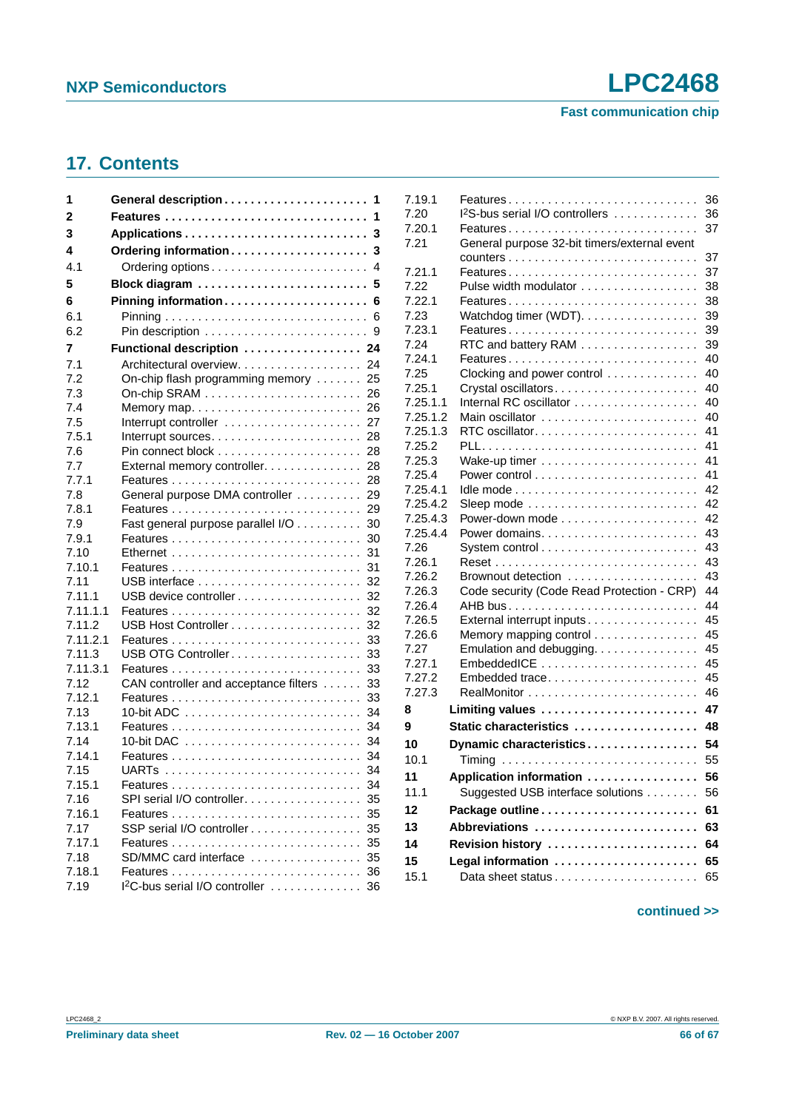**Fast communication chip**

## <span id="page-65-0"></span>**17. Contents**

| 1                  | General description                                             | -1       |
|--------------------|-----------------------------------------------------------------|----------|
| 2                  | Features                                                        | 1        |
| 3                  |                                                                 | 3        |
| 4                  | Ordering information                                            | 3        |
| 4.1                |                                                                 | 4        |
| 5                  | Block diagram                                                   | 5        |
| 6                  | Pinning information 6                                           |          |
| 6.1                |                                                                 | 6        |
| 6.2                |                                                                 | 9        |
| 7                  | Functional description  24                                      |          |
| 7.1                | Architectural overview.                                         | 24       |
| 7.2                | On-chip flash programming memory                                | 25       |
| 7.3                | On-chip SRAM $\ldots \ldots \ldots \ldots \ldots \ldots \ldots$ | 26       |
| 7.4                | Memory map                                                      | 26       |
| 7.5                |                                                                 | 27       |
| 7.5.1              | Interrupt sources                                               | 28       |
| 7.6                |                                                                 | 28       |
| 7.7                | External memory controller.                                     | 28       |
| 7.7.1              |                                                                 | 28       |
| 7.8                | General purpose DMA controller                                  | 29       |
| 7.8.1              |                                                                 | 29       |
| 7.9                | Fast general purpose parallel I/O                               | 30       |
| 7.9.1              |                                                                 | 30       |
| 7.10               |                                                                 | 31       |
| 7.10.1             |                                                                 | 31       |
| 7.11               |                                                                 | 32       |
| 7.11.1             |                                                                 | 32<br>32 |
| 7.11.1.1<br>7.11.2 |                                                                 | 32       |
| 7.11.2.1           |                                                                 | 33       |
| 7.11.3             | USB OTG Controller                                              | 33       |
| 7.11.3.1           |                                                                 | 33       |
| 7.12               | CAN controller and acceptance filters                           | 33       |
| 7.12.1             |                                                                 | 33       |
| 7.13               |                                                                 | 34       |
| 7.13.1             |                                                                 | 34       |
| 7.14               |                                                                 | 34       |
| 7.14.1             |                                                                 | 34       |
| 7.15               |                                                                 | 34       |
| 7.15.1             |                                                                 | 34       |
| 7.16               | SPI serial I/O controller                                       | 35       |
| 7.16.1             |                                                                 | 35       |
| 7.17               | SSP serial I/O controller                                       | 35       |
| 7.17.1             |                                                                 | 35       |
| 7.18               | SD/MMC card interface                                           | 35       |
| 7.18.1             |                                                                 | 36       |
| 7.19               | I <sup>2</sup> C-bus serial I/O controller                      | 36       |

| 7.19.1   | Features                                                             | 36 |
|----------|----------------------------------------------------------------------|----|
| 7.20     | 1 <sup>2</sup> S-bus serial I/O controllers                          | 36 |
| 7.20.1   |                                                                      | 37 |
| 7.21     | General purpose 32-bit timers/external event                         |    |
|          |                                                                      | 37 |
| 7.21.1   | Features                                                             | 37 |
| 7.22     | Pulse width modulator                                                | 38 |
| 7.22.1   | Features                                                             | 38 |
| 7.23     | Watchdog timer (WDT).                                                | 39 |
| 7.23.1   | Features                                                             | 39 |
| 7.24     | RTC and battery RAM                                                  | 39 |
| 7.24.1   | Features                                                             | 40 |
| 7.25     | Clocking and power control $\ldots \ldots \ldots \ldots$             | 40 |
| 7.25.1   | Crystal oscillators                                                  | 40 |
| 7.25.1.1 |                                                                      | 40 |
| 7.25.1.2 | Main oscillator                                                      | 40 |
| 7.25.1.3 | RTC oscillator                                                       | 41 |
| 7.25.2   |                                                                      | 41 |
| 7.25.3   |                                                                      | 41 |
| 7.25.4   |                                                                      | 41 |
| 7.25.4.1 |                                                                      | 42 |
| 7.25.4.2 | Sleep mode $\ldots \ldots \ldots \ldots \ldots \ldots \ldots \ldots$ | 42 |
| 7.25.4.3 |                                                                      | 42 |
| 7.25.4.4 | Power domains                                                        | 43 |
| 7.26     |                                                                      | 43 |
| 7.26.1   |                                                                      | 43 |
| 7.26.2   | Brownout detection                                                   | 43 |
| 7.26.3   | Code security (Code Read Protection - CRP)                           | 44 |
| 7.26.4   |                                                                      | 44 |
| 7.26.5   | External interrupt inputs                                            | 45 |
| 7.26.6   | Memory mapping control                                               | 45 |
| 7.27     | Emulation and debugging.                                             | 45 |
| 7.27.1   | EmbeddedICE                                                          | 45 |
| 7.27.2   | Embedded trace                                                       | 45 |
| 7.27.3   |                                                                      | 46 |
| 8        | Limiting values                                                      | 47 |
| 9        | Static characteristics                                               | 48 |
| 10       | Dynamic characteristics                                              | 54 |
| 10.1     |                                                                      | 55 |
|          |                                                                      |    |
| 11       | Application information                                              | 56 |
| 11.1     | Suggested USB interface solutions                                    | 56 |
| 12       | Package outline                                                      | 61 |
| 13       | Abbreviations                                                        | 63 |
| 14       | Revision history                                                     | 64 |
| 15       | Legal information                                                    | 65 |
| 15.1     |                                                                      | 65 |
|          |                                                                      |    |

#### **continued >>**